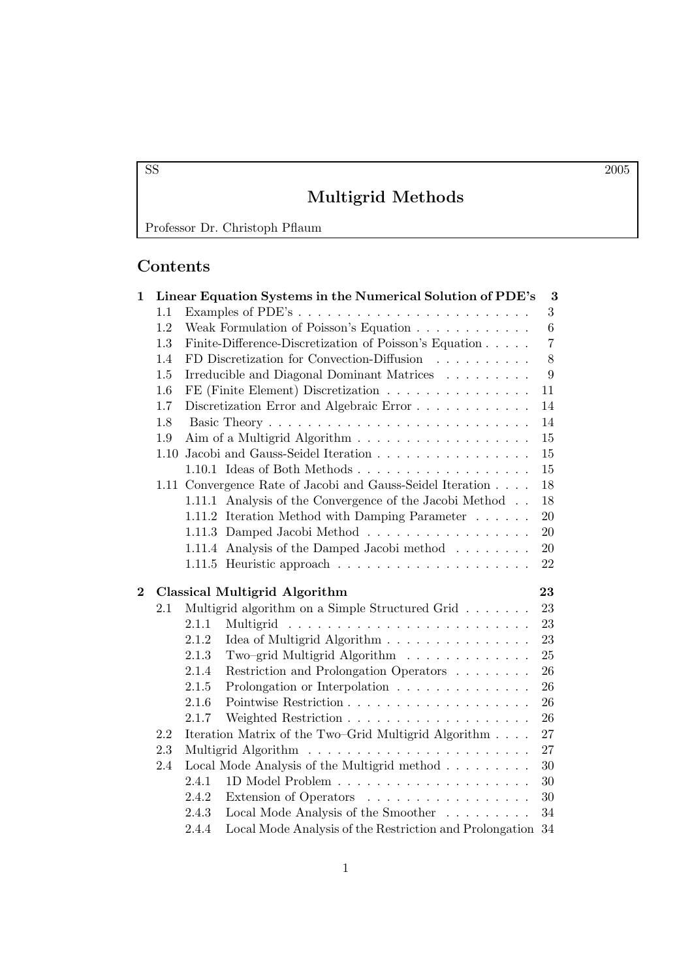# Multigrid Methods

Professor Dr. Christoph Pflaum

# Contents

| $\mathbf{1}$   |      | Linear Equation Systems in the Numerical Solution of PDE's<br>3 |                                                                   |                |  |  |
|----------------|------|-----------------------------------------------------------------|-------------------------------------------------------------------|----------------|--|--|
|                | 1.1  |                                                                 |                                                                   | 3              |  |  |
|                | 1.2  |                                                                 | Weak Formulation of Poisson's Equation                            | $6\phantom{.}$ |  |  |
|                | 1.3  |                                                                 | Finite-Difference-Discretization of Poisson's Equation            | $\overline{7}$ |  |  |
|                | 1.4  |                                                                 | FD Discretization for Convection-Diffusion $\ldots \ldots \ldots$ | 8              |  |  |
|                | 1.5  |                                                                 | Irreducible and Diagonal Dominant Matrices                        | 9              |  |  |
|                | 1.6  |                                                                 | FE (Finite Element) Discretization                                | 11             |  |  |
|                | 1.7  |                                                                 | Discretization Error and Algebraic Error                          | 14             |  |  |
|                | 1.8  |                                                                 |                                                                   | 14             |  |  |
|                | 1.9  |                                                                 |                                                                   | 15             |  |  |
|                | 1.10 |                                                                 | Jacobi and Gauss-Seidel Iteration                                 | 15             |  |  |
|                |      |                                                                 | $1.10.1$ Ideas of Both Methods                                    | 15             |  |  |
|                |      |                                                                 | 1.11 Convergence Rate of Jacobi and Gauss-Seidel Iteration        | 18             |  |  |
|                |      |                                                                 | 1.11.1 Analysis of the Convergence of the Jacobi Method           | 18             |  |  |
|                |      |                                                                 | 1.11.2 Iteration Method with Damping Parameter                    | 20             |  |  |
|                |      |                                                                 | 1.11.3 Damped Jacobi Method                                       | 20             |  |  |
|                |      |                                                                 | 1.11.4 Analysis of the Damped Jacobi method                       | 20             |  |  |
|                |      |                                                                 |                                                                   | 22             |  |  |
|                |      |                                                                 |                                                                   |                |  |  |
| $\overline{2}$ |      |                                                                 | <b>Classical Multigrid Algorithm</b>                              | 23             |  |  |
|                | 2.1  |                                                                 | Multigrid algorithm on a Simple Structured Grid                   | 23             |  |  |
|                |      | 2.1.1                                                           |                                                                   | 23             |  |  |
|                |      | 2.1.2                                                           |                                                                   | 23             |  |  |
|                |      | 2.1.3                                                           | Two–grid Multigrid Algorithm                                      | 25             |  |  |
|                |      | 2.1.4                                                           | Restriction and Prolongation Operators                            | 26             |  |  |
|                |      | 2.1.5                                                           | Prolongation or Interpolation                                     | 26             |  |  |
|                |      | 2.1.6                                                           |                                                                   | 26             |  |  |
|                |      | 2.1.7                                                           |                                                                   | 26             |  |  |
|                | 2.2  |                                                                 | Iteration Matrix of the Two-Grid Multigrid Algorithm              | 27             |  |  |
|                | 2.3  |                                                                 |                                                                   | 27             |  |  |
|                | 2.4  |                                                                 | Local Mode Analysis of the Multigrid method                       | 30             |  |  |
|                |      | 2.4.1                                                           |                                                                   | 30             |  |  |
|                |      | 2.4.2                                                           | Extension of Operators                                            | 30             |  |  |
|                |      | 2.4.3                                                           | Local Mode Analysis of the Smoother                               | 34             |  |  |
|                |      | 2.4.4                                                           | Local Mode Analysis of the Restriction and Prolongation 34        |                |  |  |

SS 2005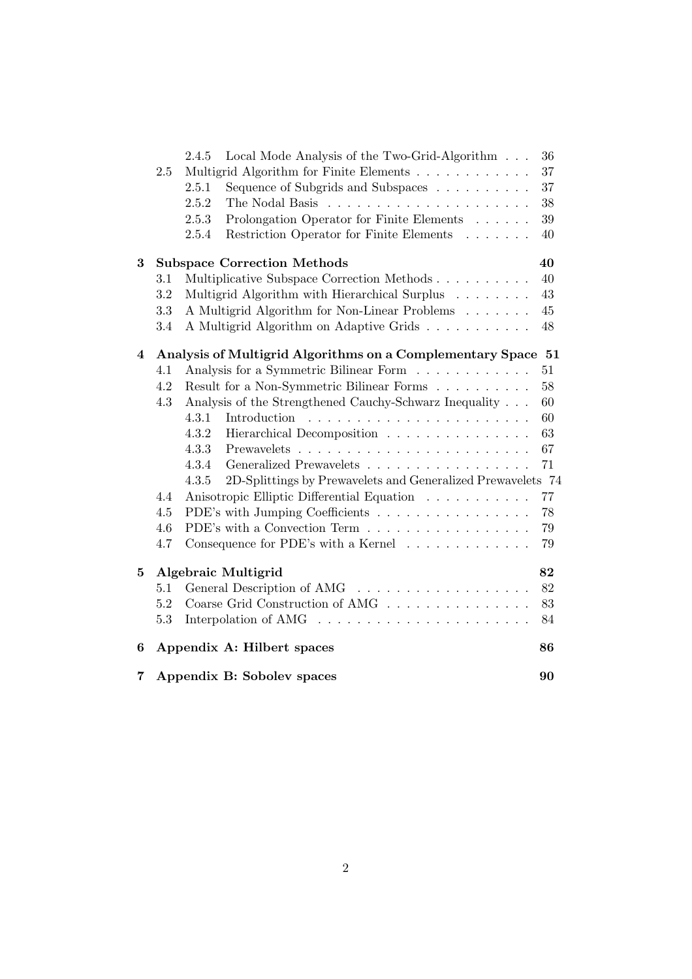| 7              |         | Appendix B: Sobolev spaces                                               | 90     |
|----------------|---------|--------------------------------------------------------------------------|--------|
| 6              |         | Appendix A: Hilbert spaces                                               | 86     |
|                | 5.3     | Interpolation of AMG $\ldots \ldots \ldots \ldots \ldots \ldots \ldots$  | 84     |
|                | 5.2     | Coarse Grid Construction of AMG                                          | 83     |
|                | 5.1     | General Description of AMG                                               | 82     |
| 5              |         | Algebraic Multigrid                                                      | 82     |
|                | 4.7     | Consequence for PDE's with a Kernel $\ldots \ldots \ldots \ldots$        | 79     |
|                | 4.6     | PDE's with a Convection Term $\ldots \ldots \ldots \ldots \ldots \ldots$ | 79     |
|                | 4.5     | PDE's with Jumping Coefficients                                          | 78     |
|                | 4.4     | Anisotropic Elliptic Differential Equation                               | $77\,$ |
|                |         | 2D-Splittings by Prewavelets and Generalized Prewavelets 74<br>4.3.5     |        |
|                |         | Generalized Prewavelets<br>4.3.4                                         | 71     |
|                |         | 4.3.3                                                                    | 67     |
|                |         | 4.3.2<br>Hierarchical Decomposition                                      | 63     |
|                |         | 4.3.1<br>Introduction                                                    | 60     |
|                | 4.3     | Analysis of the Strengthened Cauchy-Schwarz Inequality                   | 60     |
|                | 4.2     | Result for a Non-Symmetric Bilinear Forms                                | 58     |
|                | 4.1     | Analysis for a Symmetric Bilinear Form                                   | 51     |
| $\overline{4}$ |         | Analysis of Multigrid Algorithms on a Complementary Space 51             |        |
|                | 3.4     | A Multigrid Algorithm on Adaptive Grids                                  | 48     |
|                | 3.3     | A Multigrid Algorithm for Non-Linear Problems                            | 45     |
|                | 3.2     | Multigrid Algorithm with Hierarchical Surplus                            | 43     |
|                | 3.1     | Multiplicative Subspace Correction Methods                               | 40     |
| 3              |         | <b>Subspace Correction Methods</b>                                       | 40     |
|                |         |                                                                          |        |
|                |         | Restriction Operator for Finite Elements<br>2.5.4                        | 40     |
|                |         | Prolongation Operator for Finite Elements<br>2.5.3                       | $39\,$ |
|                |         | 2.5.2                                                                    | 38     |
|                |         | Sequence of Subgrids and Subspaces<br>2.5.1                              | 37     |
|                | $2.5\,$ | Multigrid Algorithm for Finite Elements                                  | 37     |
|                |         | Local Mode Analysis of the Two-Grid-Algorithm<br>2.4.5                   | 36     |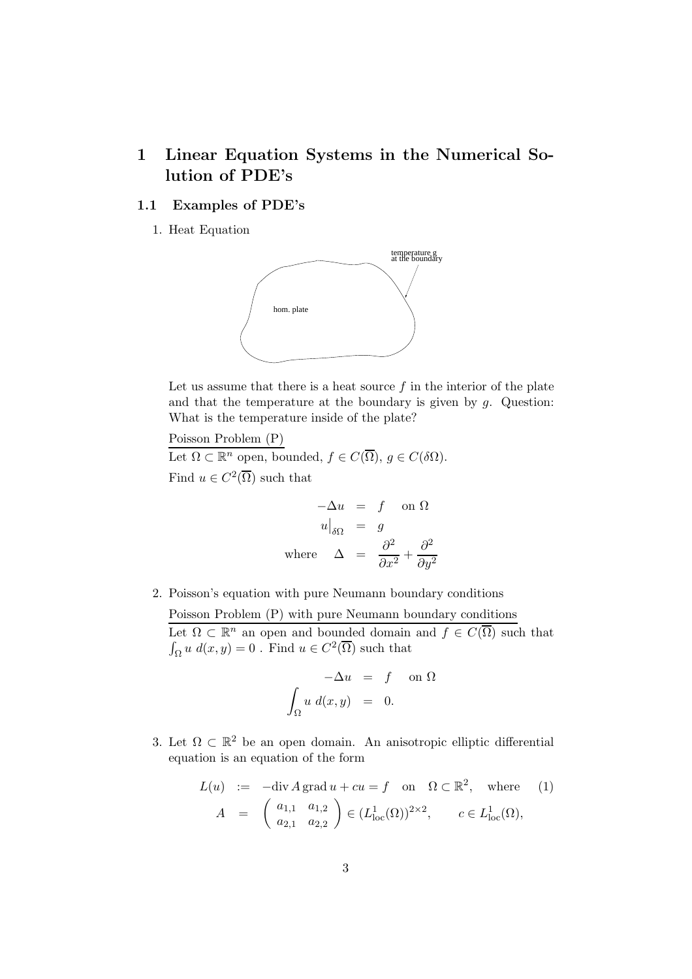# 1 Linear Equation Systems in the Numerical Solution of PDE's

## 1.1 Examples of PDE's

1. Heat Equation



Let us assume that there is a heat source  $f$  in the interior of the plate and that the temperature at the boundary is given by  $q$ . Question: What is the temperature inside of the plate?

Poisson Problem (P)

Let  $\Omega \subset \mathbb{R}^n$  open, bounded,  $f \in C(\overline{\Omega})$ ,  $g \in C(\delta \Omega)$ . Find  $u \in C^2(\overline{\Omega})$  such that

$$
-\Delta u = f \text{ on } \Omega
$$
  
\n
$$
u\Big|_{\delta\Omega} = g
$$
  
\nwhere 
$$
\Delta = \frac{\partial^2}{\partial x^2} + \frac{\partial^2}{\partial y^2}
$$

2. Poisson's equation with pure Neumann boundary conditions

Poisson Problem (P) with pure Neumann boundary conditions Let  $\Omega \subset \mathbb{R}^n$  an open and bounded domain and  $f \in C(\overline{\Omega})$  such that  $\int_{\Omega} u \, d(x, y) = 0$ . Find  $u \in C^2(\overline{\Omega})$  such that

$$
-\Delta u = f \quad \text{on } \Omega
$$

$$
\int_{\Omega} u \, d(x, y) = 0.
$$

3. Let  $\Omega \subset \mathbb{R}^2$  be an open domain. An anisotropic elliptic differential equation is an equation of the form

$$
L(u) := -\text{div}\,A\,\text{grad}\,u + cu = f \quad \text{on} \quad \Omega \subset \mathbb{R}^2, \quad \text{where} \quad (1)
$$

$$
A = \begin{pmatrix} a_{1,1} & a_{1,2} \\ a_{2,1} & a_{2,2} \end{pmatrix} \in (L^1_{\text{loc}}(\Omega))^{2 \times 2}, \qquad c \in L^1_{\text{loc}}(\Omega),
$$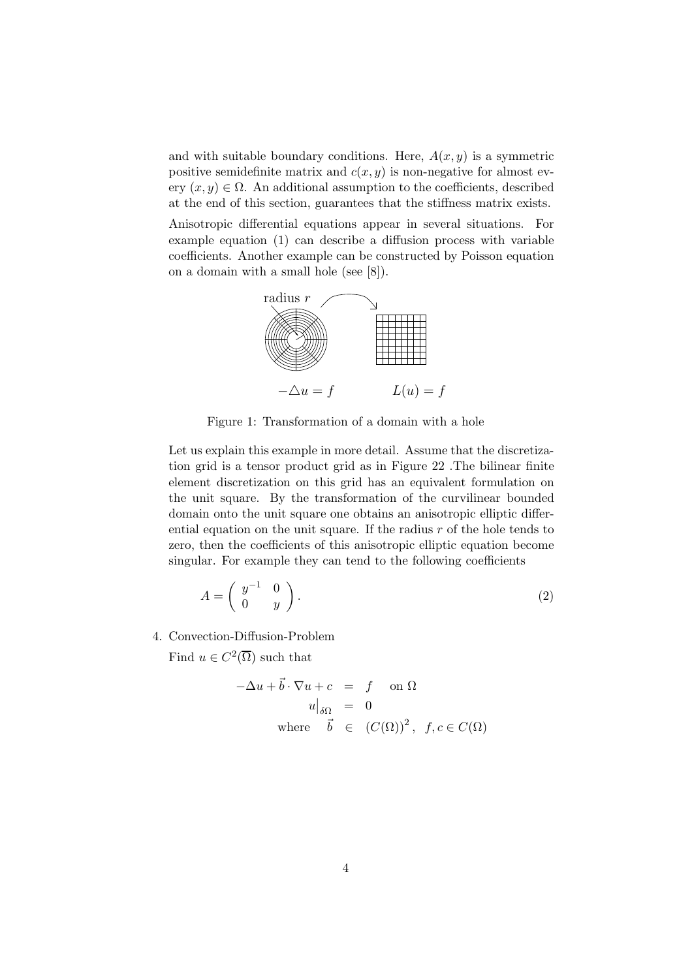and with suitable boundary conditions. Here,  $A(x, y)$  is a symmetric positive semidefinite matrix and  $c(x, y)$  is non-negative for almost every  $(x, y) \in \Omega$ . An additional assumption to the coefficients, described at the end of this section, guarantees that the stiffness matrix exists.

Anisotropic differential equations appear in several situations. For example equation (1) can describe a diffusion process with variable coefficients. Another example can be constructed by Poisson equation on a domain with a small hole (see [8]).



Figure 1: Transformation of a domain with a hole

Let us explain this example in more detail. Assume that the discretization grid is a tensor product grid as in Figure 22 .The bilinear finite element discretization on this grid has an equivalent formulation on the unit square. By the transformation of the curvilinear bounded domain onto the unit square one obtains an anisotropic elliptic differential equation on the unit square. If the radius  $r$  of the hole tends to zero, then the coefficients of this anisotropic elliptic equation become singular. For example they can tend to the following coefficients

$$
A = \left(\begin{array}{cc} y^{-1} & 0\\ 0 & y \end{array}\right). \tag{2}
$$

4. Convection-Diffusion-Problem

Find  $u \in C^2(\overline{\Omega})$  such that

$$
-\Delta u + \vec{b} \cdot \nabla u + c = f \quad \text{on } \Omega
$$
  
\n
$$
u|_{\delta\Omega} = 0
$$
  
\nwhere  $\vec{b} \in (C(\Omega))^2$ ,  $f, c \in C(\Omega)$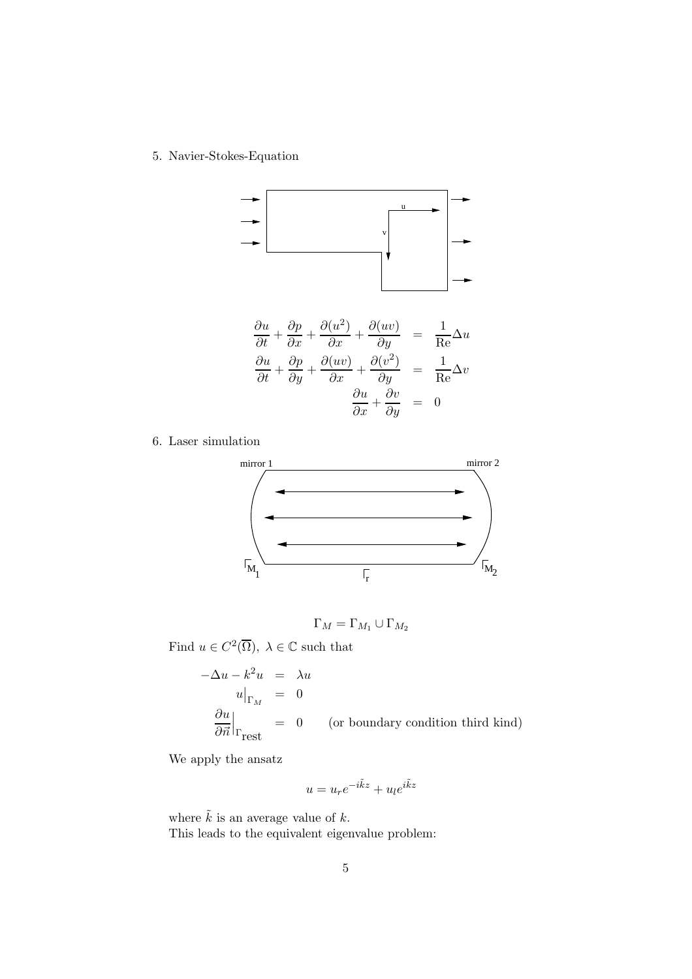5. Navier-Stokes-Equation



6. Laser simulation



$$
\Gamma_M = \Gamma_{M_1} \cup \Gamma_{M_2}
$$

Find  $u \in C^2(\overline{\Omega})$ ,  $\lambda \in \mathbb{C}$  such that

$$
-\Delta u - k^2 u = \lambda u
$$
  
\n
$$
u\Big|_{\Gamma_M} = 0
$$
  
\n
$$
\frac{\partial u}{\partial \vec{n}}\Big|_{\Gamma_{\text{rest}}} = 0 \quad \text{(or boundary condition third kind)}
$$

We apply the ansatz

$$
u = u_r e^{-i\tilde{k}z} + u_l e^{i\tilde{k}z}
$$

where  $\tilde{k}$  is an average value of  $k$ . This leads to the equivalent eigenvalue problem: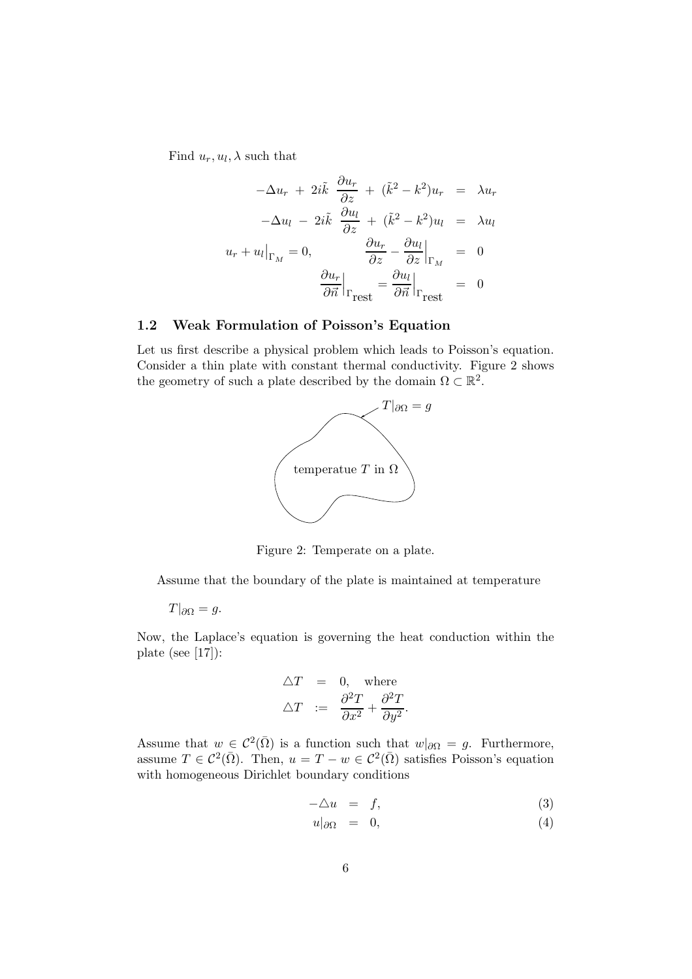Find  $u_r, u_l, \lambda$  such that

$$
-\Delta u_r + 2i\tilde{k} \frac{\partial u_r}{\partial z} + (\tilde{k}^2 - k^2)u_r = \lambda u_r
$$

$$
-\Delta u_l - 2i\tilde{k} \frac{\partial u_l}{\partial z} + (\tilde{k}^2 - k^2)u_l = \lambda u_l
$$

$$
u_r + u_l|_{\Gamma_M} = 0, \qquad \frac{\partial u_r}{\partial z} - \frac{\partial u_l}{\partial z}|_{\Gamma_M} = 0
$$

$$
\frac{\partial u_r}{\partial \vec{n}}|_{\Gamma_{\text{rest}}} = \frac{\partial u_l}{\partial \vec{n}}|_{\Gamma_{\text{rest}}} = 0
$$

### 1.2 Weak Formulation of Poisson's Equation

Let us first describe a physical problem which leads to Poisson's equation. Consider a thin plate with constant thermal conductivity. Figure 2 shows the geometry of such a plate described by the domain  $\Omega \subset \mathbb{R}^2$ .



Figure 2: Temperate on a plate.

Assume that the boundary of the plate is maintained at temperature

 $T|_{\partial\Omega} = g.$ 

Now, the Laplace's equation is governing the heat conduction within the plate (see [17]):

$$
\Delta T = 0, \text{ where}
$$
  

$$
\Delta T := \frac{\partial^2 T}{\partial x^2} + \frac{\partial^2 T}{\partial y^2}.
$$

Assume that  $w \in C^2(\overline{\Omega})$  is a function such that  $w|_{\partial\Omega} = g$ . Furthermore, assume  $T \in \mathcal{C}^2(\overline{\Omega})$ . Then,  $u = T - w \in \mathcal{C}^2(\overline{\Omega})$  satisfies Poisson's equation with homogeneous Dirichlet boundary conditions

$$
-\triangle u = f,\tag{3}
$$

$$
u|_{\partial\Omega} = 0, \tag{4}
$$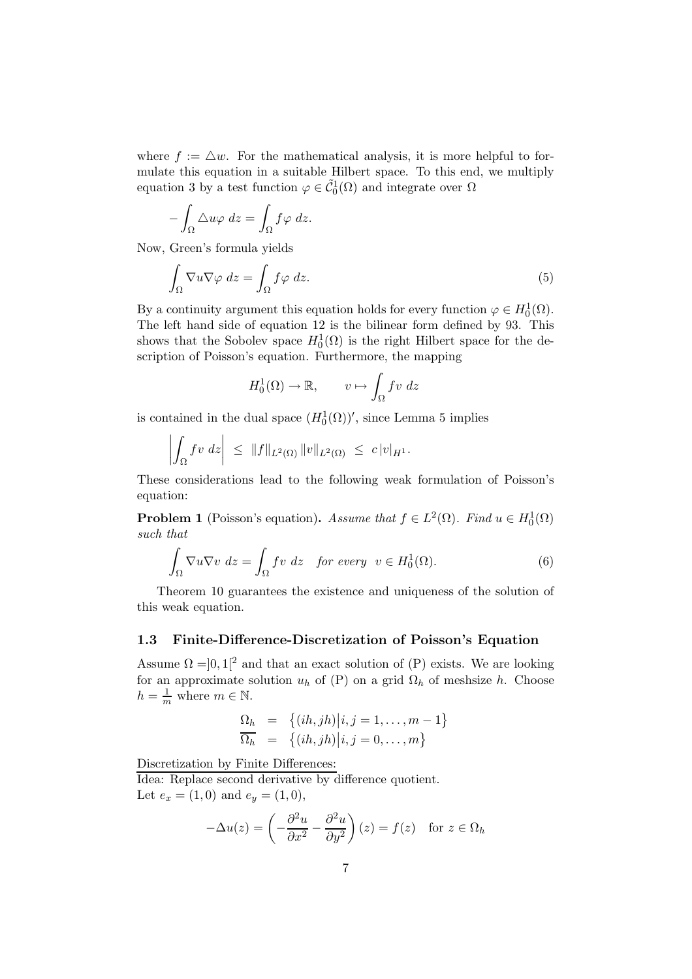where  $f := \Delta w$ . For the mathematical analysis, it is more helpful to formulate this equation in a suitable Hilbert space. To this end, we multiply equation 3 by a test function  $\varphi \in \tilde{C}_0^1(\Omega)$  and integrate over  $\Omega$ 

$$
-\int_{\Omega}\Delta u\varphi\ dz = \int_{\Omega} f\varphi\ dz.
$$

Now, Green's formula yields

$$
\int_{\Omega} \nabla u \nabla \varphi \, dz = \int_{\Omega} f \varphi \, dz. \tag{5}
$$

By a continuity argument this equation holds for every function  $\varphi \in H_0^1(\Omega)$ . The left hand side of equation 12 is the bilinear form defined by 93. This shows that the Sobolev space  $H_0^1(\Omega)$  is the right Hilbert space for the description of Poisson's equation. Furthermore, the mapping

$$
H_0^1(\Omega) \to \mathbb{R}, \qquad v \mapsto \int_{\Omega} fv \ dz
$$

is contained in the dual space  $(H_0^1(\Omega))'$ , since Lemma 5 implies

$$
\left| \int_{\Omega} f v \, dz \right| \, \leq \, \|f\|_{L^2(\Omega)} \, \|v\|_{L^2(\Omega)} \, \leq \, c \, |v|_{H^1}.
$$

These considerations lead to the following weak formulation of Poisson's equation:

**Problem 1** (Poisson's equation). Assume that  $f \in L^2(\Omega)$ . Find  $u \in H_0^1(\Omega)$ such that

$$
\int_{\Omega} \nabla u \nabla v \, dz = \int_{\Omega} f v \, dz \quad \text{for every} \quad v \in H_0^1(\Omega). \tag{6}
$$

Theorem 10 guarantees the existence and uniqueness of the solution of this weak equation.

#### 1.3 Finite-Difference-Discretization of Poisson's Equation

Assume  $\Omega = ]0,1[^2$  and that an exact solution of  $(P)$  exists. We are looking for an approximate solution  $u_h$  of (P) on a grid  $\Omega_h$  of meshsize h. Choose  $h = \frac{1}{m}$  where  $m \in \mathbb{N}$ .

$$
\begin{array}{rcl}\n\Omega_h & = & \left\{ (ih,jh) \middle| i,j=1,\ldots,m-1 \right\} \\
\overline{\Omega_h} & = & \left\{ (ih,jh) \middle| i,j=0,\ldots,m \right\}\n\end{array}
$$

Discretization by Finite Differences:

Idea: Replace second derivative by difference quotient. Let  $e_x = (1,0)$  and  $e_y = (1,0)$ ,

$$
-\Delta u(z) = \left(-\frac{\partial^2 u}{\partial x^2} - \frac{\partial^2 u}{\partial y^2}\right)(z) = f(z) \text{ for } z \in \Omega_h
$$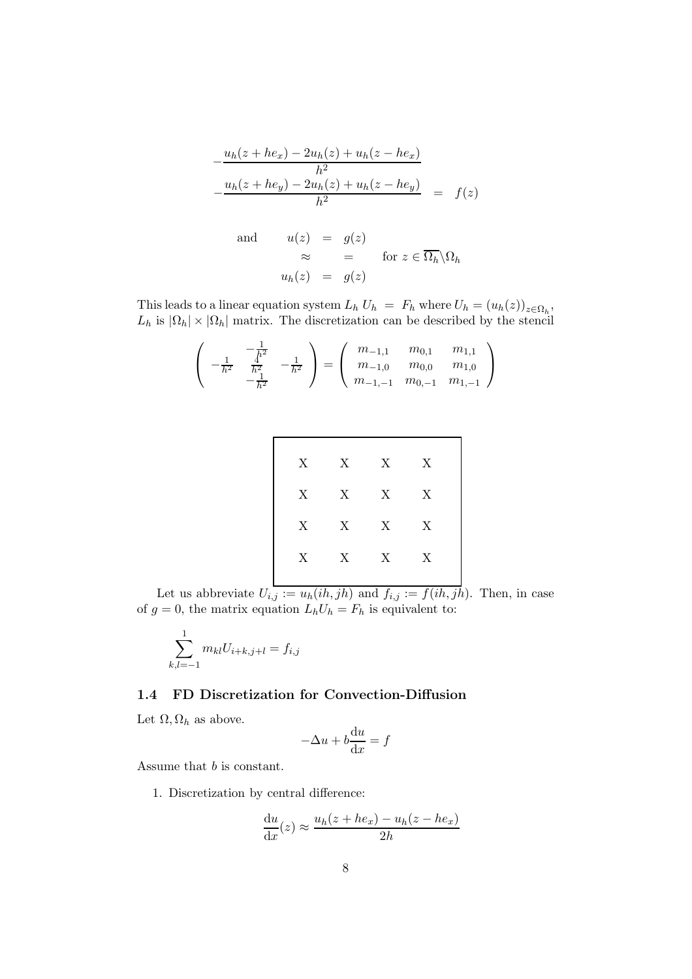$$
-\frac{u_h(z + he_x) - 2u_h(z) + u_h(z - he_x)}{h^2}
$$
  

$$
-\frac{u_h(z + he_y) - 2u_h(z) + u_h(z - he_y)}{h^2} = f(z)
$$

and 
$$
u(z) = g(z)
$$
  
\n $\approx$  = for  $z \in \overline{\Omega_h} \setminus \Omega_h$   
\n $u_h(z) = g(z)$ 

This leads to a linear equation system  $L_h U_h = F_h$  where  $U_h = (u_h(z))_{z \in \Omega_h}$ ,  $L_h$  is  $|\Omega_h| \times |\Omega_h|$  matrix. The discretization can be described by the stencil

$$
\begin{pmatrix} -\frac{1}{h^2} & -\frac{1}{h^2} \\ -\frac{1}{h^2} & \frac{1}{h^2} \\ -\frac{1}{h^2} & -\frac{1}{h^2} \end{pmatrix} = \begin{pmatrix} m_{-1,1} & m_{0,1} & m_{1,1} \\ m_{-1,0} & m_{0,0} & m_{1,0} \\ m_{-1,-1} & m_{0,-1} & m_{1,-1} \end{pmatrix}
$$

| X | $X$ X |                           | $\boldsymbol{\mathrm{X}}$ |  |
|---|-------|---------------------------|---------------------------|--|
| X | $X$ X |                           | X                         |  |
| X | $X$ X |                           | X                         |  |
| X | X     | $\boldsymbol{\mathrm{X}}$ | X                         |  |
|   |       |                           |                           |  |

Let us abbreviate  $U_{i,j} := u_h(ih,jh)$  and  $f_{i,j} := f(ih,jh)$ . Then, in case of  $g = 0$ , the matrix equation  $L_h U_h = F_h$  is equivalent to:

$$
\sum_{k,l=-1}^{1} m_{kl} U_{i+k,j+l} = f_{i,j}
$$

# 1.4 FD Discretization for Convection-Diffusion

Let  $\Omega$ ,  $\Omega_h$  as above.

$$
-\Delta u + b\frac{\mathrm{d}u}{\mathrm{d}x} = f
$$

Assume that b is constant.

1. Discretization by central difference:

$$
\frac{\mathrm{d}u}{\mathrm{d}x}(z) \approx \frac{u_h(z + he_x) - u_h(z - he_x)}{2h}
$$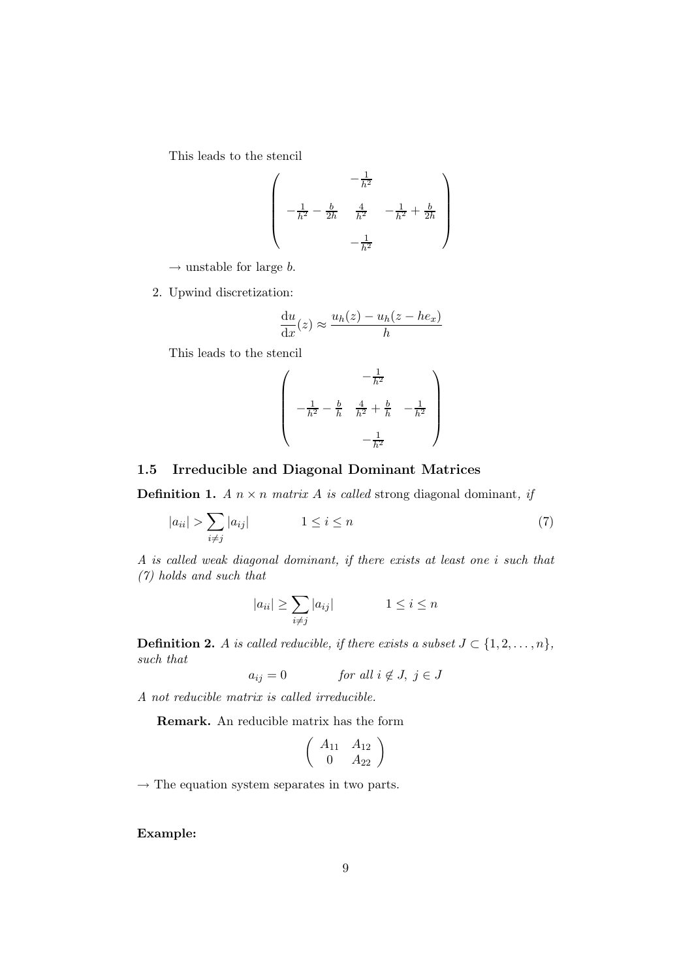This leads to the stencil

$$
\left(\begin{array}{ccc} & -\frac{1}{h^2} \\ \\ -\frac{1}{h^2} - \frac{b}{2h} & \frac{4}{h^2} & -\frac{1}{h^2} + \frac{b}{2h} \\ \\ & & -\frac{1}{h^2} & \end{array}\right)
$$

 $\rightarrow$  unstable for large b.

2. Upwind discretization:

$$
\frac{\mathrm{d}u}{\mathrm{d}x}(z) \approx \frac{u_h(z) - u_h(z - he_x)}{h}
$$

This leads to the stencil

$$
\begin{pmatrix} -\frac{1}{h^{2}} \\ -\frac{1}{h^{2}} - \frac{b}{h} & \frac{4}{h^{2}} + \frac{b}{h} & -\frac{1}{h^{2}} \\ -\frac{1}{h^{2}} & -\frac{1}{h^{2}} \end{pmatrix}
$$

## 1.5 Irreducible and Diagonal Dominant Matrices

**Definition 1.** A  $n \times n$  matrix A is called strong diagonal dominant, if

$$
|a_{ii}| > \sum_{i \neq j} |a_{ij}| \qquad \qquad 1 \leq i \leq n \tag{7}
$$

A is called weak diagonal dominant, if there exists at least one i such that (7) holds and such that

$$
|a_{ii}| \ge \sum_{i \ne j} |a_{ij}| \qquad \qquad 1 \le i \le n
$$

**Definition 2.** A is called reducible, if there exists a subset  $J \subset \{1, 2, ..., n\}$ , such that

 $a_{ij} = 0$  for all  $i \notin J, j \in J$ 

A not reducible matrix is called irreducible.

Remark. An reducible matrix has the form

$$
\left(\begin{array}{cc}A_{11}&A_{12}\\0&A_{22}\end{array}\right)
$$

 $\rightarrow$  The equation system separates in two parts.

Example: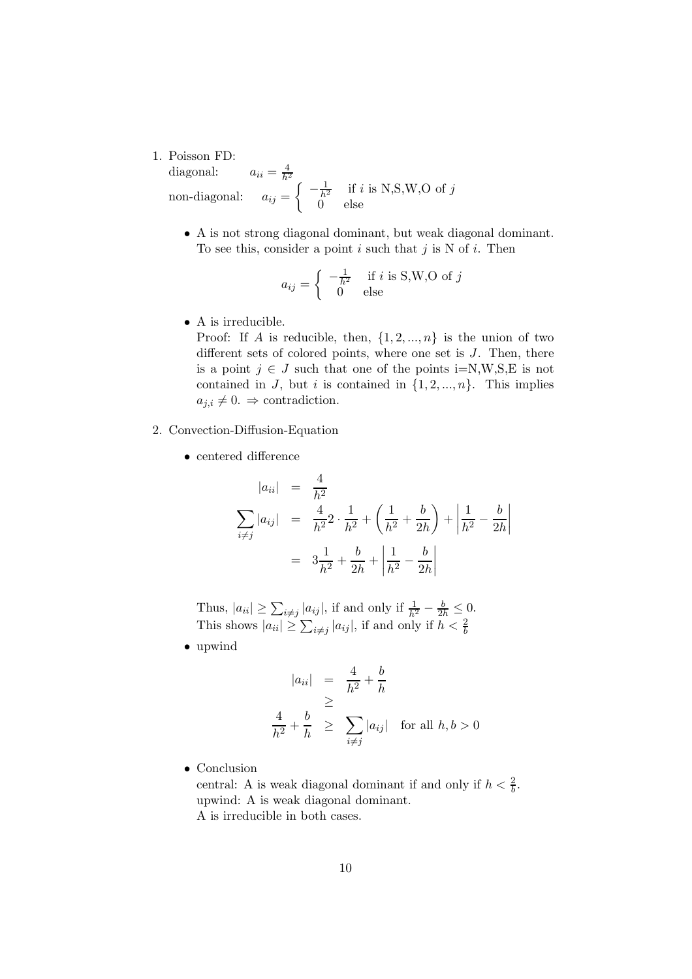1. Poisson FD:

diagonal:  $\frac{4}{h^2}$ <br>=  $\left(-\frac{1}{h^2}\right)$  if *i* is N,S,W,O of *j* non-diagonal: 0 else

• A is not strong diagonal dominant, but weak diagonal dominant. To see this, consider a point i such that j is N of i. Then

$$
a_{ij} = \begin{cases} -\frac{1}{h^2} & \text{if } i \text{ is S,W,O of } j\\ 0 & \text{else} \end{cases}
$$

• A is irreducible.

Proof: If A is reducible, then,  $\{1, 2, ..., n\}$  is the union of two different sets of colored points, where one set is  $J$ . Then, there is a point  $j \in J$  such that one of the points i=N,W,S,E is not contained in J, but i is contained in  $\{1, 2, ..., n\}$ . This implies  $a_{i,i} \neq 0. \Rightarrow$  contradiction.

- 2. Convection-Diffusion-Equation
	- centered difference

$$
|a_{ii}| = \frac{4}{h^2}
$$
  

$$
\sum_{i \neq j} |a_{ij}| = \frac{4}{h^2} 2 \cdot \frac{1}{h^2} + \left(\frac{1}{h^2} + \frac{b}{2h}\right) + \left|\frac{1}{h^2} - \frac{b}{2h}\right|
$$
  

$$
= 3\frac{1}{h^2} + \frac{b}{2h} + \left|\frac{1}{h^2} - \frac{b}{2h}\right|
$$

Thus,  $|a_{ii}| \ge \sum_{i \ne j} \frac{|a_{ij}|}{|a_{ij}|}$ , if and only if  $\frac{1}{h^2} - \frac{b}{2h} \le 0$ . This shows  $|a_{ii}| \ge \sum_{i \ne j} |a_{ij}|$ , if and only if  $h < \frac{2}{b}$ 

• upwind

$$
|a_{ii}| = \frac{4}{h^2} + \frac{b}{h}
$$
  
\n
$$
\geq \frac{4}{h^2} + \frac{b}{h} \geq \sum_{i \neq j} |a_{ij}| \text{ for all } h, b > 0
$$

• Conclusion

central: A is weak diagonal dominant if and only if  $h < \frac{2}{b}$ . upwind: A is weak diagonal dominant. A is irreducible in both cases.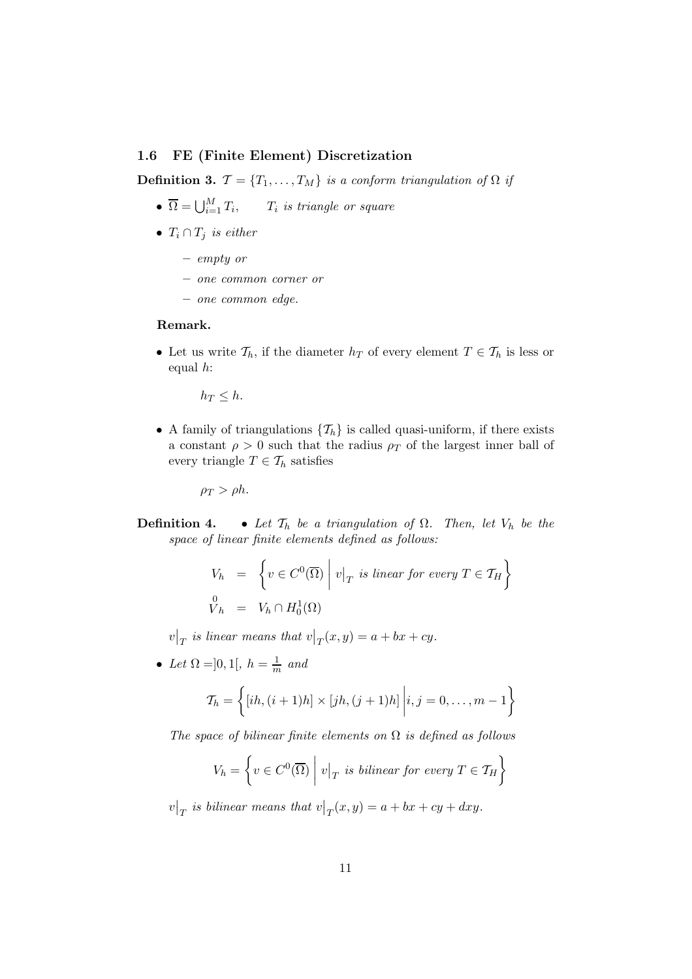#### 1.6 FE (Finite Element) Discretization

**Definition 3.**  $\mathcal{T} = \{T_1, \ldots, T_M\}$  is a conform triangulation of  $\Omega$  if

- $\overline{\Omega} = \bigcup_{i=1}^{M} T_i$ ,  $T_i$  is triangle or square
- $T_i \cap T_j$  is either
	- empty or
	- one common corner or
	- one common edge.

#### Remark.

• Let us write  $\mathcal{T}_h$ , if the diameter  $h_T$  of every element  $T \in \mathcal{T}_h$  is less or equal  $h$ :

 $h_T \leq h$ .

• A family of triangulations  $\{\mathcal{T}_h\}$  is called quasi-uniform, if there exists a constant  $\rho > 0$  such that the radius  $\rho_T$  of the largest inner ball of every triangle  $T \in \mathcal{T}_h$  satisfies

 $\rho_T > \rho h$ .

**Definition 4.** • Let  $\mathcal{T}_h$  be a triangulation of  $\Omega$ . Then, let  $V_h$  be the space of linear finite elements defined as follows:

$$
V_h = \left\{ v \in C^0(\overline{\Omega}) \mid v|_T \text{ is linear for every } T \in \mathcal{T}_H \right\}
$$
  

$$
V_h = V_h \cap H_0^1(\Omega)
$$

 $v|_T$  is linear means that  $v|_T(x,y) = a + bx + cy$ .

• Let  $\Omega = ]0,1[, h = \frac{1}{m}$  and

$$
\mathcal{T}_h = \left\{ [ih, (i+1)h] \times [jh, (j+1)h] \middle| i, j = 0, \dots, m-1 \right\}
$$

The space of bilinear finite elements on  $\Omega$  is defined as follows

$$
V_h = \left\{ v \in C^0(\overline{\Omega}) \mid v|_T \text{ is bilinear for every } T \in \mathcal{T}_H \right\}
$$

 $v|_T$  is bilinear means that  $v|_T(x,y) = a + bx + cy + dxy$ .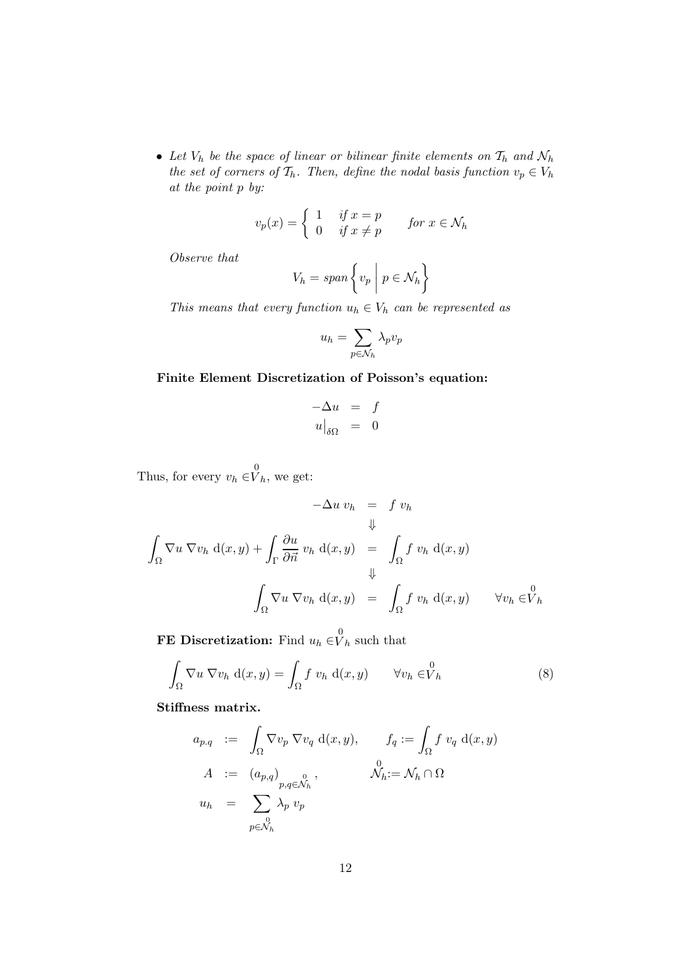• Let  $V_h$  be the space of linear or bilinear finite elements on  $\mathcal{T}_h$  and  $\mathcal{N}_h$ the set of corners of  $\mathcal{T}_h$ . Then, define the nodal basis function  $v_p \in V_h$ at the point p by:

$$
v_p(x) = \begin{cases} 1 & \text{if } x = p \\ 0 & \text{if } x \neq p \end{cases} \qquad \text{for } x \in \mathcal{N}_h
$$

Observe that

$$
V_h = span\left\{v_p \mid p \in \mathcal{N}_h\right\}
$$

This means that every function  $u_h \in V_h$  can be represented as

$$
u_h = \sum_{p \in \mathcal{N}_h} \lambda_p v_p
$$

## Finite Element Discretization of Poisson's equation:

$$
\begin{array}{rcl}\n-\Delta u & = & f \\
u|_{\delta\Omega} & = & 0\n\end{array}
$$

Thus, for every  $v_h \in V_h$ , we get:

$$
-\Delta u \, v_h = f \, v_h
$$
  

$$
\Downarrow
$$
  

$$
\int_{\Omega} \nabla u \, \nabla v_h \, d(x, y) + \int_{\Gamma} \frac{\partial u}{\partial \vec{n}} \, v_h \, d(x, y) = \int_{\Omega} f \, v_h \, d(x, y)
$$
  

$$
\Downarrow
$$
  

$$
\int_{\Omega} \nabla u \, \nabla v_h \, d(x, y) = \int_{\Omega} f \, v_h \, d(x, y) \qquad \forall v_h \in V_h
$$

**FE Discretization:** Find  $u_h \in V_h$  such that

$$
\int_{\Omega} \nabla u \, \nabla v_h \, d(x, y) = \int_{\Omega} f v_h \, d(x, y) \qquad \forall v_h \in V_h \tag{8}
$$

Stiffness matrix.

$$
a_{p,q} := \int_{\Omega} \nabla v_p \nabla v_q d(x, y), \qquad f_q := \int_{\Omega} f v_q d(x, y)
$$
  
\n
$$
A := (a_{p,q})_{\substack{p,q \in \mathcal{N}_h \\ p,q \in \mathcal{N}_h}}^0, \qquad \mathcal{N}_h := \mathcal{N}_h \cap \Omega
$$
  
\n
$$
u_h = \sum_{\substack{0 \\ p \in \mathcal{N}_h}} \lambda_p v_p
$$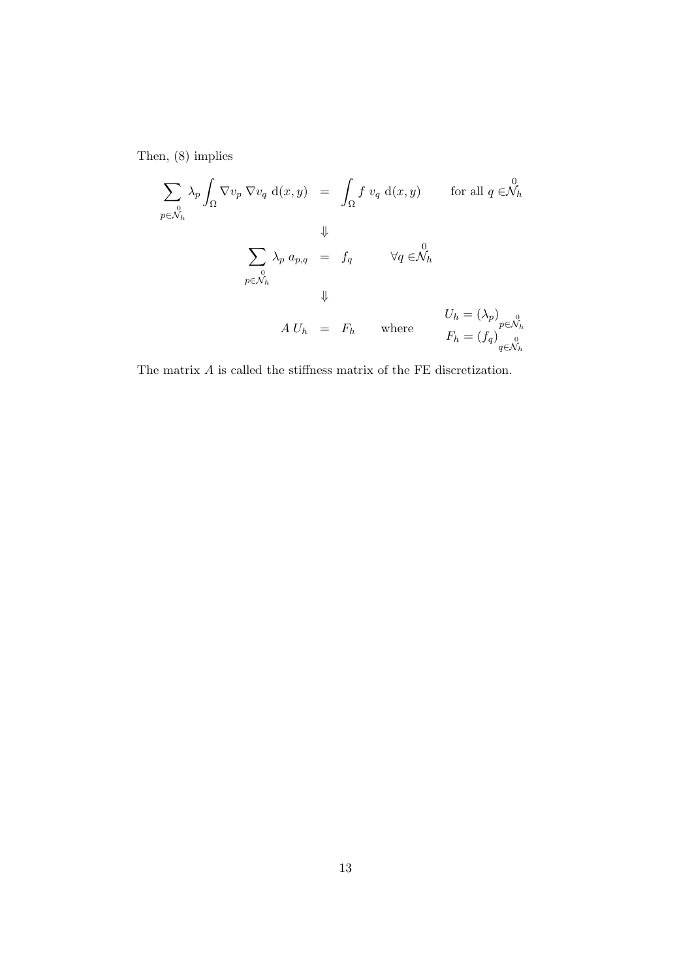Then, (8) implies

$$
\sum_{p \in \mathcal{N}_h} \lambda_p \int_{\Omega} \nabla v_p \nabla v_q d(x, y) = \int_{\Omega} f v_q d(x, y) \quad \text{for all } q \in \mathcal{N}_h
$$
  

$$
\Downarrow
$$
  

$$
\sum_{p \in \mathcal{N}_h} \lambda_p a_{p,q} = f_q \quad \forall q \in \mathcal{N}_h
$$
  

$$
\Downarrow
$$
  

$$
A U_h = F_h \quad \text{where}
$$
  

$$
F_h = (f_q)_{q \in \mathcal{N}_h}^0
$$

The matrix  ${\cal A}$  is called the stiffness matrix of the FE discretization.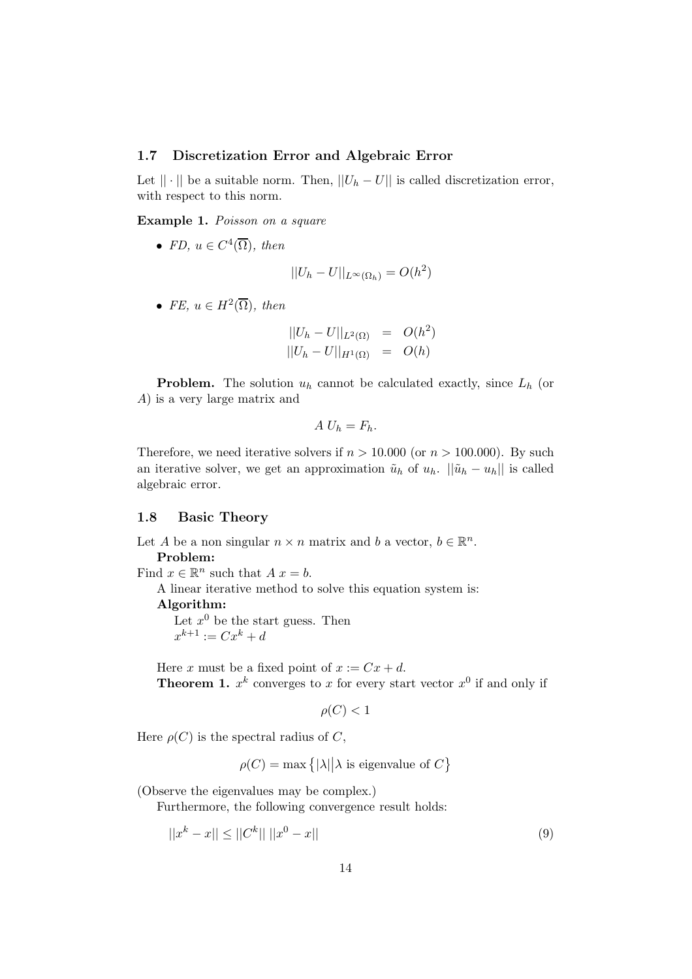#### 1.7 Discretization Error and Algebraic Error

Let  $|| \cdot ||$  be a suitable norm. Then,  $||U_h - U||$  is called discretization error, with respect to this norm.

Example 1. Poisson on a square

• FD,  $u \in C^4(\overline{\Omega})$ , then

$$
||U_h - U||_{L^{\infty}(\Omega_h)} = O(h^2)
$$

• FE,  $u \in H^2(\overline{\Omega})$ , then

$$
||U_h - U||_{L^2(\Omega)} = O(h^2)
$$
  

$$
||U_h - U||_{H^1(\Omega)} = O(h)
$$

**Problem.** The solution  $u_h$  cannot be calculated exactly, since  $L_h$  (or A) is a very large matrix and

$$
A U_h = F_h.
$$

Therefore, we need iterative solvers if  $n > 10,000$  (or  $n > 100,000$ ). By such an iterative solver, we get an approximation  $\tilde{u}_h$  of  $u_h$ .  $||\tilde{u}_h - u_h||$  is called algebraic error.

#### 1.8 Basic Theory

Let A be a non singular  $n \times n$  matrix and b a vector,  $b \in \mathbb{R}^n$ . Problem: Find  $x \in \mathbb{R}^n$  such that  $A x = b$ . A linear iterative method to solve this equation system is: Algorithm: Let  $x^0$  be the start guess. Then  $x^{k+1} := Cx^k + d$ Here x must be a fixed point of  $x := Cx + d$ . **Theorem 1.**  $x^k$  converges to x for every start vector  $x^0$  if and only if

$$
\rho(C) < 1
$$

Here  $\rho(C)$  is the spectral radius of C,

$$
\rho(C) = \max\big\{|\lambda|\big|\lambda\text{ is eigenvalue of } C\big\}
$$

(Observe the eigenvalues may be complex.)

Furthermore, the following convergence result holds:

$$
||x^k - x|| \le ||C^k|| \, ||x^0 - x|| \tag{9}
$$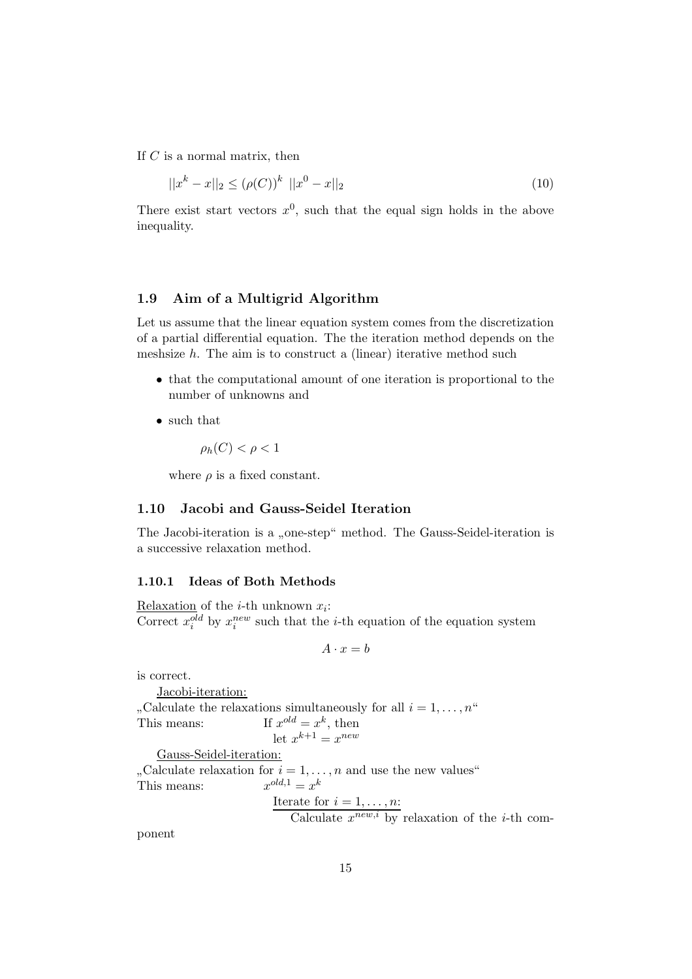If  $C$  is a normal matrix, then

$$
||x^{k} - x||_{2} \le (\rho(C))^{k} ||x^{0} - x||_{2}
$$
\n(10)

There exist start vectors  $x^0$ , such that the equal sign holds in the above inequality.

## 1.9 Aim of a Multigrid Algorithm

Let us assume that the linear equation system comes from the discretization of a partial differential equation. The the iteration method depends on the meshsize  $h$ . The aim is to construct a (linear) iterative method such

- that the computational amount of one iteration is proportional to the number of unknowns and
- such that

$$
\rho_h(C) < \rho < 1
$$

where  $\rho$  is a fixed constant.

## 1.10 Jacobi and Gauss-Seidel Iteration

The Jacobi-iteration is a "one-step" method. The Gauss-Seidel-iteration is<br>concerning planetian method. a successive relaxation method.

#### 1.10.1 Ideas of Both Methods

Relaxation of the *i*-th unknown  $x_i$ : Correct  $x_i^{old}$  by  $x_i^{new}$  such that the *i*-th equation of the equation system

$$
A \cdot x = b
$$

is correct.

Jacobi-iteration:  $\frac{1}{x}$  This means: If x , Calculate the relaxations simultaneously for all  $i = 1, \ldots, n^{\omega}$  $^{old} = x^k$ , then let  $x^{k+1} = x^{new}$ Gauss-Seidel-iteration:  $\frac{1}{x}$  This means:  $\frac{x}{x}$ "Calculate relaxation for  $i = 1, \ldots, n$  and use the new values"  $\omega^{d,1} = x^k$ Iterate for  $i = 1, \ldots, n$ : Calculate  $x^{new,i}$  by relaxation of the *i*-th com-

ponent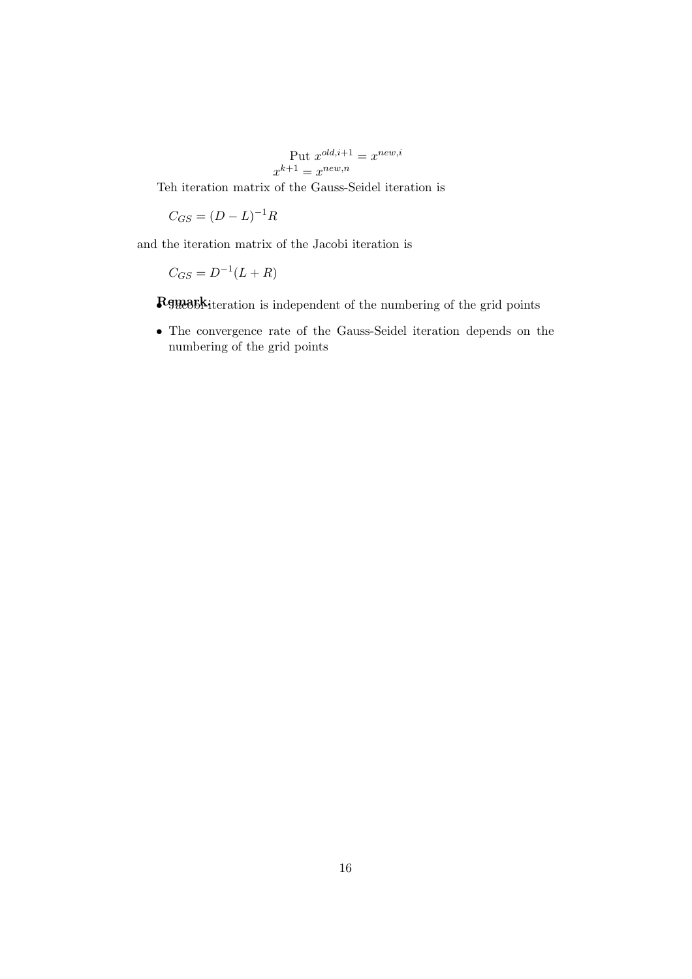Put 
$$
x^{old,i+1} = x^{new,i}
$$
  

$$
x^{k+1} = x^{new,n}
$$

Teh iteration matrix of the Gauss-Seidel iteration is

 $C_{GS} = (D - L)^{-1}R$ 

and the iteration matrix of the Jacobi iteration is

$$
C_{GS} = D^{-1}(L+R)
$$

**Remark**iteration is independent of the numbering of the grid points

• The convergence rate of the Gauss-Seidel iteration depends on the numbering of the grid points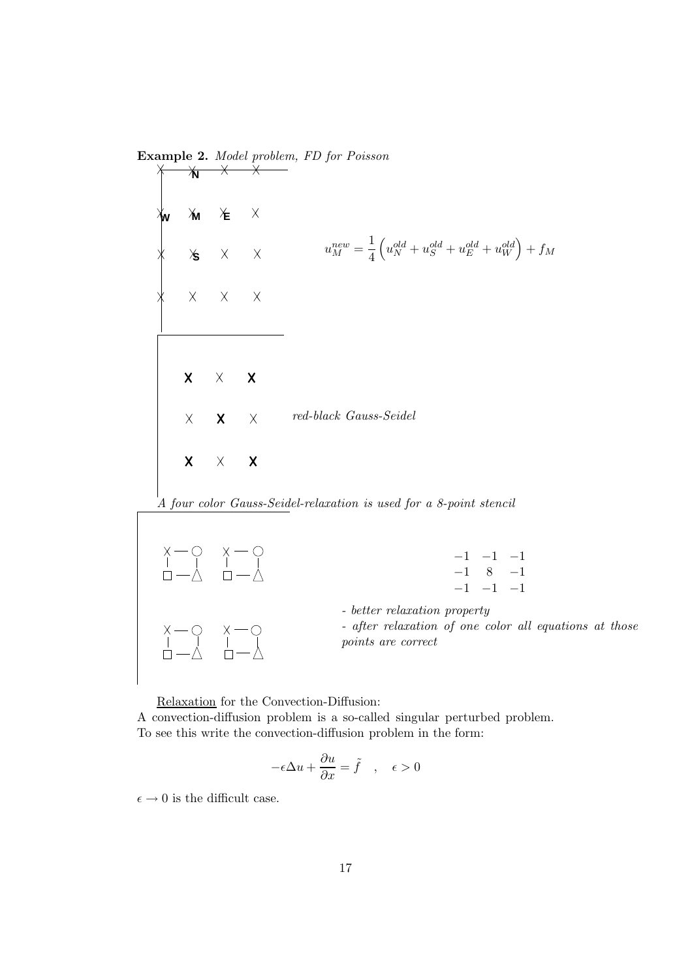

Relaxation for the Convection-Diffusion: A convection-diffusion problem is a so-called singular perturbed problem. To see this write the convection-diffusion problem in the form:

$$
-\epsilon \Delta u + \frac{\partial u}{\partial x} = \tilde{f} \quad , \quad \epsilon > 0
$$

 $\epsilon \to 0$  is the difficult case.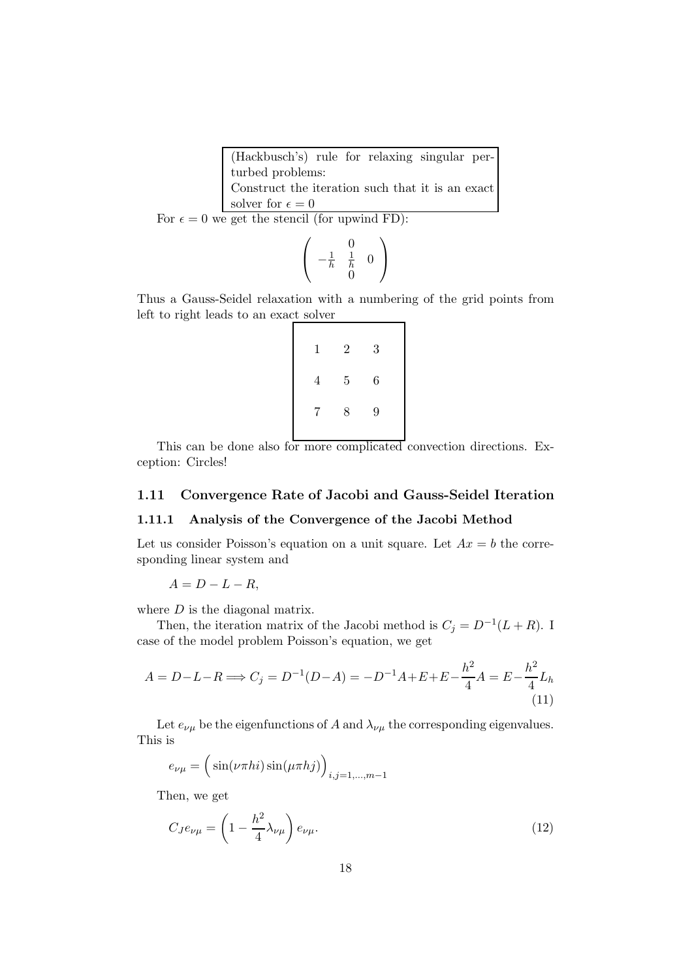(Hackbusch's) rule for relaxing singular perturbed problems: Construct the iteration such that it is an exact solver for  $\epsilon=0$ 

For  $\epsilon = 0$  we get the stencil (for upwind FD):

$$
\left(\begin{array}{rr} 0 \\ -\frac{1}{h} & \frac{1}{h} \\ 0 \end{array}\right)
$$

Thus a Gauss-Seidel relaxation with a numbering of the grid points from left to right leads to an exact solver

| 1              | $\overline{2}$ | 3 |
|----------------|----------------|---|
| 4              | $\overline{5}$ | 6 |
| $7\phantom{.}$ | 8              | 9 |

This can be done also for more complicated convection directions. Exception: Circles!

#### 1.11 Convergence Rate of Jacobi and Gauss-Seidel Iteration

#### 1.11.1 Analysis of the Convergence of the Jacobi Method

Let us consider Poisson's equation on a unit square. Let  $Ax = b$  the corresponding linear system and

 $A = D - L - R$ 

where  $D$  is the diagonal matrix.

Then, the iteration matrix of the Jacobi method is  $C_j = D^{-1}(L+R)$ . I case of the model problem Poisson's equation, we get

$$
A = D - L - R \Longrightarrow C_j = D^{-1}(D - A) = -D^{-1}A + E + E - \frac{h^2}{4}A = E - \frac{h^2}{4}L_h
$$
\n(11)

Let  $e_{\nu\mu}$  be the eigenfunctions of A and  $\lambda_{\nu\mu}$  the corresponding eigenvalues. This is

$$
e_{\nu\mu} = \left(\sin(\nu\pi h i)\sin(\mu\pi h j)\right)_{i,j=1,\dots,m-1}
$$

Then, we get

$$
C_{J}e_{\nu\mu} = \left(1 - \frac{h^2}{4}\lambda_{\nu\mu}\right)e_{\nu\mu}.\tag{12}
$$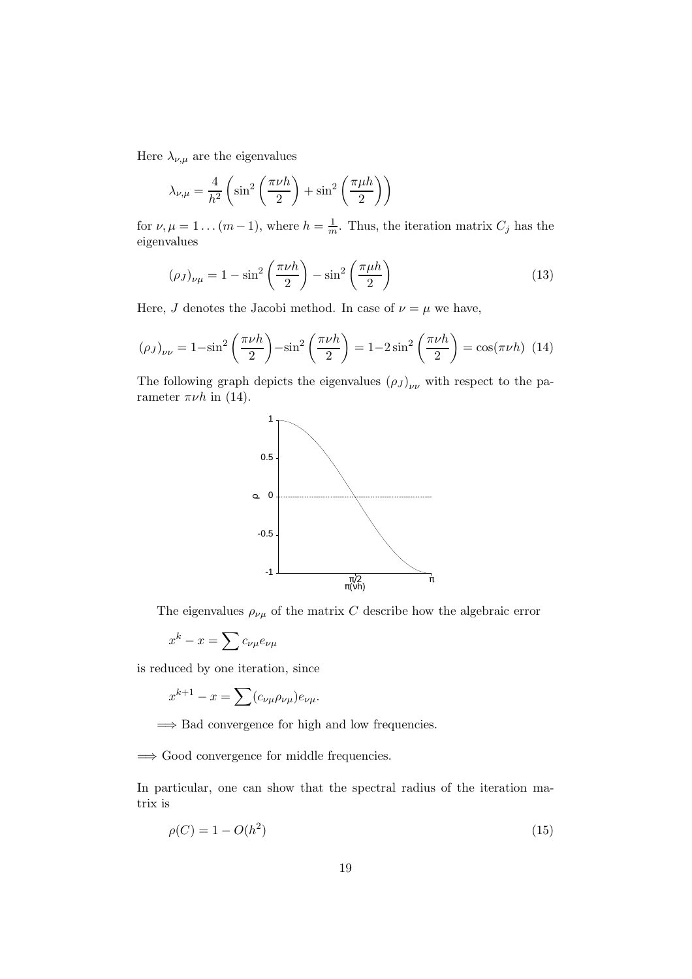Here  $\lambda_{\nu,\mu}$  are the eigenvalues

$$
\lambda_{\nu,\mu} = \frac{4}{h^2} \left( \sin^2 \left( \frac{\pi \nu h}{2} \right) + \sin^2 \left( \frac{\pi \mu h}{2} \right) \right)
$$

for  $\nu, \mu = 1 \dots (m-1)$ , where  $h = \frac{1}{m}$ . Thus, the iteration matrix  $C_j$  has the eigenvalues

$$
(\rho_J)_{\nu\mu} = 1 - \sin^2\left(\frac{\pi\nu h}{2}\right) - \sin^2\left(\frac{\pi\mu h}{2}\right) \tag{13}
$$

Here, J denotes the Jacobi method. In case of  $\nu = \mu$  we have,

$$
(\rho_J)_{\nu\nu} = 1 - \sin^2\left(\frac{\pi\nu h}{2}\right) - \sin^2\left(\frac{\pi\nu h}{2}\right) = 1 - 2\sin^2\left(\frac{\pi\nu h}{2}\right) = \cos(\pi\nu h) \tag{14}
$$

The following graph depicts the eigenvalues  $(\rho_J)_{\nu\nu}$  with respect to the parameter  $\pi\nu h$  in (14).



The eigenvalues  $\rho_{\nu\mu}$  of the matrix C describe how the algebraic error

$$
x^k-x=\sum c_{\nu\mu}e_{\nu\mu}
$$

is reduced by one iteration, since

$$
x^{k+1} - x = \sum (c_{\nu\mu}\rho_{\nu\mu})e_{\nu\mu}.
$$

 $\Rightarrow$  Bad convergence for high and low frequencies.

=⇒ Good convergence for middle frequencies.

In particular, one can show that the spectral radius of the iteration matrix is

$$
\rho(C) = 1 - O(h^2)
$$
\n(15)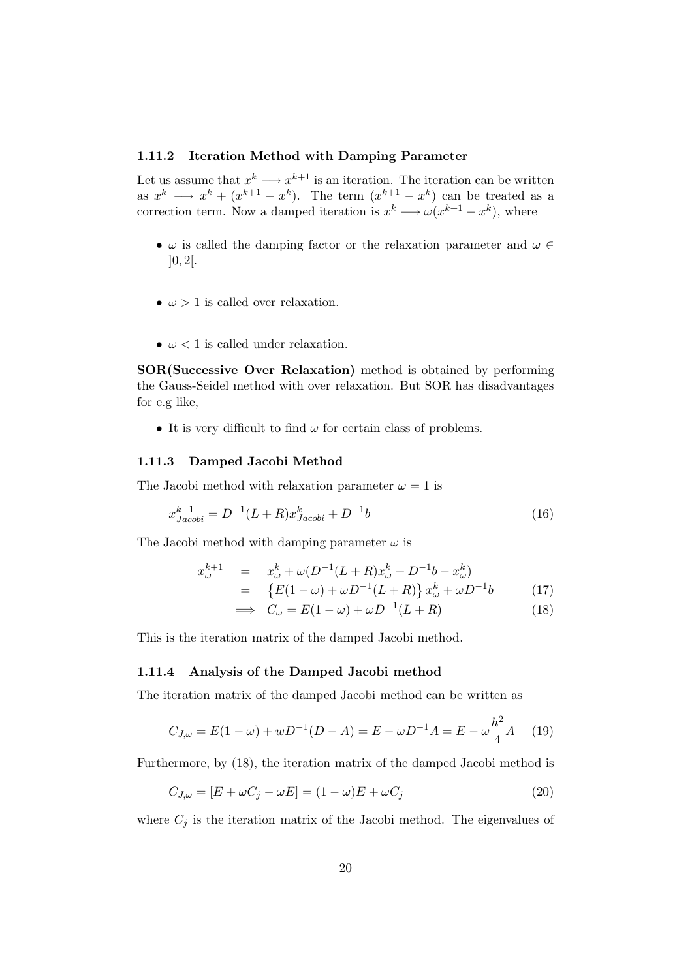#### 1.11.2 Iteration Method with Damping Parameter

Let us assume that  $x^k \longrightarrow x^{k+1}$  is an iteration. The iteration can be written as  $x^k \longrightarrow x^k + (x^{k+1} - x^k)$ . The term  $(x^{k+1} - x^k)$  can be treated as a correction term. Now a damped iteration is  $x^k \longrightarrow \omega(x^{k+1} - x^k)$ , where

- $\omega$  is called the damping factor or the relaxation parameter and  $\omega \in$  $]0, 2[.$
- $\omega > 1$  is called over relaxation.
- $\omega$  < 1 is called under relaxation.

SOR(Successive Over Relaxation) method is obtained by performing the Gauss-Seidel method with over relaxation. But SOR has disadvantages for e.g like,

• It is very difficult to find  $\omega$  for certain class of problems.

#### 1.11.3 Damped Jacobi Method

The Jacobi method with relaxation parameter  $\omega = 1$  is

$$
x_{Jacobi}^{k+1} = D^{-1}(L+R)x_{Jacobi}^k + D^{-1}b \tag{16}
$$

The Jacobi method with damping parameter  $\omega$  is

$$
x_{\omega}^{k+1} = x_{\omega}^k + \omega (D^{-1}(L+R)x_{\omega}^k + D^{-1}b - x_{\omega}^k)
$$
  
= 
$$
\{E(1-\omega) + \omega D^{-1}(L+R)\}x_{\omega}^k + \omega D^{-1}b \qquad (17)
$$

$$
\implies C_{\omega} = E(1 - \omega) + \omega D^{-1}(L + R) \tag{18}
$$

This is the iteration matrix of the damped Jacobi method.

#### 1.11.4 Analysis of the Damped Jacobi method

The iteration matrix of the damped Jacobi method can be written as

$$
C_{J,\omega} = E(1 - \omega) + wD^{-1}(D - A) = E - \omega D^{-1}A = E - \omega \frac{h^2}{4}A \quad (19)
$$

Furthermore, by (18), the iteration matrix of the damped Jacobi method is

$$
C_{J,\omega} = [E + \omega C_j - \omega E] = (1 - \omega)E + \omega C_j \tag{20}
$$

where  $C_i$  is the iteration matrix of the Jacobi method. The eigenvalues of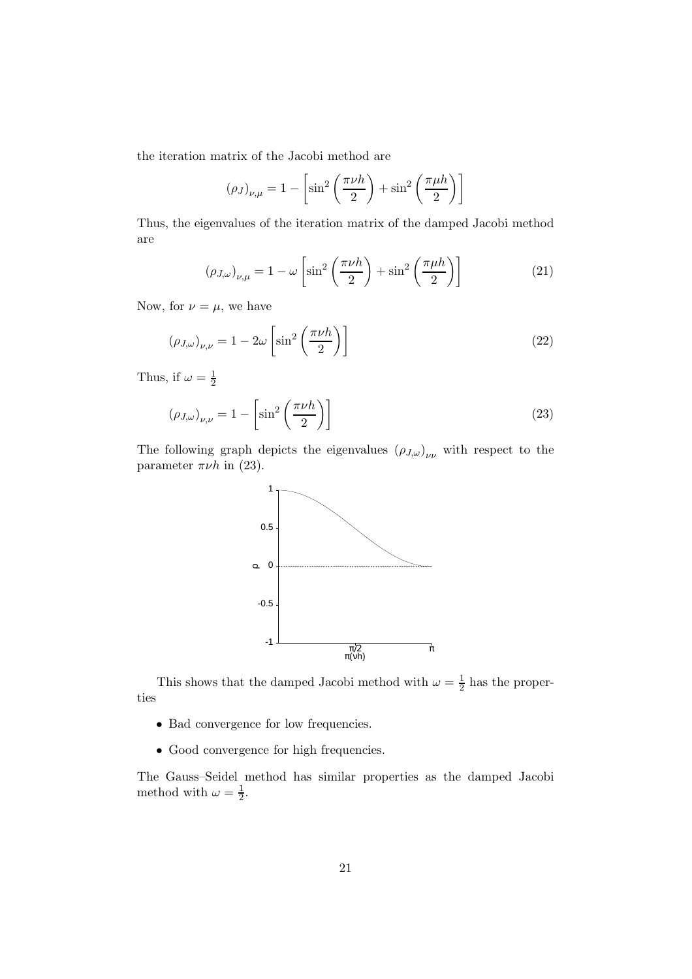the iteration matrix of the Jacobi method are

$$
(\rho_J)_{\nu,\mu} = 1 - \left[\sin^2\left(\frac{\pi\nu h}{2}\right) + \sin^2\left(\frac{\pi\mu h}{2}\right)\right]
$$

Thus, the eigenvalues of the iteration matrix of the damped Jacobi method are

$$
(\rho_{J,\omega})_{\nu,\mu} = 1 - \omega \left[ \sin^2 \left( \frac{\pi \nu h}{2} \right) + \sin^2 \left( \frac{\pi \mu h}{2} \right) \right]
$$
 (21)

Now, for  $\nu = \mu$ , we have

$$
(\rho_{J,\omega})_{\nu,\nu} = 1 - 2\omega \left[ \sin^2 \left( \frac{\pi \nu h}{2} \right) \right]
$$
 (22)

Thus, if  $\omega = \frac{1}{2}$ 2

$$
(\rho_{J,\omega})_{\nu,\nu} = 1 - \left[\sin^2\left(\frac{\pi\nu h}{2}\right)\right]
$$
 (23)

The following graph depicts the eigenvalues  $(\rho_{J,\omega})_{\nu\nu}$  with respect to the parameter  $\pi\nu h$  in (23).



This shows that the damped Jacobi method with  $\omega = \frac{1}{2}$  $\frac{1}{2}$  has the properties

- Bad convergence for low frequencies.
- Good convergence for high frequencies.

The Gauss–Seidel method has similar properties as the damped Jacobi method with  $\omega = \frac{1}{2}$  $rac{1}{2}$ .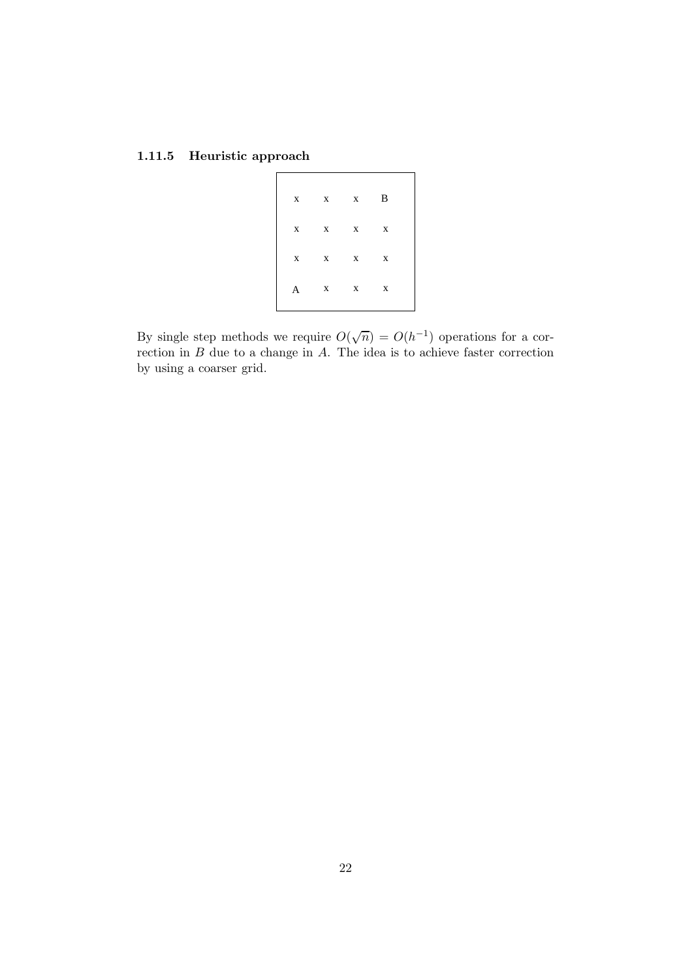# 1.11.5 Heuristic approach

|   | $x \quad x \quad x \quad B$ |  |  |
|---|-----------------------------|--|--|
|   | $X$ $X$ $X$ $X$             |  |  |
|   | $X$ $X$ $X$ $X$             |  |  |
| A | $X$ $X$ $X$                 |  |  |

By single step methods we require  $O(\sqrt{n}) = O(h^{-1})$  operations for a correction in  $B$  due to a change in  $A$ . The idea is to achieve faster correction by using a coarser grid.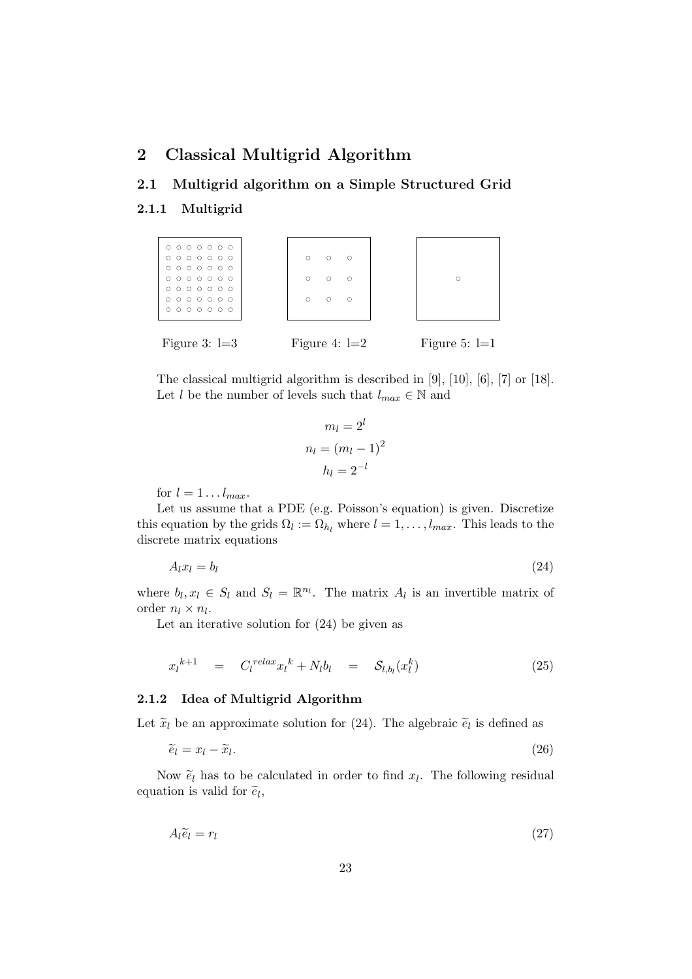# 2 Classical Multigrid Algorithm

# 2.1 Multigrid algorithm on a Simple Structured Grid

#### 2.1.1 Multigrid



The classical multigrid algorithm is described in [9], [10], [6], [7] or [18]. Let l be the number of levels such that  $l_{max} \in \mathbb{N}$  and

$$
m_l = 2^l
$$

$$
n_l = (m_l - 1)^2
$$

$$
h_l = 2^{-l}
$$

for  $l = 1 \ldots l_{max}$ .

Let us assume that a PDE (e.g. Poisson's equation) is given. Discretize this equation by the grids  $\Omega_l := \Omega_{h_l}$  where  $l = 1, \ldots, l_{max}$ . This leads to the discrete matrix equations

$$
A_l x_l = b_l \tag{24}
$$

where  $b_l, x_l \in S_l$  and  $S_l = \mathbb{R}^{n_l}$ . The matrix  $A_l$  is an invertible matrix of order  $n_l \times n_l$ .

Let an iterative solution for (24) be given as

$$
x_l^{k+1} = C_l^{relax} x_l^k + N_l b_l = S_{l,b_l}(x_l^k)
$$
\n(25)

#### 2.1.2 Idea of Multigrid Algorithm

Let  $\tilde{x}_l$  be an approximate solution for (24). The algebraic  $\tilde{e}_l$  is defined as

$$
\widetilde{e}_l = x_l - \widetilde{x}_l. \tag{26}
$$

Now  $\tilde{e}_l$  has to be calculated in order to find  $x_l$ . The following residual equation is valid for  $\tilde{e}_l$ ,

$$
A_l \tilde{e}_l = r_l \tag{27}
$$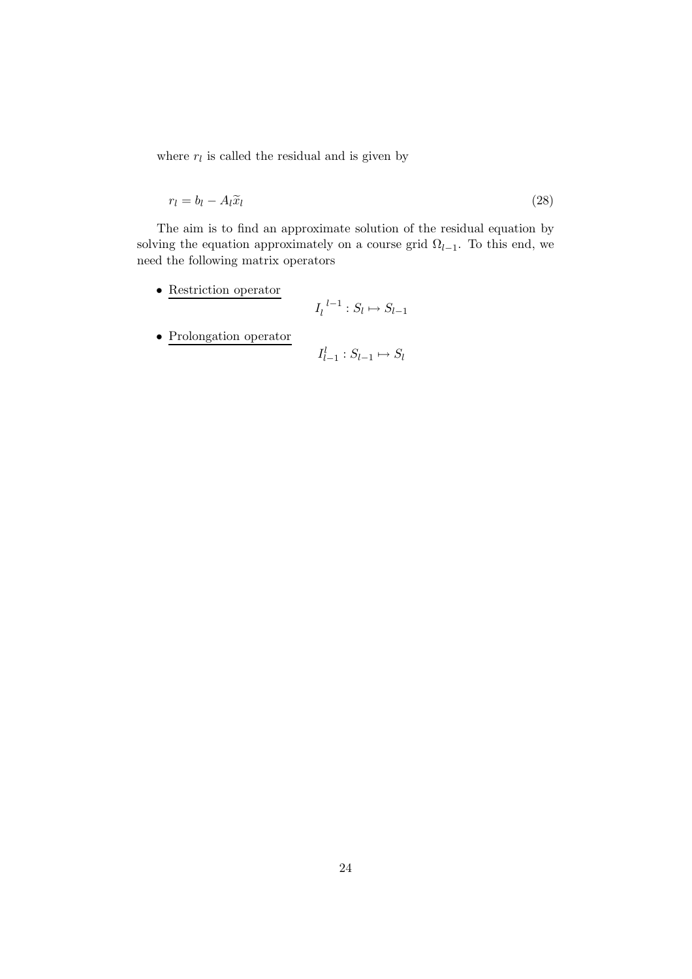where  $r_l$  is called the residual and is given by

$$
r_l = b_l - A_l \tilde{x}_l \tag{28}
$$

The aim is to find an approximate solution of the residual equation by solving the equation approximately on a course grid  $\Omega_{l-1}$ . To this end, we need the following matrix operators

• Restriction operator

$$
I_l^{\ l-1}:S_l\mapsto S_{l-1}
$$

l

 $\bullet\,$  Prolongation operator

$$
I_{l-1}^l: S_{l-1} \mapsto S_l
$$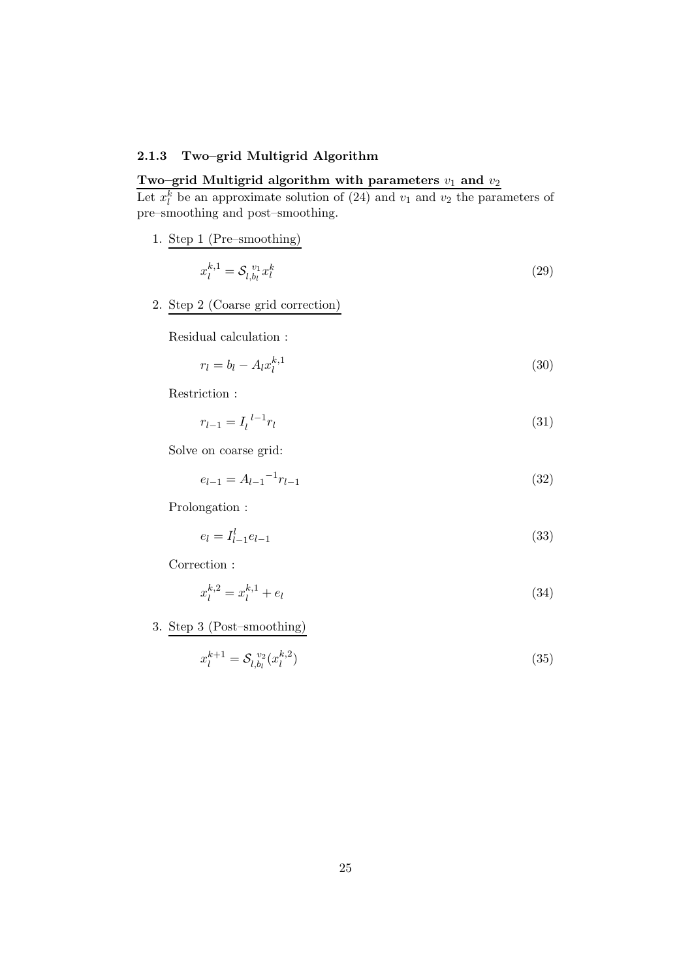## 2.1.3 Two–grid Multigrid Algorithm

# Two–grid Multigrid algorithm with parameters  $v_1$  and  $v_2$

Let  $x_l^k$  be an approximate solution of (24) and  $v_1$  and  $v_2$  the parameters of pre–smoothing and post–smoothing.

1. Step 1 (Pre–smoothing)

$$
x_l^{k,1} = \mathcal{S}_{l,b_l}^{v_1} x_l^k \tag{29}
$$

2. Step 2 (Coarse grid correction)

Residual calculation :

$$
r_l = b_l - A_l x_l^{k,1} \tag{30}
$$

Restriction :

$$
r_{l-1} = I_l^{l-1} r_l \tag{31}
$$

Solve on coarse grid:

$$
e_{l-1} = A_{l-1}^{-1} r_{l-1}
$$
\n(32)

Prolongation :

$$
e_l = I_{l-1}^l e_{l-1} \tag{33}
$$

Correction :

$$
x_l^{k,2} = x_l^{k,1} + e_l \tag{34}
$$

3. Step 3 (Post–smoothing)

$$
x_l^{k+1} = \mathcal{S}_{l,b_l}^{v_2}(x_l^{k,2})
$$
\n(35)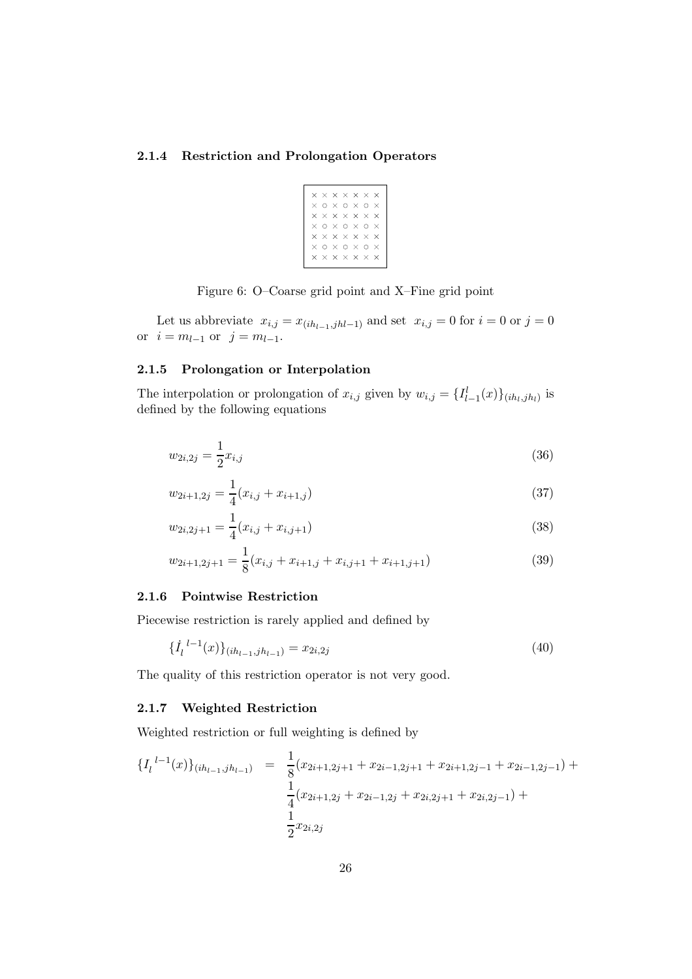#### 2.1.4 Restriction and Prolongation Operators

| $\times$ |          |                   | $\times$ $\times$ $\times$ $\times$ $\times$ |                   |          |              |  |
|----------|----------|-------------------|----------------------------------------------|-------------------|----------|--------------|--|
| $\times$ | O        | $\times$          |                                              | o x               | ∩        | $\times$     |  |
| ×        |          | $\times$ $\times$ |                                              | $\times$ $\times$ | $\times$ | $\times$     |  |
| ×.       | ∩        |                   | $\times$ 0 $\times$ 0                        |                   |          | $\times$     |  |
| $\times$ |          |                   | $\times$ $\times$ $\times$ $\times$          |                   | $\times$ | $\mathsf{x}$ |  |
| $\times$ | O        | $\times$          | o x                                          |                   | O        | $\times$     |  |
| $\times$ | $\times$ |                   | $\times$ $\times$ $\times$                   |                   | $\times$ | $\times$     |  |
|          |          |                   |                                              |                   |          |              |  |

Figure 6: O–Coarse grid point and X–Fine grid point

Let us abbreviate  $x_{i,j} = x_{(ih_{l-1},jhl-1)}$  and set  $x_{i,j} = 0$  for  $i = 0$  or  $j = 0$ or  $i = m_{l-1}$  or  $j = m_{l-1}$ .

## 2.1.5 Prolongation or Interpolation

The interpolation or prolongation of  $x_{i,j}$  given by  $w_{i,j} = \{I_{l-1}^l(x)\}_{(ih_l,jh_l)}$  is defined by the following equations

$$
w_{2i,2j} = \frac{1}{2}x_{i,j} \tag{36}
$$

$$
w_{2i+1,2j} = \frac{1}{4}(x_{i,j} + x_{i+1,j})
$$
\n(37)

$$
w_{2i,2j+1} = \frac{1}{4}(x_{i,j} + x_{i,j+1})
$$
\n(38)

$$
w_{2i+1,2j+1} = \frac{1}{8}(x_{i,j} + x_{i+1,j} + x_{i,j+1} + x_{i+1,j+1})
$$
\n(39)

#### 2.1.6 Pointwise Restriction

Piecewise restriction is rarely applied and defined by

$$
\{\dot{I}_l^{l-1}(x)\}_{(ih_{l-1},jh_{l-1})} = x_{2i,2j} \tag{40}
$$

The quality of this restriction operator is not very good.

### 2.1.7 Weighted Restriction

Weighted restriction or full weighting is defined by

$$
\{I_l^{l-1}(x)\}_{(ih_{l-1},jh_{l-1})} = \frac{1}{8}(x_{2i+1,2j+1} + x_{2i-1,2j+1} + x_{2i+1,2j-1} + x_{2i-1,2j-1}) + \frac{1}{4}(x_{2i+1,2j} + x_{2i-1,2j} + x_{2i,2j+1} + x_{2i,2j-1}) + \frac{1}{2}x_{2i,2j}
$$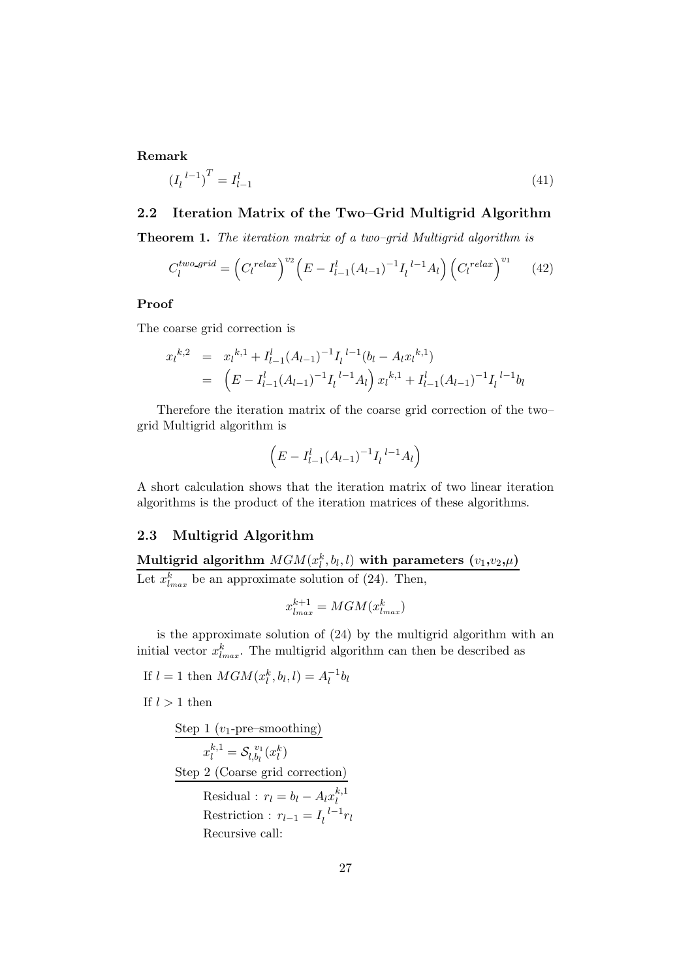#### Remark

$$
(I_l^{l-1})^T = I_{l-1}^l \tag{41}
$$

#### 2.2 Iteration Matrix of the Two–Grid Multigrid Algorithm

Theorem 1. The iteration matrix of a two–grid Multigrid algorithm is

$$
C_l^{two\text{-}grid} = \left(C_l^{relax}\right)^{v_2} \left(E - I_{l-1}^l (A_{l-1})^{-1} I_l^{l-1} A_l\right) \left(C_l^{relax}\right)^{v_1} \tag{42}
$$

#### Proof

The coarse grid correction is

$$
x_l^{k,2} = x_l^{k,1} + I_{l-1}^l (A_{l-1})^{-1} I_l^{l-1} (b_l - A_l x_l^{k,1})
$$
  
= 
$$
(E - I_{l-1}^l (A_{l-1})^{-1} I_l^{l-1} A_l) x_l^{k,1} + I_{l-1}^l (A_{l-1})^{-1} I_l^{l-1} b_l
$$

Therefore the iteration matrix of the coarse grid correction of the two– grid Multigrid algorithm is

$$
\left(E - I_{l-1}^{l}(A_{l-1})^{-1}I_{l}^{l-1}A_{l}\right)
$$

A short calculation shows that the iteration matrix of two linear iteration algorithms is the product of the iteration matrices of these algorithms.

## 2.3 Multigrid Algorithm

Multigrid algorithm  $MGM(x_l^k,b_l,l)$  with parameters  $(v_1,v_2,\mu)$ Let  $x_{l_{max}}^k$  be an approximate solution of (24). Then,

$$
x_{l_{max}}^{k+1} = MGM(x_{l_{max}}^k)
$$

is the approximate solution of (24) by the multigrid algorithm with an initial vector  $x_{l_{max}}^k$ . The multigrid algorithm can then be described as

If  $l = 1$  then  $MGM(x_l^k, b_l, l) = A_l^{-1}b_l$ 

If  $l > 1$  then

| Step 1 $(v_1$ -pre-smoothing)                  |
|------------------------------------------------|
| $x_l^{k,1} = \mathcal{S}_{l,b_l}^{v_1}(x_l^k)$ |
| Step 2 (Coarse grid correction)                |
| Residual: $r_l = b_l - A_l x_l^{k,1}$          |
| Restriction: $r_{l-1} = I_l^{l-1} r_l$         |
| Recursive call:                                |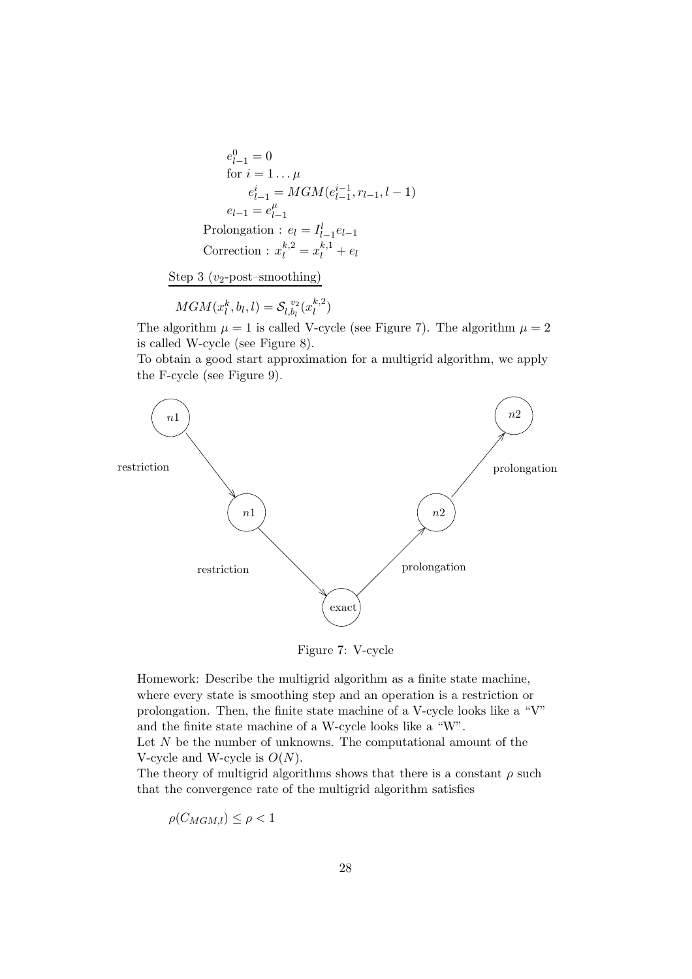$$
e_{l-1}^{0} = 0
$$
  
for  $i = 1... \mu$   

$$
e_{l-1}^{i} = MGM(e_{l-1}^{i-1}, r_{l-1}, l-1)
$$
  

$$
e_{l-1} = e_{l-1}^{\mu}
$$
  
Prolongation :  $e_l = I_{l-1}^l e_{l-1}$   
Correction :  $x_l^{k,2} = x_l^{k,1} + e_l$ 

Step 3  $(v_2$ -post–smoothing)

 $MGM(x_l^k, b_l, l) = \mathcal{S}_{l, b_l}^{\ v_2}$  $\int_{l,b_l}^{v_2} (x_l^{k,2})$  $\binom{k,2}{l}$ 

The algorithm  $\mu = 1$  is called V-cycle (see Figure 7). The algorithm  $\mu = 2$ is called W-cycle (see Figure 8).

To obtain a good start approximation for a multigrid algorithm, we apply the F-cycle (see Figure 9).



Figure 7: V-cycle

Homework: Describe the multigrid algorithm as a finite state machine, where every state is smoothing step and an operation is a restriction or prolongation. Then, the finite state machine of a V-cycle looks like a "V" and the finite state machine of a W-cycle looks like a "W". Let  $N$  be the number of unknowns. The computational amount of the V-cycle and W-cycle is  $O(N)$ .

The theory of multigrid algorithms shows that there is a constant  $\rho$  such that the convergence rate of the multigrid algorithm satisfies

$$
\rho(C_{MGM,l}) \le \rho < 1
$$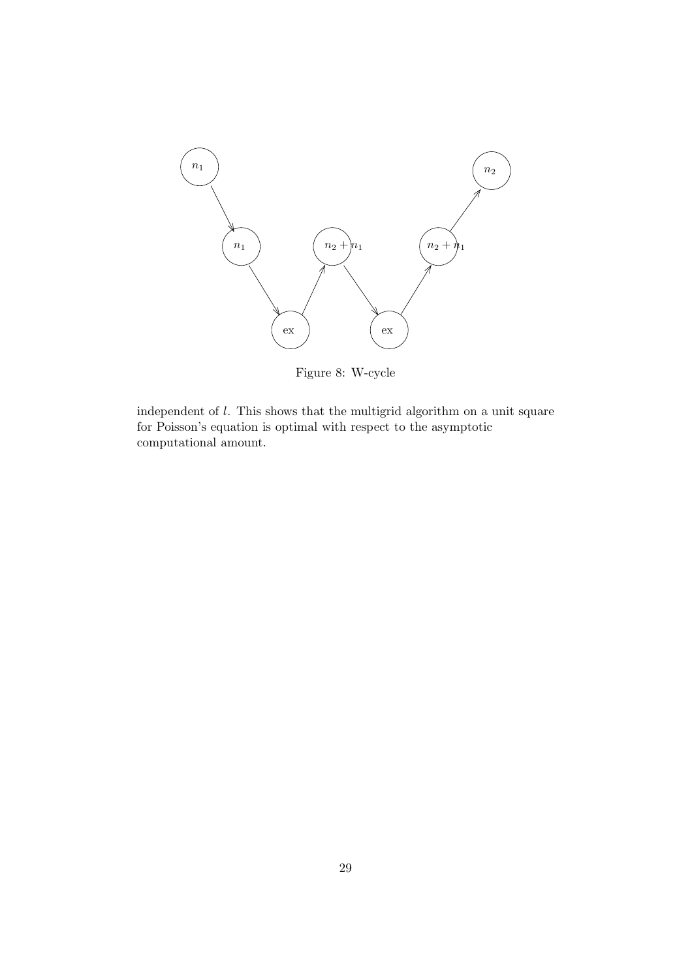

Figure 8: W-cycle

independent of l. This shows that the multigrid algorithm on a unit square for Poisson's equation is optimal with respect to the asymptotic computational amount.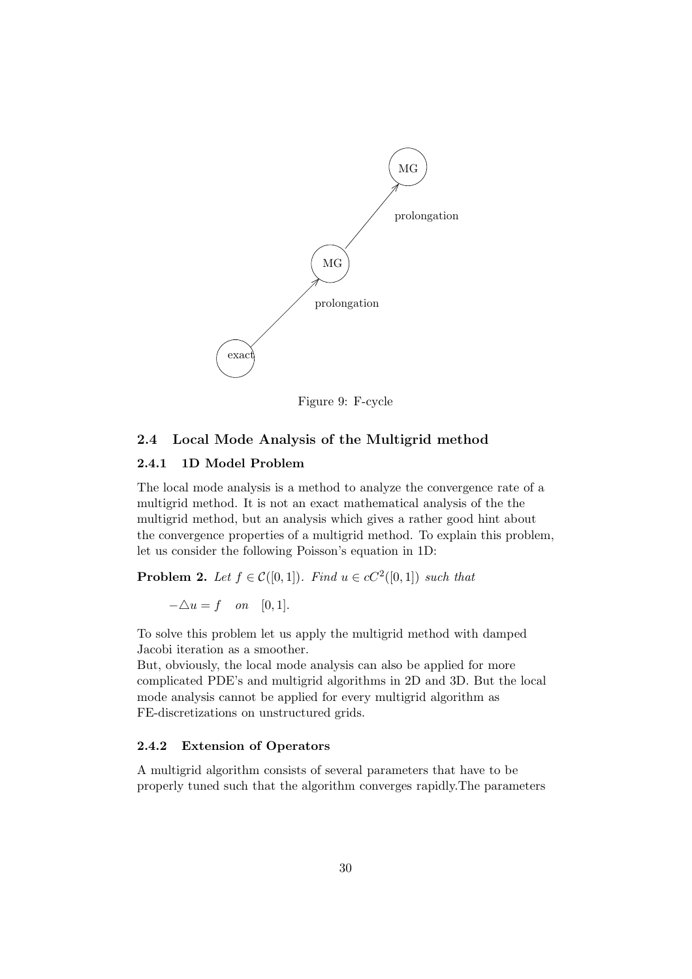

Figure 9: F-cycle

### 2.4 Local Mode Analysis of the Multigrid method

## 2.4.1 1D Model Problem

The local mode analysis is a method to analyze the convergence rate of a multigrid method. It is not an exact mathematical analysis of the the multigrid method, but an analysis which gives a rather good hint about the convergence properties of a multigrid method. To explain this problem, let us consider the following Poisson's equation in 1D:

**Problem 2.** Let  $f \in \mathcal{C}([0,1])$ . Find  $u \in cC^2([0,1])$  such that

 $-\Delta u = f$  on [0, 1].

To solve this problem let us apply the multigrid method with damped Jacobi iteration as a smoother.

But, obviously, the local mode analysis can also be applied for more complicated PDE's and multigrid algorithms in 2D and 3D. But the local mode analysis cannot be applied for every multigrid algorithm as FE-discretizations on unstructured grids.

#### 2.4.2 Extension of Operators

A multigrid algorithm consists of several parameters that have to be properly tuned such that the algorithm converges rapidly.The parameters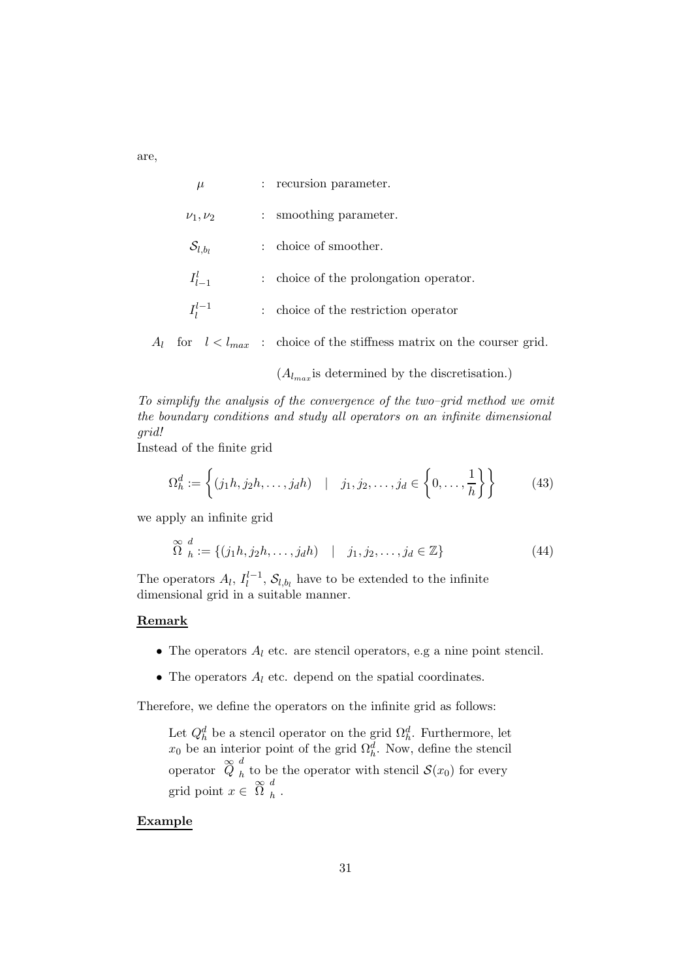are,

| $\mu$                 | : recursion parameter.                                     |
|-----------------------|------------------------------------------------------------|
| $\nu_1, \nu_2$        | smoothing parameter.<br>$\ddot{\phantom{0}}$               |
| $\mathcal{S}_{l,b_l}$ | choice of smoother.<br>÷                                   |
| $I_{l-1}^l$           | : choice of the prolongation operator.                     |
| $I_1^{l-1}$           | choice of the restriction operator<br>$\ddot{\phantom{a}}$ |
|                       |                                                            |

 $A_l$  for  $l < l_{max}$ : choice of the stiffness matrix on the courser grid.

 $(A_{l_{max}})$  is determined by the discretisation.)

To simplify the analysis of the convergence of the two–grid method we omit the boundary conditions and study all operators on an infinite dimensional grid!

Instead of the finite grid

$$
\Omega_h^d := \left\{ (j_1 h, j_2 h, \dots, j_d h) \quad | \quad j_1, j_2, \dots, j_d \in \left\{ 0, \dots, \frac{1}{h} \right\} \right\} \tag{43}
$$

we apply an infinite grid

$$
\widetilde{\Omega}^d_h := \{ (j_1 h, j_2 h, \dots, j_d h) \mid j_1, j_2, \dots, j_d \in \mathbb{Z} \}
$$
\n(44)

The operators  $A_l$ ,  $I_l^{l-1}$ ,  $S_{l,b_l}$  have to be extended to the infinite dimensional grid in a suitable manner.

#### Remark

- The operators  $A_l$  etc. are stencil operators, e.g a nine point stencil.
- The operators  $A_l$  etc. depend on the spatial coordinates.

Therefore, we define the operators on the infinite grid as follows:

Let  $Q_h^d$  be a stencil operator on the grid  $\Omega_h^d$ . Furthermore, let  $x_0$  be an interior point of the grid  $\Omega_h^d$ . Now, define the stencil operator  $\stackrel{\infty}{Q} \frac{d}{h}$ h to be the operator with stencil  $\mathcal{S}(x_0)$  for every grid point  $x \in \bigotimes_{h=0}^{\infty} \frac{d}{dx}$  $h$ .

#### Example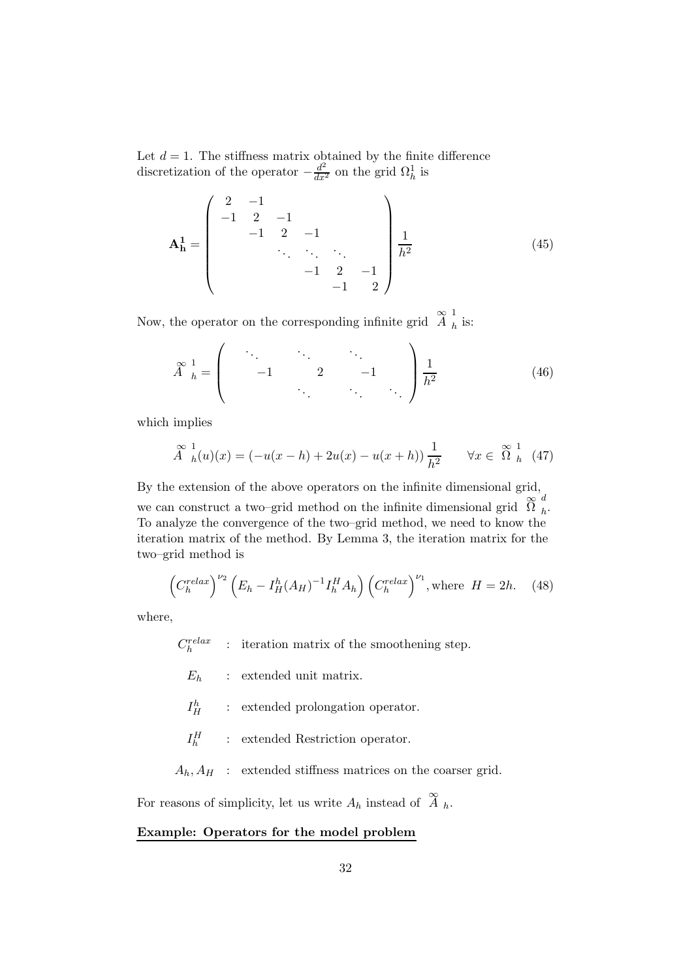Let  $d = 1$ . The stiffness matrix obtained by the finite difference discretization of the operator  $-\frac{d^2}{dx^2}$  on the grid  $\Omega_h^1$  is

$$
\mathbf{A}_{\mathbf{h}}^1 = \begin{pmatrix} 2 & -1 & & & & \\ -1 & 2 & -1 & & & \\ & -1 & 2 & -1 & & \\ & & \ddots & \ddots & \ddots & \\ & & & -1 & 2 & -1 \\ & & & & -1 & 2 \end{pmatrix} \frac{1}{h^2}
$$
(45)

Now, the operator on the corresponding infinite grid  $\mathcal{Z}_{h}^{1}$  $<sub>h</sub>$  is:</sub>

$$
\stackrel{\infty}{A}^{1}_{h} = \begin{pmatrix} \ddots & \ddots & \ddots & \ddots \\ & -1 & 2 & -1 \\ & & \ddots & \ddots \end{pmatrix} \frac{1}{h^{2}} \tag{46}
$$

which implies

$$
\stackrel{\infty}{A}_{h}^{1}(u)(x) = (-u(x-h) + 2u(x) - u(x+h))\frac{1}{h^{2}} \quad \forall x \in \stackrel{\infty}{\Omega}_{h}^{1}(47)
$$

By the extension of the above operators on the infinite dimensional grid, we can construct a two–grid method on the infinite dimensional grid  $\widetilde{\Omega}$   $_h^d$  $h^{\mathbf{.}}$ To analyze the convergence of the two–grid method, we need to know the iteration matrix of the method. By Lemma 3, the iteration matrix for the two–grid method is

$$
\left(C_h^{relax}\right)^{\nu_2}\left(E_h - I_H^h(A_H)^{-1}I_h^H A_h\right)\left(C_h^{relax}\right)^{\nu_1}, \text{where } H = 2h. \quad (48)
$$

where,

 $C_h^{relax}$  : iteration matrix of the smoothening step.

 $E_h$  : extended unit matrix.

 $I^h_H$ : extended prolongation operator.

 $I_h^H$ : extended Restriction operator.

 $A_h$ ,  $A_H$  : extended stiffness matrices on the coarser grid.

For reasons of simplicity, let us write  $A_h$  instead of  $\stackrel{\infty}{A}_h$ .

# Example: Operators for the model problem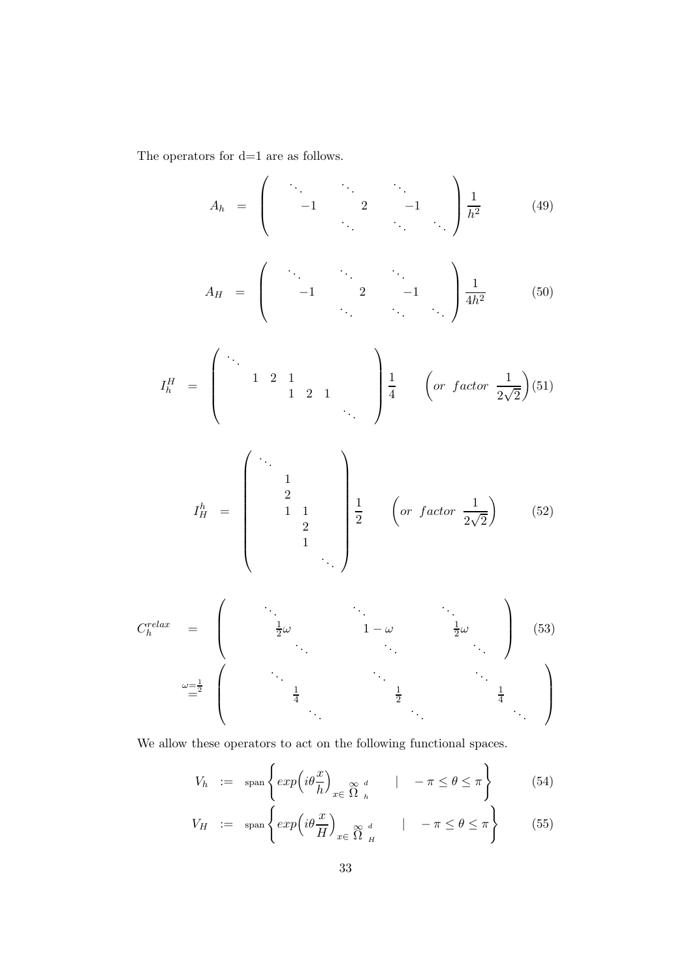The operators for  $\mathrm{d}{=}1$  are as follows.

$$
A_h = \begin{pmatrix} \cdot & \cdot & \cdot & \cdot \\ -1 & 2 & -1 & \cdot \\ \cdot & \cdot & \cdot & \cdot \end{pmatrix} \frac{1}{h^2} \qquad (49)
$$

$$
A_H = \begin{pmatrix} \ddots & \ddots & \ddots \\ -1 & 2 & -1 \\ \ddots & \ddots & \ddots \end{pmatrix} \frac{1}{4h^2} \qquad (50)
$$

$$
I_h^H = \begin{pmatrix} \ddots & & & \\ & 1 & 2 & 1 & \\ & & 1 & 2 & 1 \\ & & & & \ddots \end{pmatrix} \frac{1}{4} \quad \left( or \ factor \ \frac{1}{2\sqrt{2}} \right) (51)
$$

$$
I_H^h = \begin{pmatrix} \ddots & & & \\ & 1 & & & \\ & & 2 & & \\ & & & 1 & 1 \\ & & & & 2 & \\ & & & & & \ddots \end{pmatrix} \begin{pmatrix} 1 & & & & \\ 1 & 1 & & & \\ 2 & & & & (or factor  $\frac{1}{2\sqrt{2}} \end{pmatrix}$  (52)
$$

$$
C_h^{relax} = \begin{pmatrix} \ddots & \ddots & \ddots & \ddots \\ \frac{1}{2}\omega & 1-\omega & \frac{1}{2}\omega \\ \ddots & \ddots & \ddots & \ddots \end{pmatrix}
$$
 (53)  

$$
\omega = \frac{1}{2} \begin{pmatrix} \ddots & \ddots & \ddots & \ddots \\ \frac{1}{4} & \ddots & \frac{1}{2} & \frac{1}{4} \\ \ddots & \ddots & \ddots & \ddots \end{pmatrix}
$$

We allow these operators to act on the following functional spaces.

$$
V_h := \text{span}\left\{ \exp\left(i\theta \frac{x}{h}\right)_{x \in \Omega} \underset{h}{\otimes} d \quad | \quad -\pi \le \theta \le \pi \right\} \tag{54}
$$

$$
V_H := \text{span}\left\{ \exp\left(i\theta \frac{x}{H}\right)_{x \in \Omega} \underset{H}{\otimes} d \qquad | -\pi \le \theta \le \pi \right\} \tag{55}
$$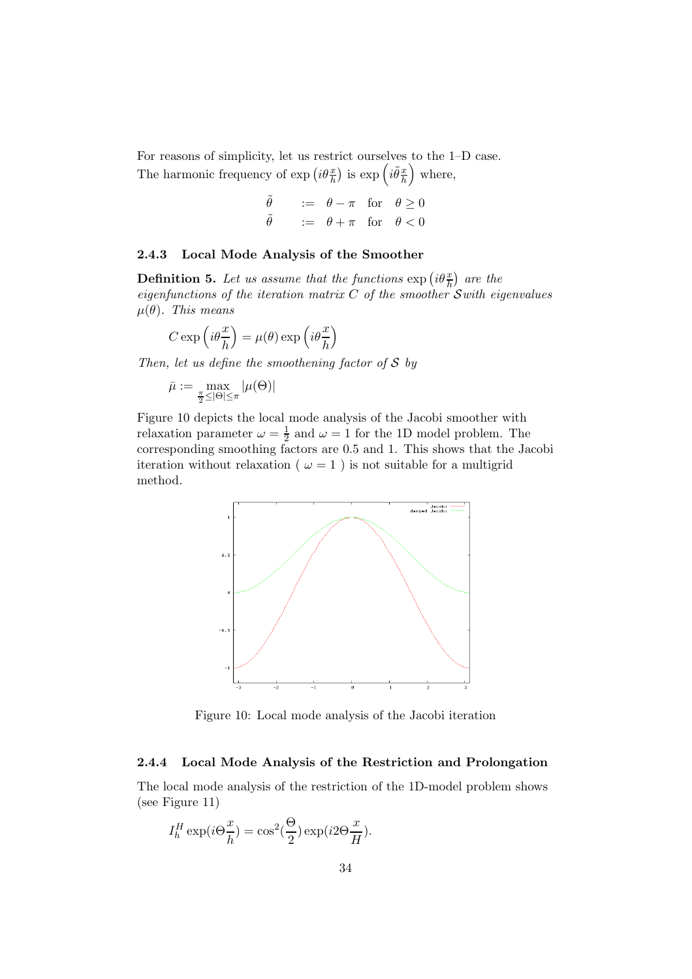For reasons of simplicity, let us restrict ourselves to the 1–D case. The harmonic frequency of  $\exp\left(i\theta\frac{x}{h}\right)$  is  $\exp\left(i\tilde{\theta}\frac{x}{h}\right)$ h where,

| $\ddot{\theta}$  | $:= \theta - \pi$ for $\theta \ge 0$ |  |
|------------------|--------------------------------------|--|
| $\tilde{\theta}$ | $:= \theta + \pi$ for $\theta < 0$   |  |

#### 2.4.3 Local Mode Analysis of the Smoother

**Definition 5.** Let us assume that the functions  $\exp\left(i\theta\frac{x}{h}\right)$  are the eigenfunctions of the iteration matrix  $C$  of the smoother  $\mathcal S$  with eigenvalues  $\mu(\theta)$ . This means

$$
C \exp\left(i\theta \frac{x}{h}\right) = \mu(\theta) \exp\left(i\theta \frac{x}{h}\right)
$$

Then, let us define the smoothening factor of  $S$  by

$$
\bar{\mu} := \max_{\frac{\pi}{2} \leq |\Theta| \leq \pi} |\mu(\Theta)|
$$

Figure 10 depicts the local mode analysis of the Jacobi smoother with relaxation parameter  $\omega = \frac{1}{2}$  $\frac{1}{2}$  and  $\omega = 1$  for the 1D model problem. The corresponding smoothing factors are 0.5 and 1. This shows that the Jacobi iteration without relaxation ( $\omega = 1$ ) is not suitable for a multigrid method.



Figure 10: Local mode analysis of the Jacobi iteration

#### 2.4.4 Local Mode Analysis of the Restriction and Prolongation

The local mode analysis of the restriction of the 1D-model problem shows (see Figure 11)

$$
I_h^H \exp(i\Theta \frac{x}{h}) = \cos^2(\frac{\Theta}{2}) \exp(i2\Theta \frac{x}{H}).
$$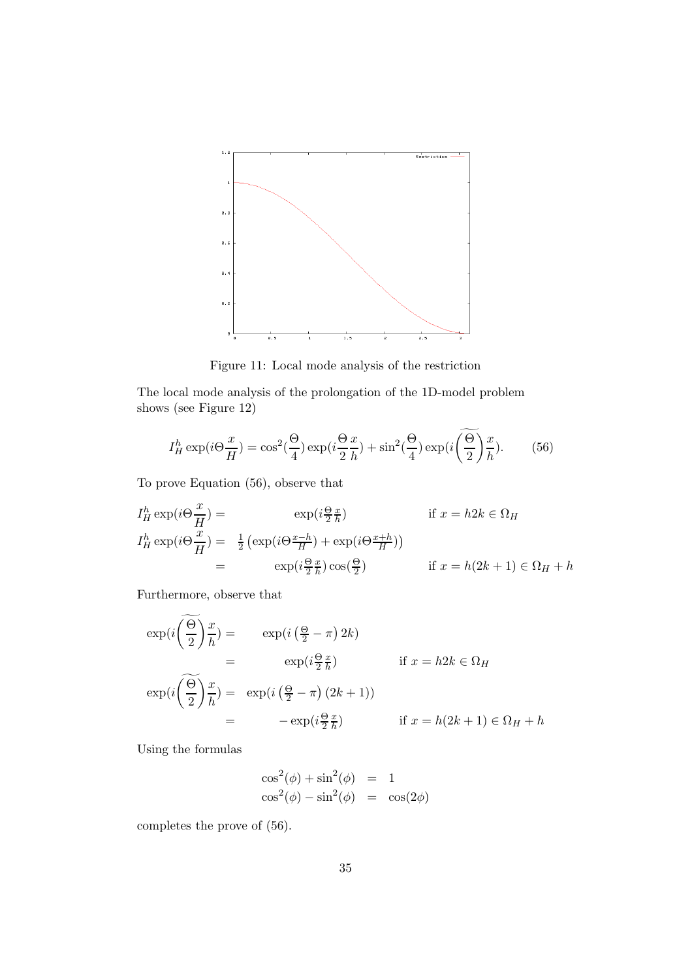

Figure 11: Local mode analysis of the restriction

The local mode analysis of the prolongation of the 1D-model problem shows (see Figure 12)

$$
I_H^h \exp(i\Theta \frac{x}{H}) = \cos^2(\frac{\Theta}{4}) \exp(i\frac{\Theta}{2}\frac{x}{h}) + \sin^2(\frac{\Theta}{4}) \exp(i\left(\frac{\Theta}{2}\right)\frac{x}{h}).
$$
 (56)

To prove Equation (56), observe that

$$
I_H^h \exp(i\Theta \frac{x}{H}) = \exp(i\frac{\Theta x}{H}) \quad \text{if } x = h2k \in \Omega_H
$$
  
\n
$$
I_H^h \exp(i\Theta \frac{x}{H}) = \frac{1}{2} \left( \exp(i\Theta \frac{x-h}{H}) + \exp(i\Theta \frac{x+h}{H}) \right)
$$
  
\n
$$
= \exp(i\frac{\Theta x}{2\hbar}) \cos(\frac{\Theta}{2}) \quad \text{if } x = h(2k+1) \in \Omega_H + h
$$

Furthermore, observe that

$$
\exp\left(i\left(\frac{\widetilde{\Theta}}{2}\right)\frac{x}{h}\right) = \exp\left(i\left(\frac{\Theta}{2} - \pi\right)2k\right)
$$
  
\n
$$
= \exp\left(i\frac{\Theta}{2}\frac{x}{h}\right) \quad \text{if } x = h2k \in \Omega_H
$$
  
\n
$$
\exp\left(i\left(\frac{\Theta}{2}\right)\frac{x}{h}\right) = \exp\left(i\left(\frac{\Theta}{2} - \pi\right)(2k+1)\right)
$$
  
\n
$$
= -\exp\left(i\frac{\Theta}{2}\frac{x}{h}\right) \quad \text{if } x = h(2k+1) \in \Omega_H + h
$$

Using the formulas

$$
\cos^2(\phi) + \sin^2(\phi) = 1
$$
  

$$
\cos^2(\phi) - \sin^2(\phi) = \cos(2\phi)
$$

completes the prove of (56).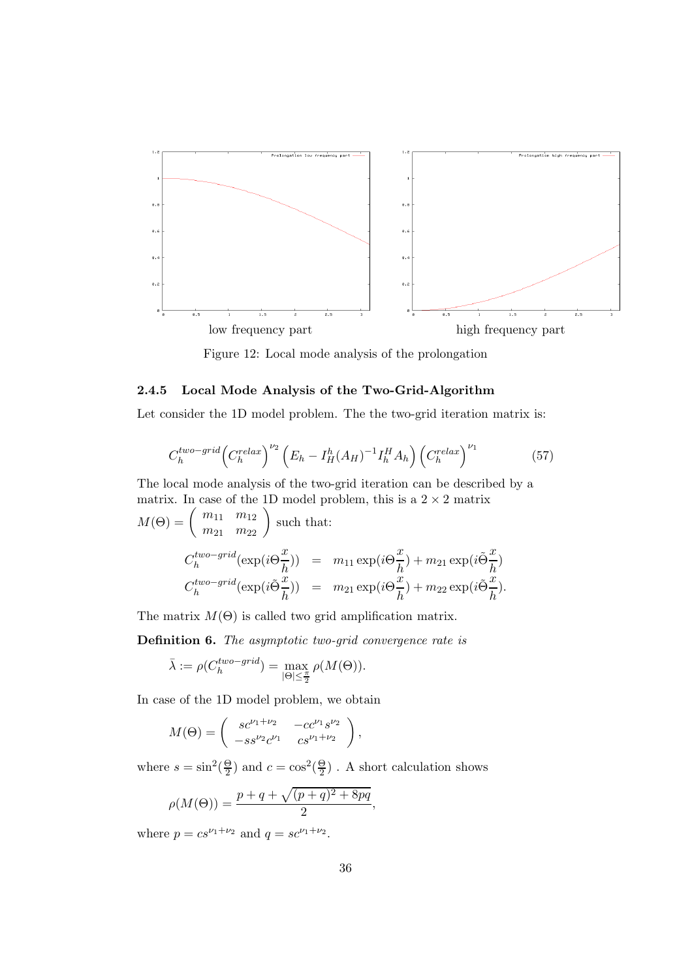

Figure 12: Local mode analysis of the prolongation

### 2.4.5 Local Mode Analysis of the Two-Grid-Algorithm

Let consider the 1D model problem. The the two-grid iteration matrix is:

$$
C_h^{two-grid} \left( C_h^{relax} \right)^{\nu_2} \left( E_h - I_H^h (A_H)^{-1} I_h^H A_h \right) \left( C_h^{relax} \right)^{\nu_1} \tag{57}
$$

The local mode analysis of the two-grid iteration can be described by a matrix. In case of the 1D model problem, this is a  $2 \times 2$  matrix

$$
M(\Theta) = \begin{pmatrix} m_{11} & m_{12} \\ m_{21} & m_{22} \end{pmatrix} \text{ such that:}
$$
  

$$
C_h^{two-grid}(\exp(i\Theta_{\overline{h}}^{\underline{x}})) = m_{11} \exp(i\Theta_{\overline{h}}^{\underline{x}}) + m_{21} \exp(i\tilde{\Theta}_{\overline{h}}^{\underline{x}})
$$
  

$$
C_h^{two-grid}(\exp(i\tilde{\Theta}_{\overline{h}}^{\underline{x}})) = m_{21} \exp(i\Theta_{\overline{h}}^{\underline{x}}) + m_{22} \exp(i\tilde{\Theta}_{\overline{h}}^{\underline{x}}).
$$

The matrix  $M(\Theta)$  is called two grid amplification matrix.

Definition 6. The asymptotic two-grid convergence rate is

$$
\bar{\lambda} := \rho(C_h^{two-grid}) = \max_{|\Theta| \le \frac{\pi}{2}} \rho(M(\Theta)).
$$

In case of the 1D model problem, we obtain

$$
M(\Theta) = \begin{pmatrix} s c^{\nu_1 + \nu_2} & -c c^{\nu_1} s^{\nu_2} \\ -s s^{\nu_2} c^{\nu_1} & c s^{\nu_1 + \nu_2} \end{pmatrix},
$$

where  $s = \sin^2(\frac{\Theta}{2})$  $\frac{\Theta}{2}$ ) and  $c = \cos^2(\frac{\Theta}{2})$  $\frac{6}{2}$ ). A short calculation shows

$$
\rho(M(\Theta)) = \frac{p + q + \sqrt{(p + q)^2 + 8pq}}{2},
$$

where  $p = cs^{\nu_1 + \nu_2}$  and  $q = sc^{\nu_1 + \nu_2}$ .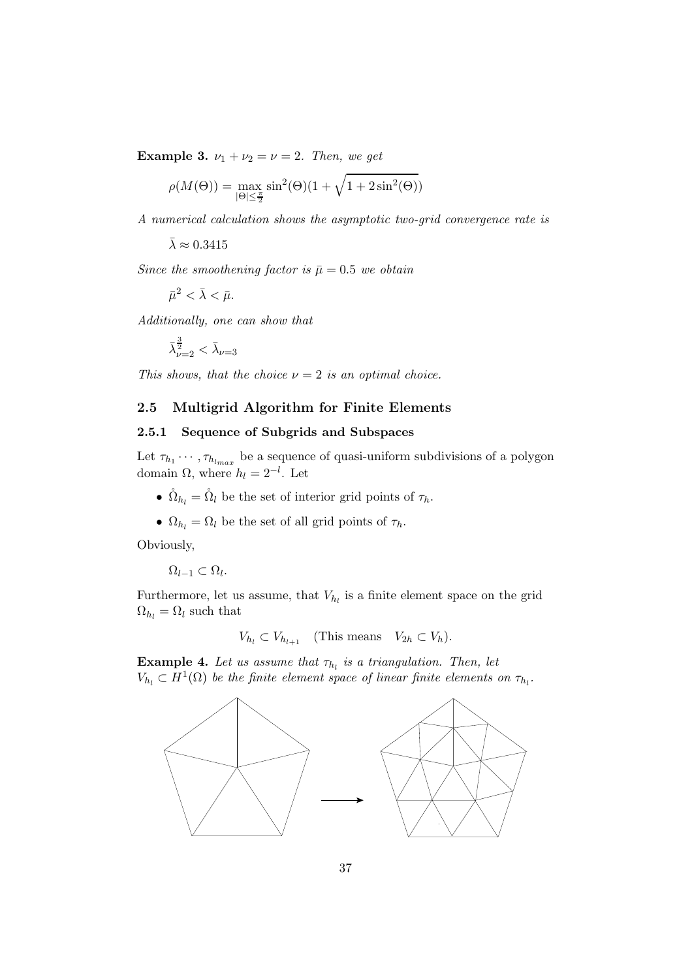Example 3.  $\nu_1 + \nu_2 = \nu = 2$ . Then, we get

$$
\rho(M(\Theta)) = \max_{|\Theta| \le \frac{\pi}{2}} \sin^2(\Theta)(1 + \sqrt{1 + 2\sin^2(\Theta)})
$$

A numerical calculation shows the asymptotic two-grid convergence rate is

 $\bar{\lambda} \approx 0.3415$ 

Since the smoothening factor is  $\bar{\mu} = 0.5$  we obtain

 $\bar{\mu}^2 < \bar{\lambda} < \bar{\mu}.$ 

Additionally, one can show that

$$
\bar{\lambda}_{\nu=2}^{\frac{3}{2}}<\bar{\lambda}_{\nu=3}
$$

This shows, that the choice  $\nu = 2$  is an optimal choice.

### 2.5 Multigrid Algorithm for Finite Elements

### 2.5.1 Sequence of Subgrids and Subspaces

Let  $\tau_{h_1} \cdots, \tau_{h_{l_{max}}}$  be a sequence of quasi-uniform subdivisions of a polygon domain  $\Omega$ , where  $h_l = 2^{-l}$ . Let

- $\hat{\Omega}_{h_l} = \hat{\Omega}_l$  be the set of interior grid points of  $\tau_h$ .
- $\Omega_{h_l} = \Omega_l$  be the set of all grid points of  $\tau_h$ .

Obviously,

 $\Omega_{l-1} \subset \Omega_l.$ 

Furthermore, let us assume, that  $V_{h_l}$  is a finite element space on the grid  $\Omega_{h_l} = \Omega_l$  such that

 $V_{h_l} \subset V_{h_{l+1}}$  (This means  $V_{2h} \subset V_h$ ).

**Example 4.** Let us assume that  $\tau_{h_l}$  is a triangulation. Then, let  $V_{h_l} \subset H^1(\Omega)$  be the finite element space of linear finite elements on  $\tau_{h_l}$ .

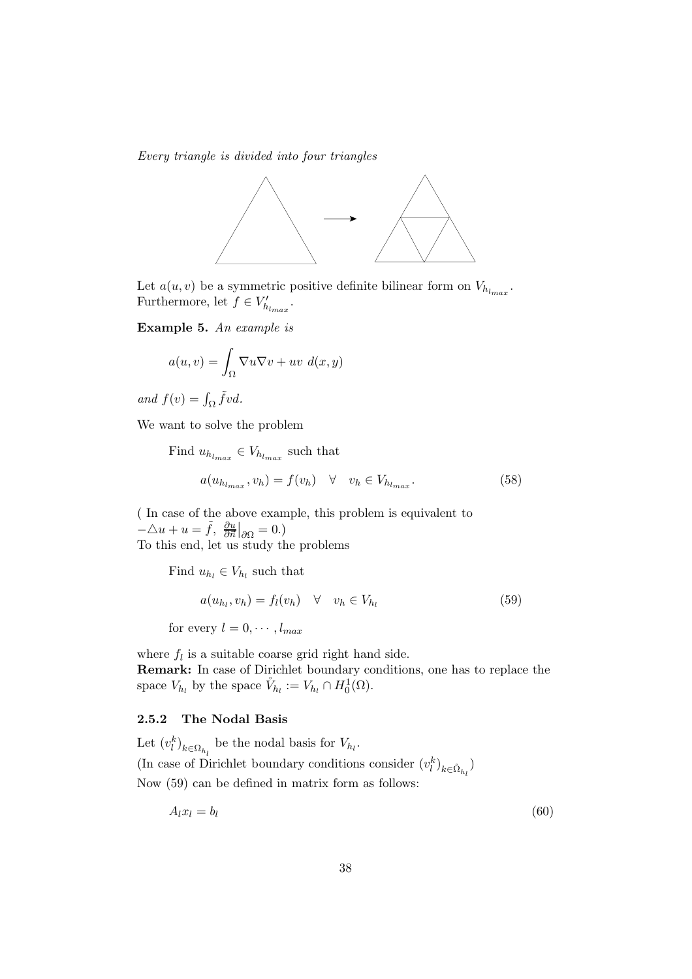Every triangle is divided into four triangles



Let  $a(u, v)$  be a symmetric positive definite bilinear form on  $V_{h_{l_{max}}}$ . Furthermore, let  $f \in V'_{h_{l_{max}}}$ .

Example 5. An example is

$$
a(u, v) = \int_{\Omega} \nabla u \nabla v + uv \, d(x, y)
$$

and  $f(v) = \int_{\Omega} \tilde{f}vd$ .

We want to solve the problem

Find  $u_{h_{l_{max}}} \in V_{h_{l_{max}}}$  such that  $a(u_{h_{l_{max}}}, v_h) = f(v_h) \quad \forall \quad v_h \in V_{h_{l_{max}}}$ . (58)

( In case of the above example, this problem is equivalent to  $-\triangle u + u = \tilde{f}, \frac{\partial u}{\partial \vec{n}}|_{\partial \Omega} = 0.$ To this end, let us study the problems

Find  $u_{h_l} \in V_{h_l}$  such that

$$
a(u_{h_l}, v_h) = f_l(v_h) \quad \forall \quad v_h \in V_{h_l}
$$
\n
$$
(59)
$$

for every  $l = 0, \cdots, l_{max}$ 

where  $f_l$  is a suitable coarse grid right hand side. Remark: In case of Dirichlet boundary conditions, one has to replace the space  $V_{h_l}$  by the space  $\mathring{V}_{h_l} := V_{h_l} \cap H_0^1(\Omega)$ .

## 2.5.2 The Nodal Basis

Let  $(v_l^k)_{k \in \Omega_{h_l}}$  be the nodal basis for  $V_{h_l}$ . (In case of Dirichlet boundary conditions consider  $(v_l^k)_{k \in \mathring{\Omega}_{h_l}}$ ) Now (59) can be defined in matrix form as follows:

$$
A_l x_l = b_l \tag{60}
$$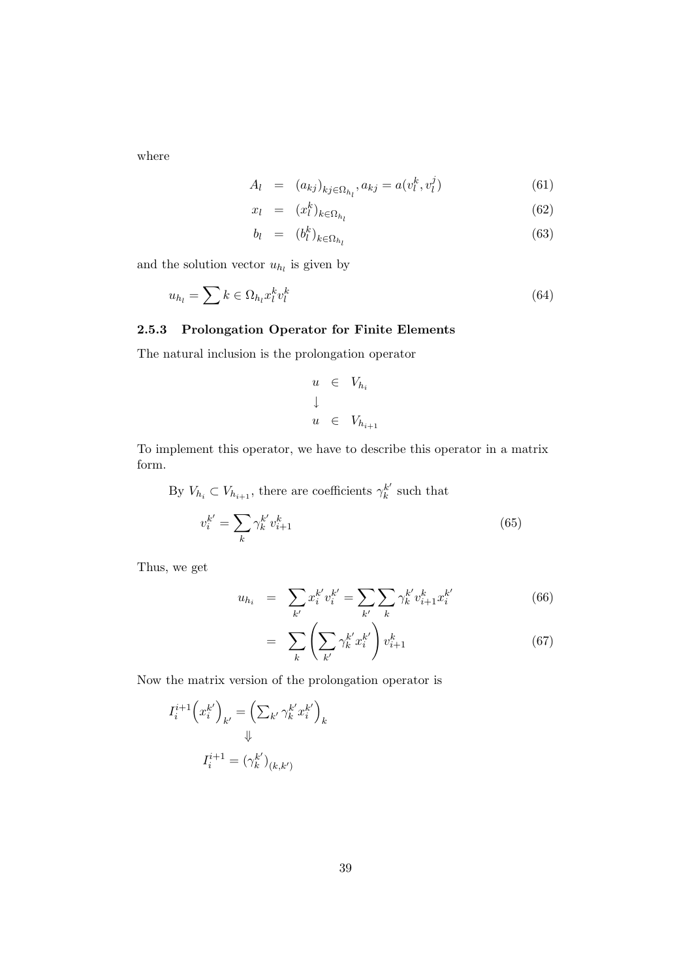where

$$
A_{l} = (a_{kj})_{kj \in \Omega_{h_l}}, a_{kj} = a(v_l^k, v_l^j)
$$
\n(61)

$$
x_l = (x_l^k)_{k \in \Omega_{h_l}} \tag{62}
$$

$$
b_l = (b_l^k)_{k \in \Omega_{h_l}} \tag{63}
$$

and the solution vector  $u_{h_l}$  is given by

$$
u_{h_l} = \sum k \in \Omega_{h_l} x_l^k v_l^k \tag{64}
$$

### 2.5.3 Prolongation Operator for Finite Elements

The natural inclusion is the prolongation operator

$$
u \in V_{h_i}
$$
  

$$
\downarrow
$$
  

$$
u \in V_{h_{i+1}}
$$

To implement this operator, we have to describe this operator in a matrix form.

By  $V_{h_i} \subset V_{h_{i+1}}$ , there are coefficients  $\gamma_k^{k'}$  $\frac{k}{k}$  such that

$$
v_i^{k'} = \sum_k \gamma_k^{k'} v_{i+1}^k \tag{65}
$$

Thus, we get

$$
u_{h_i} = \sum_{k'} x_i^{k'} v_i^{k'} = \sum_{k'} \sum_k \gamma_k^{k'} v_{i+1}^k x_i^{k'}
$$
 (66)

$$
= \sum_{k} \left( \sum_{k'} \gamma_k^{k'} x_i^{k'} \right) v_{i+1}^k \tag{67}
$$

Now the matrix version of the prolongation operator is

$$
I_i^{i+1} \left( x_i^{k'} \right)_{k'} = \left( \sum_{k'} \gamma_k^{k'} x_i^{k'} \right)_k
$$

$$
\Downarrow
$$

$$
I_i^{i+1} = \left( \gamma_k^{k'} \right)_{(k,k')}
$$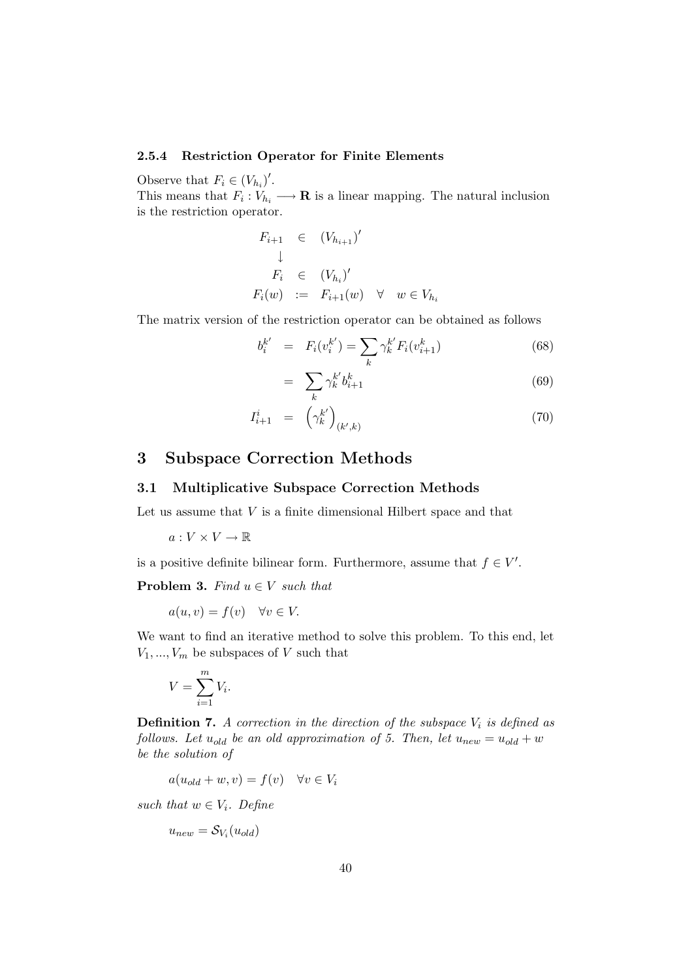### 2.5.4 Restriction Operator for Finite Elements

Observe that  $F_i \in (V_{h_i})'$ .

This means that  $F_i: V_{h_i} \longrightarrow \mathbf{R}$  is a linear mapping. The natural inclusion is the restriction operator.

$$
F_{i+1} \in (V_{h_{i+1}})'
$$
  
\n
$$
\downarrow
$$
  
\n
$$
F_i \in (V_{h_i})'
$$
  
\n
$$
F_i(w) := F_{i+1}(w) \quad \forall \quad w \in V_{h_i}
$$

The matrix version of the restriction operator can be obtained as follows

$$
b_i^{k'} = F_i(v_i^{k'}) = \sum_k \gamma_k^{k'} F_i(v_{i+1}^k)
$$
\n(68)

$$
= \sum_{k} \gamma_k^{k'} b_{i+1}^k \tag{69}
$$

$$
I_{i+1}^i = \left(\gamma_k^{k'}\right)_{(k',k)}\tag{70}
$$

## 3 Subspace Correction Methods

### 3.1 Multiplicative Subspace Correction Methods

Let us assume that  $V$  is a finite dimensional Hilbert space and that

 $a: V \times V \to \mathbb{R}$ 

is a positive definite bilinear form. Furthermore, assume that  $f \in V'$ .

**Problem 3.** Find  $u \in V$  such that

 $a(u, v) = f(v) \quad \forall v \in V.$ 

We want to find an iterative method to solve this problem. To this end, let  $V_1, ..., V_m$  be subspaces of V such that

$$
V = \sum_{i=1}^{m} V_i.
$$

**Definition 7.** A correction in the direction of the subspace  $V_i$  is defined as follows. Let  $u_{old}$  be an old approximation of 5. Then, let  $u_{new} = u_{old} + w$ be the solution of

 $a(u_{old} + w, v) = f(v) \quad \forall v \in V_i$ 

such that  $w \in V_i$ . Define

$$
u_{new} = \mathcal{S}_{V_i}(u_{old})
$$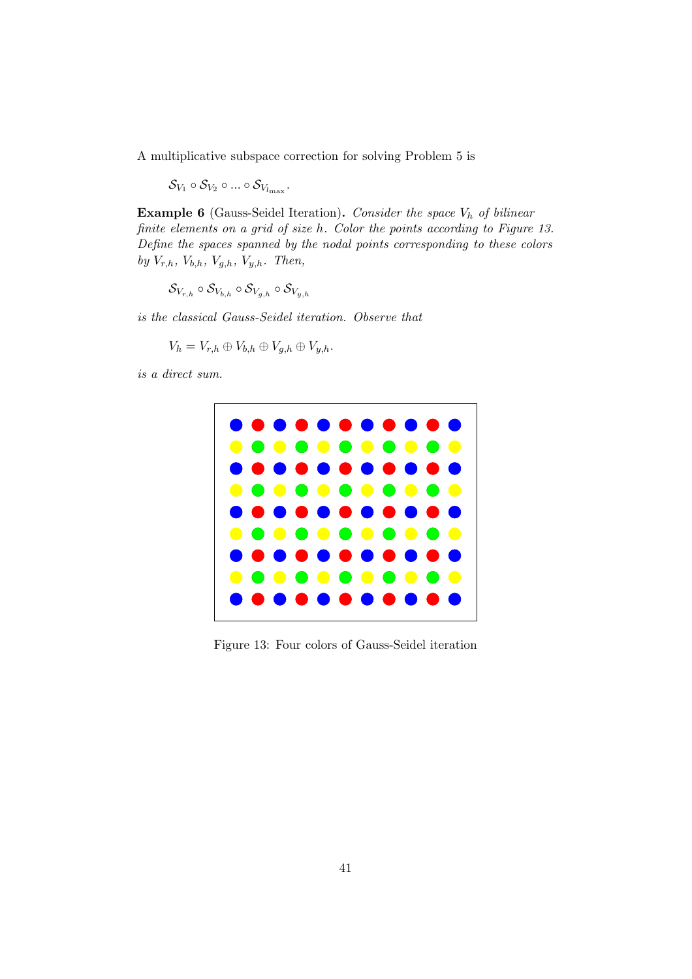A multiplicative subspace correction for solving Problem 5 is

 $\mathcal{S}_{V_1} \circ \mathcal{S}_{V_2} \circ ... \circ \mathcal{S}_{V_{l_{\rm max}}}.$ 

**Example 6** (Gauss-Seidel Iteration). Consider the space  $V_h$  of bilinear finite elements on a grid of size h. Color the points according to Figure 13. Define the spaces spanned by the nodal points corresponding to these colors by  $V_{r,h}$ ,  $V_{b,h}$ ,  $V_{g,h}$ ,  $V_{y,h}$ . Then,

$$
\mathcal{S}_{V_{r,h}}\circ\mathcal{S}_{V_{b,h}}\circ\mathcal{S}_{V_{g,h}}\circ\mathcal{S}_{V_{y,h}}
$$

is the classical Gauss-Seidel iteration. Observe that

$$
V_h = V_{r,h} \oplus V_{b,h} \oplus V_{g,h} \oplus V_{y,h}.
$$

is a direct sum.



Figure 13: Four colors of Gauss-Seidel iteration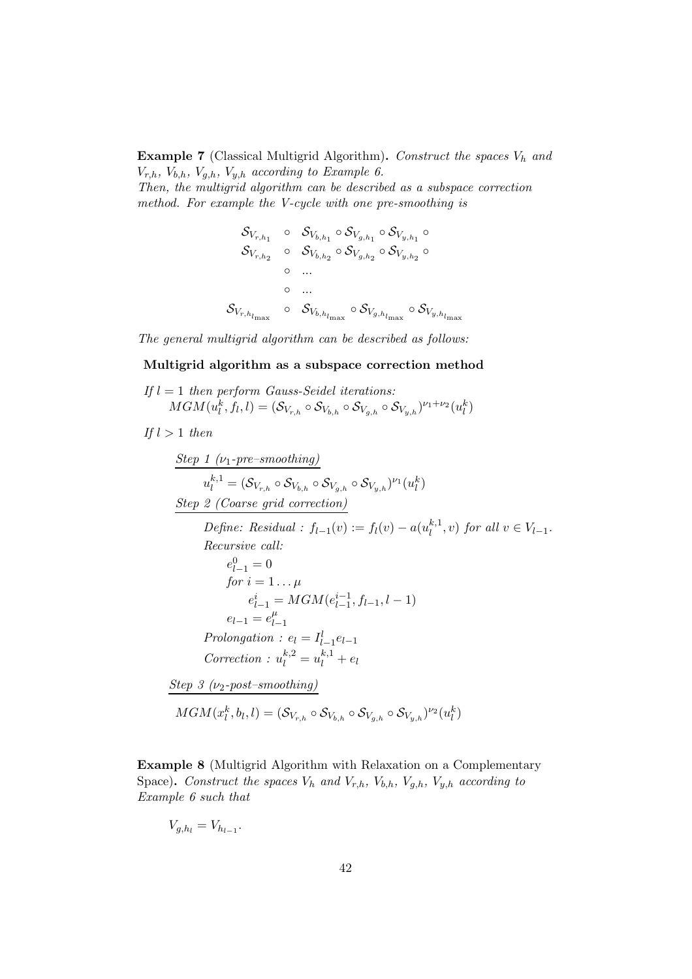**Example 7** (Classical Multigrid Algorithm). Construct the spaces  $V_h$  and  $V_{r,h}$ ,  $V_{b,h}$ ,  $V_{g,h}$ ,  $V_{y,h}$  according to Example 6.

Then, the multigrid algorithm can be described as a subspace correction method. For example the V-cycle with one pre-smoothing is

$$
\begin{array}{ccc}\n\mathcal{S}_{V_{r,h_1}} & \circ & \mathcal{S}_{V_{b,h_1}} \circ \mathcal{S}_{V_{g,h_1}} \circ & \mathcal{S}_{V_{y,h_1}} \circ \\
\mathcal{S}_{V_{r,h_2}} & \circ & \mathcal{S}_{V_{b,h_2}} \circ \mathcal{S}_{V_{g,h_2}} \circ & \mathcal{S}_{V_{y,h_2}} \circ \\
& \circ & \dots & \dots \\
\mathcal{S}_{V_{r,h_{l_{\max}}}} & \circ & \mathcal{S}_{V_{b,h_{l_{\max}}}} \circ \mathcal{S}_{V_{g,h_{l_{\max}}}} \circ & \mathcal{S}_{V_{y,h_{l_{\max}}}}\n\end{array}
$$

The general multigrid algorithm can be described as follows:

### Multigrid algorithm as a subspace correction method

If 
$$
l = 1
$$
 then perform Gauss-Seidel iterations:  
\n
$$
MGM(u_l^k, f_l, l) = (\mathcal{S}_{V_{r,h}} \circ \mathcal{S}_{V_{b,h}} \circ \mathcal{S}_{V_{y,h}})^{\nu_1 + \nu_2}(u_l^k)
$$

If  $l > 1$  then

Step 1 (
$$
\nu_1
$$
-pre-smoothing)  
\n $u_l^{k,1} = (S_{V_{r,h}} \circ S_{V_{b,h}} \circ S_{V_{g,h}} \circ S_{V_{y,h}})^{\nu_1}(u_l^k)$   
\nStep 2 (Coarse grid correction)  
\nDefine: Residual :  $f_{l-1}(v) := f_l(v) - a(u_l^{k,1}, v)$  for all  $v \in V_{l-1}$ .  
\nRecursive call:  
\n $e_{l-1}^0 = 0$   
\nfor  $i = 1... \mu$   
\n $e_{l-1}^i = MGM(e_{l-1}^{i-1}, f_{l-1}, l-1)$   
\n $e_{l-1} = e_{l-1}^{\mu}$   
\nProlongation :  $e_l = I_{l-1}^l e_{l-1}$   
\nCorrection :  $u_l^{k,2} = u_l^{k,1} + e_l$   
\nStep 3 ( $\nu_2$ -post-smoothing)  
\n $MGM(x_l^k, b_l, l) = (S_{V_{r,h}} \circ S_{V_{b,h}} \circ S_{V_{g,h}} \circ S_{V_{g,h}})^{\nu_2}(u_l^k)$ 

Example 8 (Multigrid Algorithm with Relaxation on a Complementary Space). Construct the spaces  $V_h$  and  $V_{r,h}$ ,  $V_{b,h}$ ,  $V_{g,h}$ ,  $V_{y,h}$  according to Example 6 such that

$$
V_{g,h_l} = V_{h_{l-1}}.
$$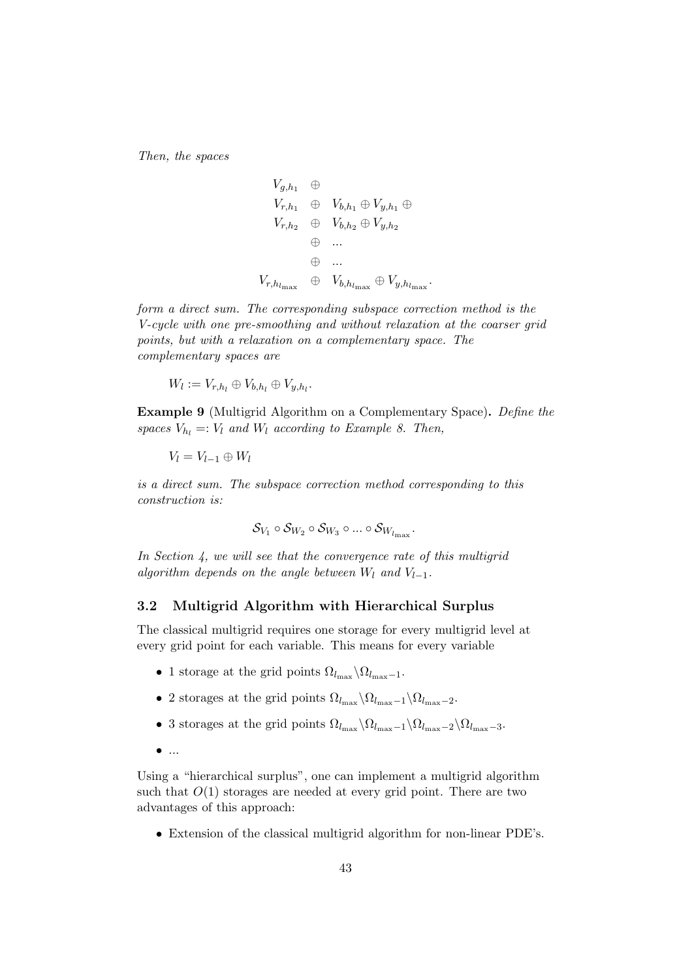Then, the spaces

$$
V_{g,h_1} \oplus V_{h,h_1} \oplus V_{g,h_1} \oplus V_{g,h_1}
$$
  
\n
$$
V_{r,h_2} \oplus V_{b,h_2} \oplus V_{g,h_2}
$$
  
\n
$$
\oplus \dots
$$
  
\n
$$
\oplus V_{r,h_{l_{\max}}} \oplus V_{b,h_{l_{\max}}} \oplus V_{g,h_{l_{\max}}}.
$$

form a direct sum. The corresponding subspace correction method is the V-cycle with one pre-smoothing and without relaxation at the coarser grid points, but with a relaxation on a complementary space. The complementary spaces are

$$
W_l := V_{r,h_l} \oplus V_{b,h_l} \oplus V_{y,h_l}.
$$

Example 9 (Multigrid Algorithm on a Complementary Space). Define the spaces  $V_{h_l} =: V_l$  and  $W_l$  according to Example 8. Then,

 $V_l = V_{l-1} \oplus W_l$ 

is a direct sum. The subspace correction method corresponding to this construction is:

$$
\mathcal{S}_{V_1} \circ \mathcal{S}_{W_2} \circ \mathcal{S}_{W_3} \circ ... \circ \mathcal{S}_{W_{l_{\max}}}.
$$

In Section 4, we will see that the convergence rate of this multigrid algorithm depends on the angle between  $W_l$  and  $V_{l-1}$ .

## 3.2 Multigrid Algorithm with Hierarchical Surplus

The classical multigrid requires one storage for every multigrid level at every grid point for each variable. This means for every variable

- 1 storage at the grid points  $\Omega_{l_{\text{max}}} \backslash \Omega_{l_{\text{max}}-1}$ .
- 2 storages at the grid points  $\Omega_{l_{\text{max}}}\backslash \Omega_{l_{\text{max}}-1}\backslash \Omega_{l_{\text{max}}-2}$ .
- 3 storages at the grid points  $\Omega_{l_{\max}}\setminus \Omega_{l_{\max}-1}\setminus \Omega_{l_{\max}-2}\setminus \Omega_{l_{\max}-3}$ .
- $\bullet$  ...

Using a "hierarchical surplus", one can implement a multigrid algorithm such that  $O(1)$  storages are needed at every grid point. There are two advantages of this approach:

• Extension of the classical multigrid algorithm for non-linear PDE's.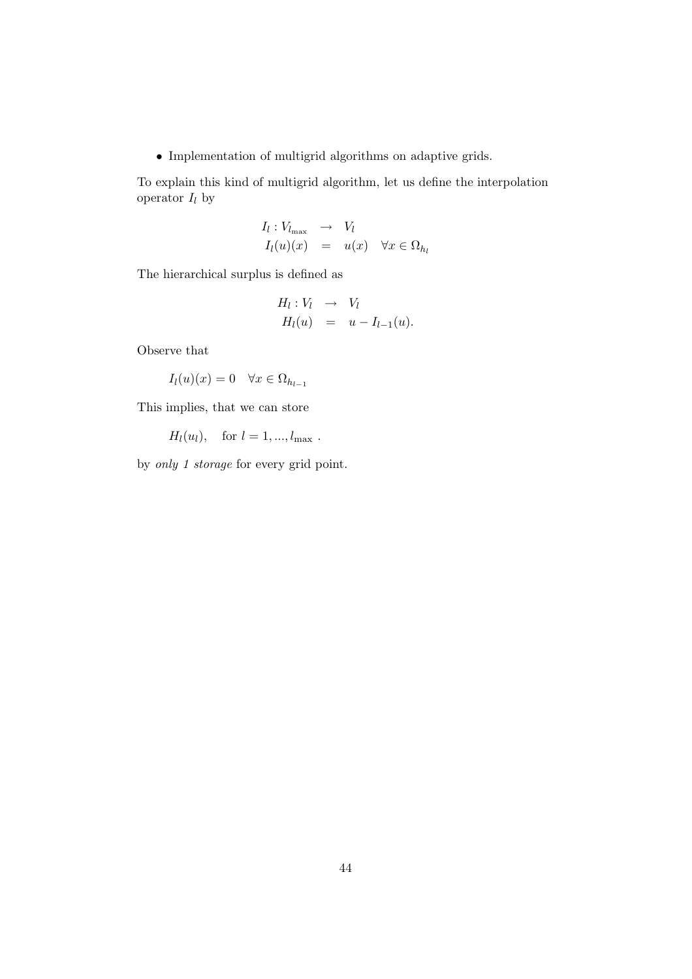$\bullet$  Implementation of multigrid algorithms on adaptive grids.

To explain this kind of multigrid algorithm, let us define the interpolation operator  $I_l$  by

$$
I_l: V_{l_{\max}} \to V_l
$$
  

$$
I_l(u)(x) = u(x) \quad \forall x \in \Omega_{h_l}
$$

The hierarchical surplus is defined as

$$
H_l: V_l \rightarrow V_l
$$
  

$$
H_l(u) = u - I_{l-1}(u).
$$

Observe that

$$
I_l(u)(x) = 0 \quad \forall x \in \Omega_{h_{l-1}}
$$

This implies, that we can store

 $H_l(u_l)$ , for  $l = 1, ..., l_{\text{max}}$ .

by only 1 storage for every grid point.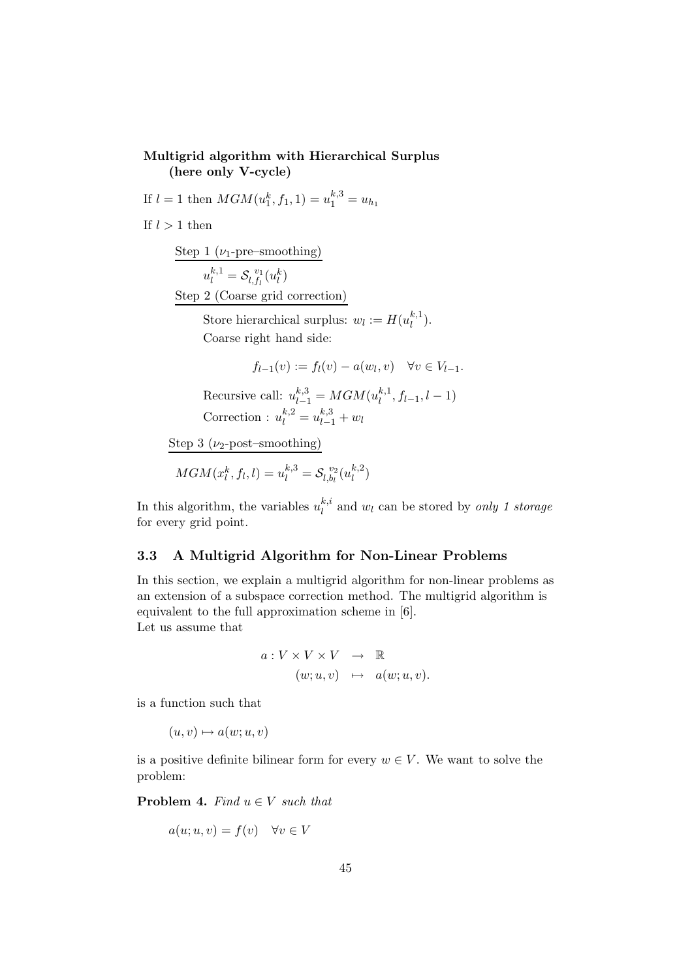## Multigrid algorithm with Hierarchical Surplus (here only V-cycle)

If  $l = 1$  then  $MGM(u_1^k, f_1, 1) = u_1^{k,3} = u_{h_1}$ 

If  $l > 1$  then

Step 1 ( $\nu_1$ -pre–smoothing)  $u_l^{k,1} = \mathcal{S}_{l,f_l}^{\ \ v_1}$  $\int_{l,f_l}^{v_1}(u_l^k)$ 

Step 2 (Coarse grid correction)

Store hierarchical surplus:  $w_l := H(u_l^{k,1})$  $\binom{\kappa,1}{l}$ . Coarse right hand side:

$$
f_{l-1}(v) := f_l(v) - a(w_l, v) \quad \forall v \in V_{l-1}.
$$

Recursive call:  $u_{l-1}^{k,3} = MGM(u_l^{k,1})$  $\binom{k,1}{l}, f_{l-1}, l-1)$ Correction :  $u_l^{k,2} = u_{l-1}^{k,3} + w_l$ 

Step 3 ( $\nu_2$ -post–smoothing)

$$
MGM(x_l^k,f_l,l)=u_l^{k,3}=\mathcal{S}_{l,b_l}^{v_2}(u_l^{k,2})
$$

In this algorithm, the variables  $u_l^{k,i}$  $\binom{k}{l}$  and  $w_l$  can be stored by only 1 storage for every grid point.

## 3.3 A Multigrid Algorithm for Non-Linear Problems

In this section, we explain a multigrid algorithm for non-linear problems as an extension of a subspace correction method. The multigrid algorithm is equivalent to the full approximation scheme in [6]. Let us assume that

$$
a: V \times V \times V \rightarrow \mathbb{R}
$$
  

$$
(w; u, v) \mapsto a(w; u, v).
$$

is a function such that

 $(u, v) \mapsto a(w; u, v)$ 

is a positive definite bilinear form for every  $w \in V$ . We want to solve the problem:

**Problem 4.** Find  $u \in V$  such that

$$
a(u; u, v) = f(v) \quad \forall v \in V
$$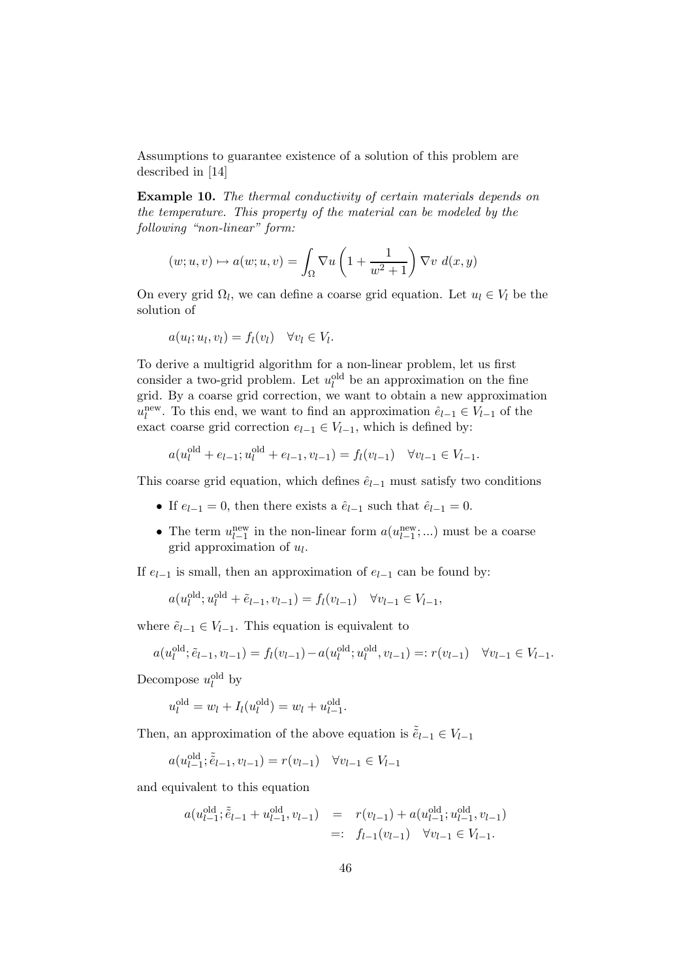Assumptions to guarantee existence of a solution of this problem are described in [14]

Example 10. The thermal conductivity of certain materials depends on the temperature. This property of the material can be modeled by the following "non-linear" form:

$$
(w; u, v) \mapsto a(w; u, v) = \int_{\Omega} \nabla u \left( 1 + \frac{1}{w^2 + 1} \right) \nabla v \, d(x, y)
$$

On every grid  $\Omega_l$ , we can define a coarse grid equation. Let  $u_l \in V_l$  be the solution of

$$
a(u_l; u_l, v_l) = f_l(v_l) \quad \forall v_l \in V_l.
$$

old

To derive a multigrid algorithm for a non-linear problem, let us first consider a two-grid problem. Let  $u_l^{\text{old}}$  be an approximation on the fine grid. By a coarse grid correction, we want to obtain a new approximation  $u_l^{\text{new}}$ . To this end, we want to find an approximation  $\hat{e}_{l-1} \in V_{l-1}$  of the exact coarse grid correction  $e_{l-1} \in V_{l-1}$ , which is defined by:

$$
a(u_l^{\text{old}} + e_{l-1}; u_l^{\text{old}} + e_{l-1}, v_{l-1}) = f_l(v_{l-1}) \quad \forall v_{l-1} \in V_{l-1}.
$$

This coarse grid equation, which defines  $\hat{e}_{l-1}$  must satisfy two conditions

- If  $e_{l-1} = 0$ , then there exists a  $\hat{e}_{l-1}$  such that  $\hat{e}_{l-1} = 0$ .
- The term  $u_{l-1}^{\text{new}}$  in the non-linear form  $a(u_{l-1}^{\text{new}}; ...)$  must be a coarse grid approximation of  $u_l$ .

If  $e_{l-1}$  is small, then an approximation of  $e_{l-1}$  can be found by:

$$
a(u_l^{\text{old}}; u_l^{\text{old}} + \tilde{e}_{l-1}, v_{l-1}) = f_l(v_{l-1}) \quad \forall v_{l-1} \in V_{l-1},
$$

where  $\tilde{e}_{l-1} \in V_{l-1}$ . This equation is equivalent to

$$
a(u_l^{\text{old}}; \tilde{e}_{l-1}, v_{l-1}) = f_l(v_{l-1}) - a(u_l^{\text{old}}; u_l^{\text{old}}, v_{l-1}) =: r(v_{l-1}) \quad \forall v_{l-1} \in V_{l-1}.
$$

.

Decompose  $u_l^{\text{old}}$  by

$$
u_l^{\text{old}} = w_l + I_l(u_l^{\text{old}}) = w_l + u_{l-1}^{\text{old}}
$$

Then, an approximation of the above equation is  $\tilde{e}_{l-1} \in V_{l-1}$ 

$$
a(u_{l-1}^{\text{old}}; \tilde{e}_{l-1}, v_{l-1}) = r(v_{l-1}) \quad \forall v_{l-1} \in V_{l-1}
$$

and equivalent to this equation

$$
a(u_{l-1}^{\text{old}}; \tilde{e}_{l-1} + u_{l-1}^{\text{old}}, v_{l-1}) = r(v_{l-1}) + a(u_{l-1}^{\text{old}}; u_{l-1}^{\text{old}}, v_{l-1})
$$
  

$$
=: f_{l-1}(v_{l-1}) \quad \forall v_{l-1} \in V_{l-1}.
$$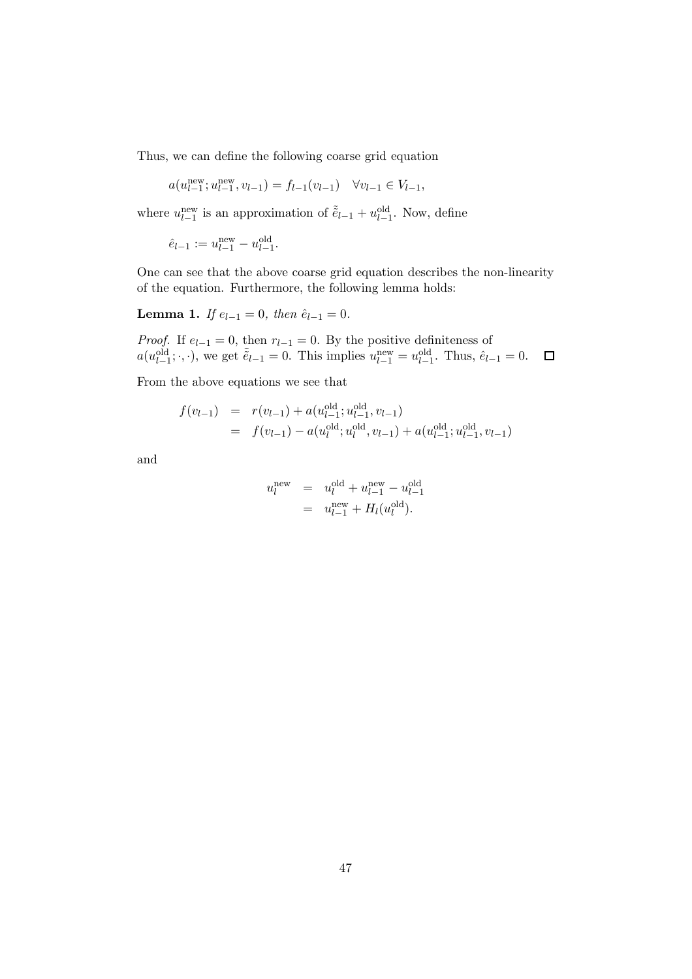Thus, we can define the following coarse grid equation

$$
a(u_{l-1}^{\text{new}}; u_{l-1}^{\text{new}}, v_{l-1}) = f_{l-1}(v_{l-1}) \quad \forall v_{l-1} \in V_{l-1},
$$

where  $u_{l-1}^{\text{new}}$  is an approximation of  $\tilde{\tilde{e}}_{l-1} + u_{l-1}^{\text{old}}$ . Now, define

$$
\hat{e}_{l-1} := u_{l-1}^{\text{new}} - u_{l-1}^{\text{old}}.
$$

One can see that the above coarse grid equation describes the non-linearity of the equation. Furthermore, the following lemma holds:

Lemma 1. If  $e_{l-1} = 0$ , then  $\hat{e}_{l-1} = 0$ .

*Proof.* If  $e_{l-1} = 0$ , then  $r_{l-1} = 0$ . By the positive definiteness of  $a(u_{l-1}^{\text{old}}; \cdot, \cdot)$ , we get  $\tilde{e}_{l-1} = 0$ . This implies  $u_{l-1}^{\text{new}} = u_{l-1}^{\text{old}}$ . Thus,  $\hat{e}_{l-1} = 0$ .  $\Box$ 

From the above equations we see that

$$
f(v_{l-1}) = r(v_{l-1}) + a(u_{l-1}^{\text{old}}; u_{l-1}^{\text{old}}, v_{l-1})
$$
  
=  $f(v_{l-1}) - a(u_{l}^{\text{old}}; u_{l}^{\text{old}}, v_{l-1}) + a(u_{l-1}^{\text{old}}; u_{l-1}^{\text{old}}, v_{l-1})$ 

and

$$
u_l^{\text{new}} = u_l^{\text{old}} + u_{l-1}^{\text{new}} - u_{l-1}^{\text{old}}
$$
  
= 
$$
u_{l-1}^{\text{new}} + H_l(u_l^{\text{old}}).
$$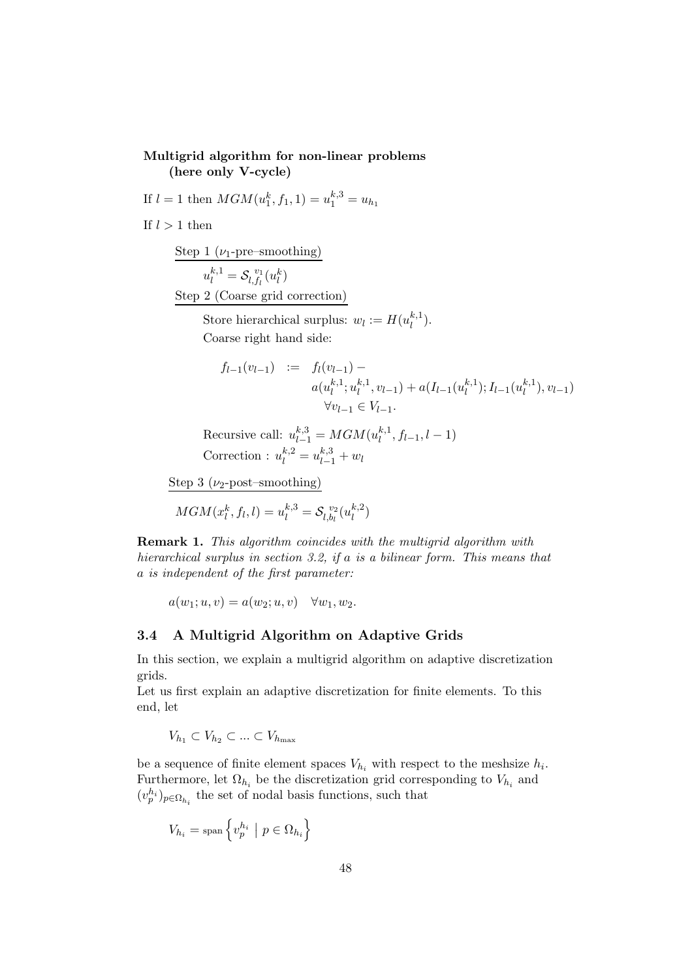### Multigrid algorithm for non-linear problems (here only V-cycle)

If  $l = 1$  then  $MGM(u_1^k, f_1, 1) = u_1^{k,3} = u_{h_1}$ 

If  $l > 1$  then

Step 1 ( $\nu_1$ -pre–smoothing)

 $u_l^{k,1} = \mathcal{S}_{l,f_l}^{\ \ v_1}$  $\hat{u}_{l,f_l}^{v_1}(u_l^k)$ 

Step 2 (Coarse grid correction)

Store hierarchical surplus:  $w_l := H(u_l^{k,1})$  $\binom{k+1}{l}$ . Coarse right hand side:

$$
f_{l-1}(v_{l-1}) := f_l(v_{l-1}) -
$$
  
\n
$$
a(u_l^{k,1}; u_l^{k,1}, v_{l-1}) + a(I_{l-1}(u_l^{k,1}); I_{l-1}(u_l^{k,1}), v_{l-1})
$$
  
\n
$$
\forall v_{l-1} \in V_{l-1}.
$$

Recursive call:  $u_{l-1}^{k,3} = MGM(u_l^{k,1})$  $\binom{k+1}{l}, f_{l-1}, l-1)$ Correction :  $u_l^{k,2} = u_{l-1}^{k,3} + w_l$ 

Step 3 ( $\nu$ <sub>2</sub>-post–smoothing)

$$
MGM(x_l^k,f_l,l)=u_l^{k,3}=\mathcal{S}_{l,b_l}^{\ v_2}(u_l^{k,2})
$$

Remark 1. This algorithm coincides with the multigrid algorithm with hierarchical surplus in section 3.2, if a is a bilinear form. This means that a is independent of the first parameter:

 $a(w_1; u, v) = a(w_2; u, v) \quad \forall w_1, w_2.$ 

### 3.4 A Multigrid Algorithm on Adaptive Grids

In this section, we explain a multigrid algorithm on adaptive discretization grids.

Let us first explain an adaptive discretization for finite elements. To this end, let

 $V_{h_1} \subset V_{h_2} \subset ... \subset V_{h_{\text{max}}}$ 

be a sequence of finite element spaces  $V_{h_i}$  with respect to the meshsize  $h_i$ . Furthermore, let  $\Omega_{h_i}$  be the discretization grid corresponding to  $V_{h_i}$  and  $(v_p^{h_i})_{p \in \Omega_{h_i}}$  the set of nodal basis functions, such that

$$
V_{h_i} = \text{span}\left\{v_p^{h_i} \mid p \in \Omega_{h_i}\right\}
$$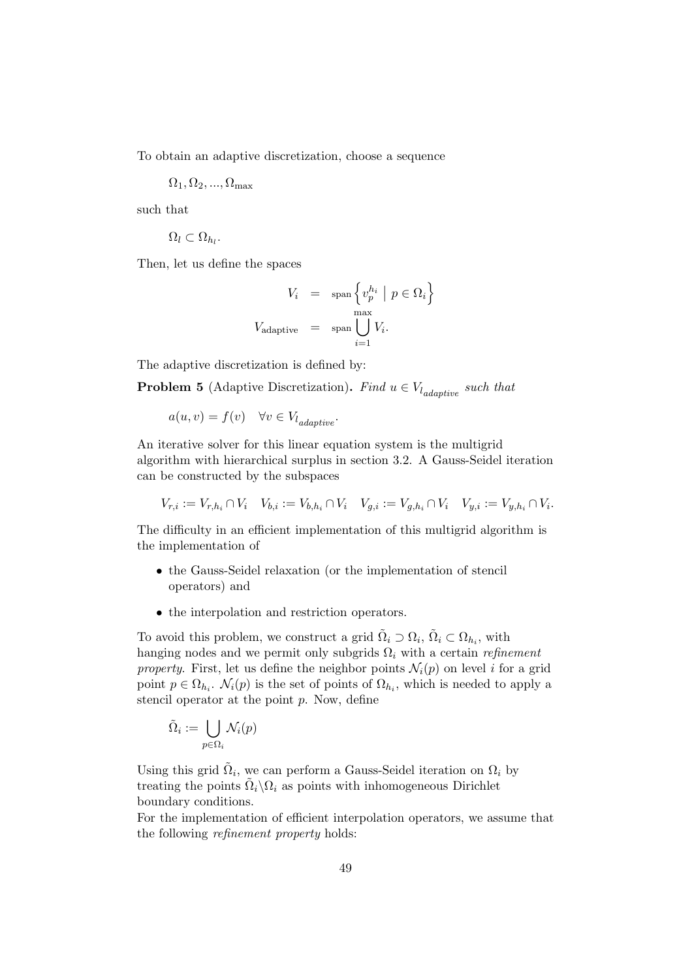To obtain an adaptive discretization, choose a sequence

 $\Omega_1, \Omega_2, ..., \Omega_{\text{max}}$ 

such that

$$
\Omega_l\subset\Omega_{h_l}.
$$

Then, let us define the spaces

$$
V_i = \text{span}\left\{v_p^{h_i} \mid p \in \Omega_i\right\}
$$

$$
V_{\text{adaptive}} = \text{span}\bigcup_{i=1}^{\max} V_i.
$$

The adaptive discretization is defined by:

**Problem 5** (Adaptive Discretization). Find  $u \in V_{l_{adaptive}}$  such that

$$
a(u, v) = f(v) \quad \forall v \in V_{l_{adaptive}}.
$$

An iterative solver for this linear equation system is the multigrid algorithm with hierarchical surplus in section 3.2. A Gauss-Seidel iteration can be constructed by the subspaces

$$
V_{r,i} := V_{r,h_i} \cap V_i \quad V_{b,i} := V_{b,h_i} \cap V_i \quad V_{g,i} := V_{g,h_i} \cap V_i \quad V_{y,i} := V_{y,h_i} \cap V_i.
$$

The difficulty in an efficient implementation of this multigrid algorithm is the implementation of

- the Gauss-Seidel relaxation (or the implementation of stencil operators) and
- the interpolation and restriction operators.

To avoid this problem, we construct a grid  $\tilde{\Omega}_i \supset \Omega_i$ ,  $\tilde{\Omega}_i \subset \Omega_{h_i}$ , with hanging nodes and we permit only subgrids  $\Omega_i$  with a certain refinement property. First, let us define the neighbor points  $\mathcal{N}_i(p)$  on level i for a grid point  $p \in \Omega_{h_i}$ .  $\mathcal{N}_i(p)$  is the set of points of  $\Omega_{h_i}$ , which is needed to apply a stencil operator at the point  $p$ . Now, define

$$
\tilde{\Omega}_i := \bigcup_{p \in \Omega_i} \mathcal{N}_i(p)
$$

Using this grid  $\tilde{\Omega}_i$ , we can perform a Gauss-Seidel iteration on  $\Omega_i$  by treating the points  $\tilde{\Omega}_i \backslash \Omega_i$  as points with inhomogeneous Dirichlet boundary conditions.

For the implementation of efficient interpolation operators, we assume that the following refinement property holds: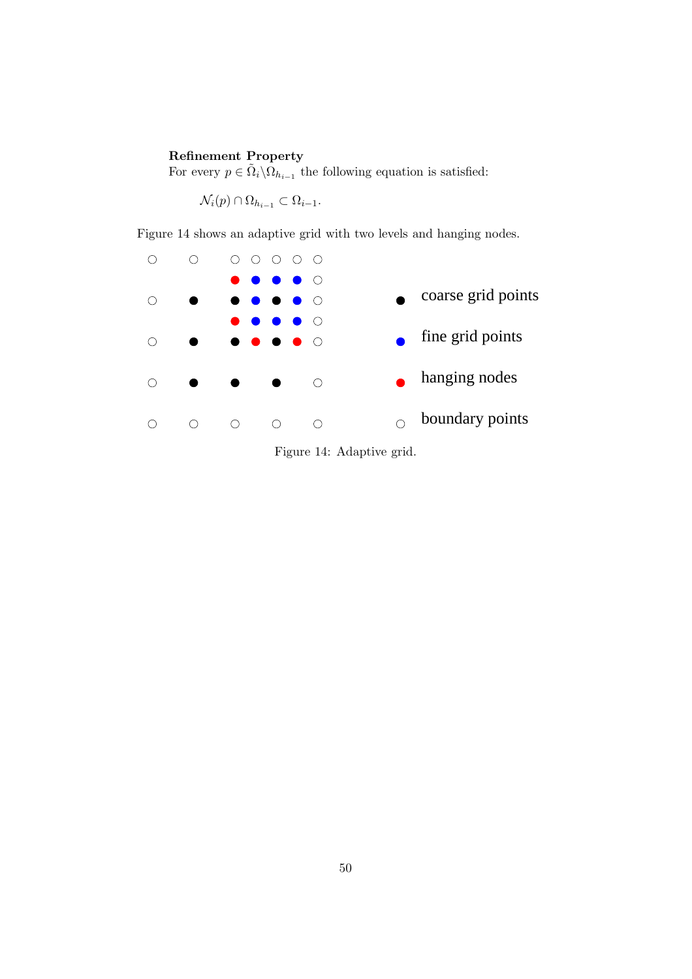## Refinement Property

For every  $p \in \tilde{\Omega}_i \backslash \Omega_{h_{i-1}}$  the following equation is satisfied:

 $\mathcal{N}_i(p) \cap \Omega_{h_{i-1}} \subset \Omega_{i-1}.$ 

Figure 14 shows an adaptive grid with two levels and hanging nodes.



Figure 14: Adaptive grid.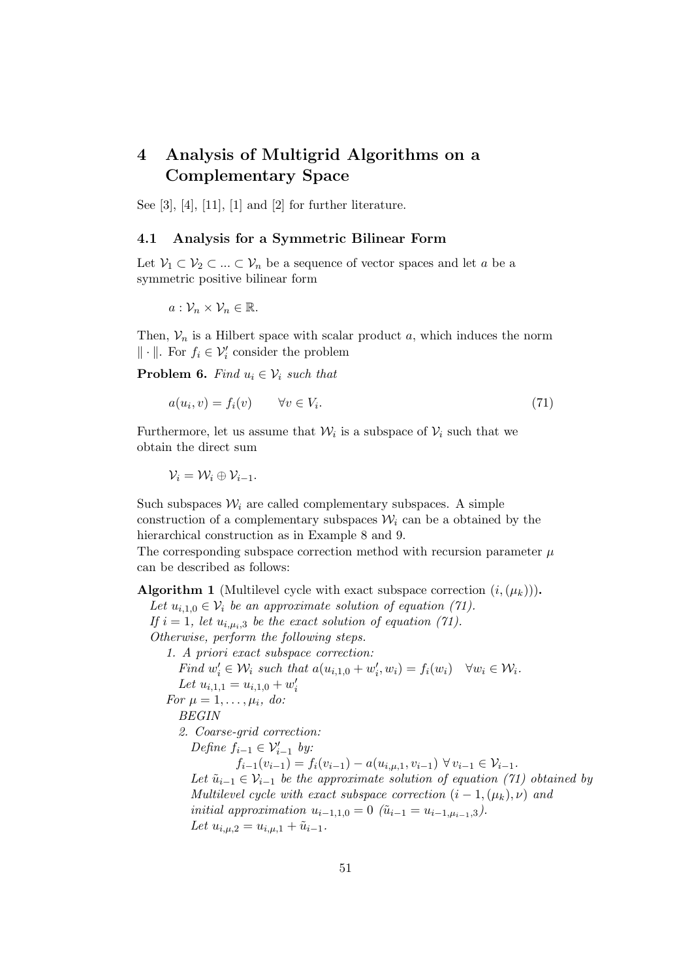# 4 Analysis of Multigrid Algorithms on a Complementary Space

See [3], [4], [11], [1] and [2] for further literature.

### 4.1 Analysis for a Symmetric Bilinear Form

Let  $\mathcal{V}_1 \subset \mathcal{V}_2 \subset \ldots \subset \mathcal{V}_n$  be a sequence of vector spaces and let a be a symmetric positive bilinear form

$$
a:\mathcal{V}_n\times\mathcal{V}_n\in\mathbb{R}.
$$

Then,  $V_n$  is a Hilbert space with scalar product a, which induces the norm  $\|\cdot\|$ . For  $f_i \in \mathcal{V}'_i$  consider the problem

**Problem 6.** Find  $u_i \in V_i$  such that

$$
a(u_i, v) = f_i(v) \qquad \forall v \in V_i.
$$
\n
$$
(71)
$$

Furthermore, let us assume that  $\mathcal{W}_i$  is a subspace of  $\mathcal{V}_i$  such that we obtain the direct sum

 $\mathcal{V}_i = \mathcal{W}_i \oplus \mathcal{V}_{i-1}.$ 

Such subspaces  $\mathcal{W}_i$  are called complementary subspaces. A simple construction of a complementary subspaces  $\mathcal{W}_i$  can be a obtained by the hierarchical construction as in Example 8 and 9.

The corresponding subspace correction method with recursion parameter  $\mu$ can be described as follows:

**Algorithm 1** (Multilevel cycle with exact subspace correction  $(i, (\mu_k))$ ).

Let  $u_{i,1,0} \in \mathcal{V}_i$  be an approximate solution of equation (71). If  $i = 1$ , let  $u_{i,\mu_i,3}$  be the exact solution of equation (71).

Otherwise, perform the following steps.

1. A priori exact subspace correction:

Find  $w'_i \in \mathcal{W}_i$  such that  $a(u_{i,1,0} + w'_i, w_i) = f_i(w_i) \quad \forall w_i \in \mathcal{W}_i$ . Let  $u_{i,1,1} = u_{i,1,0} + w'_i$ 

For  $\mu = 1, \ldots, \mu_i, d\omega$ :

BEGIN

2. Coarse-grid correction:

Define  $f_{i-1} \in \mathcal{V}'_{i-1}$  by:

 $f_{i-1}(v_{i-1}) = f_i(v_{i-1}) - a(u_{i,\mu,1},v_{i-1}) \ \forall \, v_{i-1} \in \mathcal{V}_{i-1}.$ Let  $\tilde{u}_{i-1} \in \mathcal{V}_{i-1}$  be the approximate solution of equation (71) obtained by Multilevel cycle with exact subspace correction  $(i - 1, (\mu_k), \nu)$  and initial approximation  $u_{i-1,1,0} = 0$  ( $\tilde{u}_{i-1} = u_{i-1, u_{i-1},3}$ ). Let  $u_{i,\mu,2} = u_{i,\mu,1} + \tilde{u}_{i-1}.$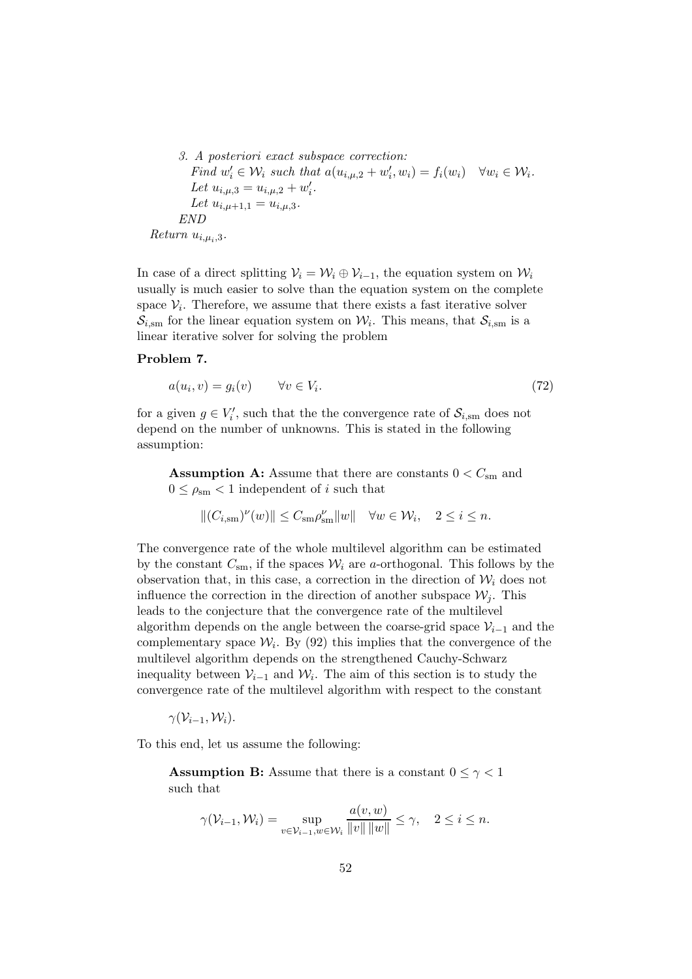\n- 3. A posteriori exact subspace correction: Find 
$$
w'_i \in \mathcal{W}_i
$$
 such that  $a(u_{i,\mu,2} + w'_i, w_i) = f_i(w_i) \quad \forall w_i \in \mathcal{W}_i$ . Let  $u_{i,\mu,3} = u_{i,\mu,2} + w'_i$ . Let  $u_{i,\mu+1,1} = u_{i,\mu,3}$ . END
\n- return  $u_{i,\mu,2}$ .
\n

Return  $u_{i,\mu_i,3}$ .

In case of a direct splitting  $V_i = W_i \oplus V_{i-1}$ , the equation system on  $W_i$ usually is much easier to solve than the equation system on the complete space  $V_i$ . Therefore, we assume that there exists a fast iterative solver  $S_{i,sm}$  for the linear equation system on  $\mathcal{W}_i$ . This means, that  $S_{i,sm}$  is a linear iterative solver for solving the problem

### Problem 7.

$$
a(u_i, v) = g_i(v) \qquad \forall v \in V_i.
$$
\n
$$
(72)
$$

for a given  $g \in V'_i$ , such that the the convergence rate of  $\mathcal{S}_{i, \text{sm}}$  does not depend on the number of unknowns. This is stated in the following assumption:

**Assumption A:** Assume that there are constants  $0 < C<sub>sm</sub>$  and  $0 \leq \rho_{\rm sm} < 1$  independent of i such that

$$
\|(C_{i,\text{sm}})^\nu(w)\|\leq C_{\text{sm}}\rho_{\text{sm}}^\nu\|w\|\quad \forall w\in \mathcal{W}_i,\quad 2\leq i\leq n.
$$

The convergence rate of the whole multilevel algorithm can be estimated by the constant  $C_{\rm sm}$ , if the spaces  $\mathcal{W}_i$  are a-orthogonal. This follows by the observation that, in this case, a correction in the direction of  $\mathcal{W}_i$  does not influence the correction in the direction of another subspace  $\mathcal{W}_i$ . This leads to the conjecture that the convergence rate of the multilevel algorithm depends on the angle between the coarse-grid space  $\mathcal{V}_{i-1}$  and the complementary space  $\mathcal{W}_i$ . By (92) this implies that the convergence of the multilevel algorithm depends on the strengthened Cauchy-Schwarz inequality between  $\mathcal{V}_{i-1}$  and  $\mathcal{W}_i$ . The aim of this section is to study the convergence rate of the multilevel algorithm with respect to the constant

 $\gamma(\mathcal{V}_{i-1},\mathcal{W}_i).$ 

To this end, let us assume the following:

**Assumption B:** Assume that there is a constant  $0 \leq \gamma < 1$ such that

$$
\gamma(\mathcal{V}_{i-1}, \mathcal{W}_i) = \sup_{v \in \mathcal{V}_{i-1}, w \in \mathcal{W}_i} \frac{a(v, w)}{\|v\| \|w\|} \le \gamma, \quad 2 \le i \le n.
$$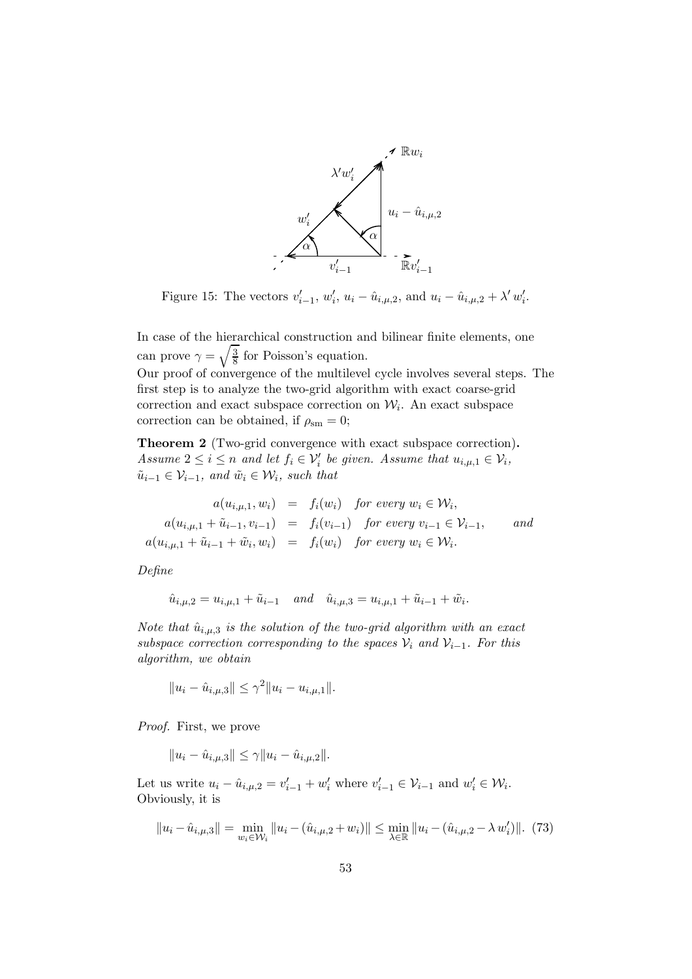

Figure 15: The vectors  $v'_{i-1}$ ,  $w'_{i}$ ,  $u_i - \hat{u}_{i,\mu,2}$ , and  $u_i - \hat{u}_{i,\mu,2} + \lambda' w'_{i}$ .

In case of the hierarchical construction and bilinear finite elements, one can prove  $\gamma = \sqrt{\frac{3}{8}}$  $\frac{3}{8}$  for Poisson's equation.

Our proof of convergence of the multilevel cycle involves several steps. The first step is to analyze the two-grid algorithm with exact coarse-grid correction and exact subspace correction on  $\mathcal{W}_i$ . An exact subspace correction can be obtained, if  $\rho_{\rm sm} = 0$ ;

Theorem 2 (Two-grid convergence with exact subspace correction). Assume  $2 \leq i \leq n$  and let  $f_i \in \mathcal{V}'_i$  be given. Assume that  $u_{i,\mu,1} \in \mathcal{V}_i$ ,  $\tilde{u}_{i-1} \in \mathcal{V}_{i-1}$ , and  $\tilde{w}_i \in \mathcal{W}_i$ , such that

$$
a(u_{i,\mu,1}, w_i) = f_i(w_i) \text{ for every } w_i \in \mathcal{W}_i,
$$
  
\n
$$
a(u_{i,\mu,1} + \tilde{u}_{i-1}, v_{i-1}) = f_i(v_{i-1}) \text{ for every } v_{i-1} \in \mathcal{V}_{i-1}, \text{ and}
$$
  
\n
$$
a(u_{i,\mu,1} + \tilde{u}_{i-1} + \tilde{w}_i, w_i) = f_i(w_i) \text{ for every } w_i \in \mathcal{W}_i.
$$

Define

$$
\hat{u}_{i,\mu,2} = u_{i,\mu,1} + \tilde{u}_{i-1} \quad and \quad \hat{u}_{i,\mu,3} = u_{i,\mu,1} + \tilde{u}_{i-1} + \tilde{w}_i.
$$

Note that  $\hat{u}_{i,\mu,3}$  is the solution of the two-grid algorithm with an exact subspace correction corresponding to the spaces  $\mathcal{V}_i$  and  $\mathcal{V}_{i-1}$ . For this algorithm, we obtain

$$
||u_i - \hat{u}_{i,\mu,3}|| \leq \gamma^2 ||u_i - u_{i,\mu,1}||.
$$

Proof. First, we prove

$$
||u_i - \hat{u}_{i,\mu,3}|| \le \gamma ||u_i - \hat{u}_{i,\mu,2}||.
$$

Let us write  $u_i - \hat{u}_{i,\mu,2} = v'_{i-1} + w'_i$  where  $v'_{i-1} \in \mathcal{V}_{i-1}$  and  $w'_i \in \mathcal{W}_i$ . Obviously, it is

$$
||u_i - \hat{u}_{i,\mu,3}|| = \min_{w_i \in \mathcal{W}_i} ||u_i - (\hat{u}_{i,\mu,2} + w_i)|| \le \min_{\lambda \in \mathbb{R}} ||u_i - (\hat{u}_{i,\mu,2} - \lambda w_i')||. \tag{73}
$$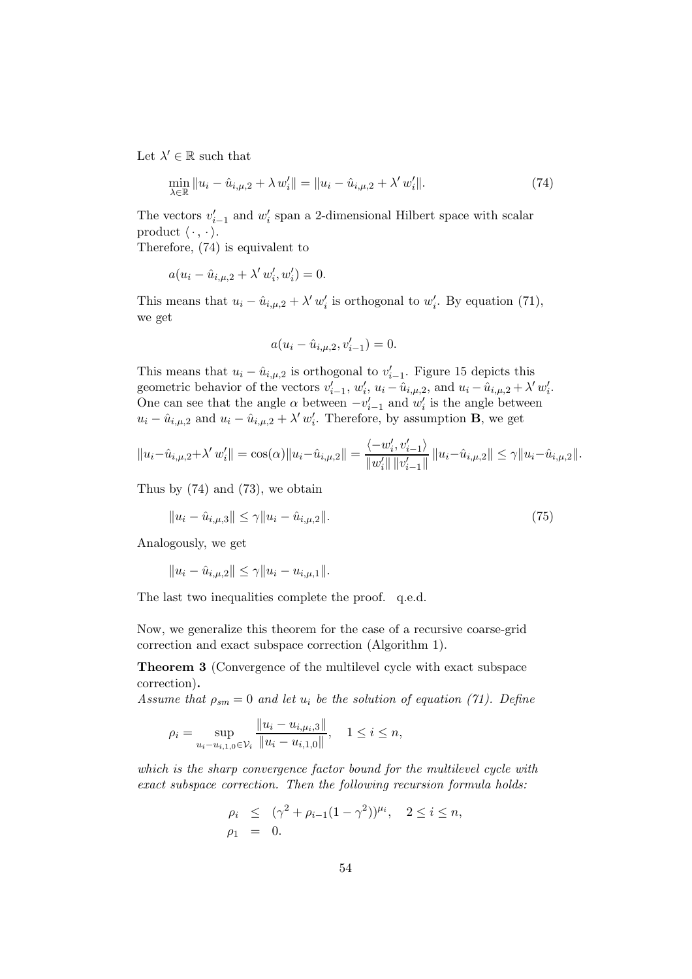Let  $\lambda' \in \mathbb{R}$  such that

$$
\min_{\lambda \in \mathbb{R}} \|u_i - \hat{u}_{i,\mu,2} + \lambda w'_i\| = \|u_i - \hat{u}_{i,\mu,2} + \lambda' w'_i\|.
$$
\n(74)

The vectors  $v'_{i-1}$  and  $w'_{i}$  span a 2-dimensional Hilbert space with scalar product  $\langle \cdot , \cdot \rangle$ .

Therefore, (74) is equivalent to

$$
a(u_i - \hat{u}_{i,\mu,2} + \lambda' w'_i, w'_i) = 0.
$$

This means that  $u_i - \hat{u}_{i,\mu,2} + \lambda' w'_i$  is orthogonal to  $w'_i$ . By equation (71), we get

$$
a(u_i - \hat{u}_{i,\mu,2}, v'_{i-1}) = 0.
$$

This means that  $u_i - \hat{u}_{i,\mu,2}$  is orthogonal to  $v'_{i-1}$ . Figure 15 depicts this geometric behavior of the vectors  $v'_{i-1}$ ,  $w'_i$ ,  $u_i - \hat{u}_{i,\mu,2}$ , and  $u_i - \hat{u}_{i,\mu,2} + \lambda' w'_i$ . One can see that the angle  $\alpha$  between  $-v'_{i-1}$  and  $w'_{i}$  is the angle between  $u_i - \hat{u}_{i,\mu,2}$  and  $u_i - \hat{u}_{i,\mu,2} + \lambda' w'_i$ . Therefore, by assumption **B**, we get

$$
||u_i - \hat{u}_{i,\mu,2} + \lambda' w'_i|| = \cos(\alpha) ||u_i - \hat{u}_{i,\mu,2}|| = \frac{\langle -w'_i, v'_{i-1} \rangle}{||w'_i|| ||v'_{i-1}||} ||u_i - \hat{u}_{i,\mu,2}|| \le \gamma ||u_i - \hat{u}_{i,\mu,2}||.
$$

Thus by (74) and (73), we obtain

$$
||u_i - \hat{u}_{i,\mu,3}|| \le \gamma ||u_i - \hat{u}_{i,\mu,2}||. \tag{75}
$$

Analogously, we get

 $||u_i - \hat{u}_{i,\mu,2}|| \leq \gamma ||u_i - u_{i,\mu,1}||.$ 

The last two inequalities complete the proof. q.e.d.

Now, we generalize this theorem for the case of a recursive coarse-grid correction and exact subspace correction (Algorithm 1).

Theorem 3 (Convergence of the multilevel cycle with exact subspace correction).

Assume that  $\rho_{sm} = 0$  and let  $u_i$  be the solution of equation (71). Define

$$
\rho_i = \sup_{u_i - u_{i,1,0} \in \mathcal{V}_i} \frac{\|u_i - u_{i,\mu_i,3}\|}{\|u_i - u_{i,1,0}\|}, \quad 1 \le i \le n,
$$

which is the sharp convergence factor bound for the multilevel cycle with exact subspace correction. Then the following recursion formula holds:

$$
\rho_i \le (\gamma^2 + \rho_{i-1}(1-\gamma^2))^{\mu_i}, \quad 2 \le i \le n, \n\rho_1 = 0.
$$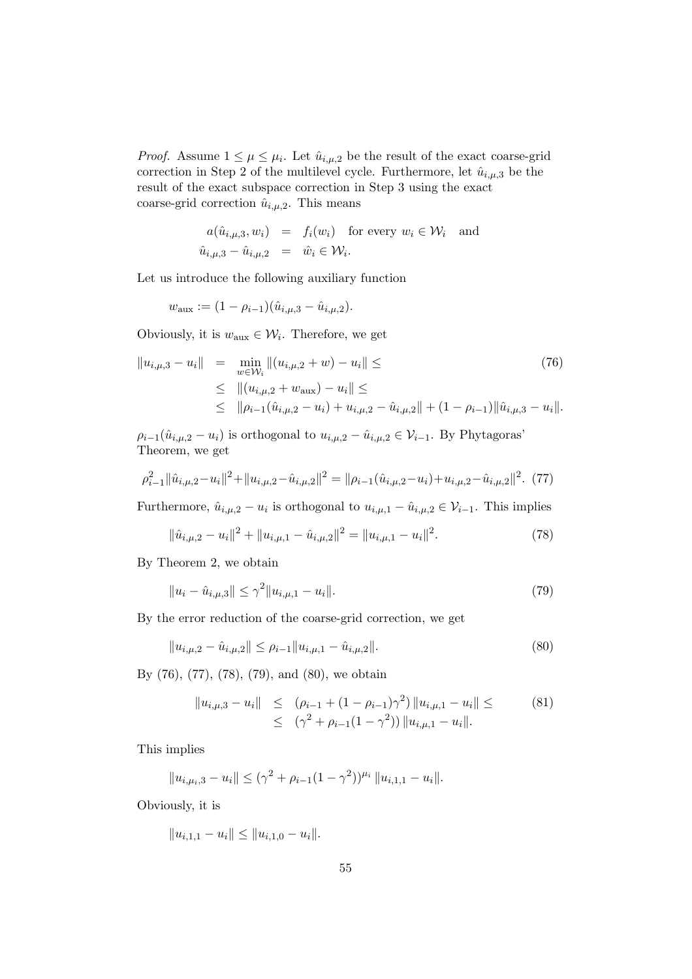*Proof.* Assume  $1 \leq \mu \leq \mu_i$ . Let  $\hat{u}_{i,\mu,2}$  be the result of the exact coarse-grid correction in Step 2 of the multilevel cycle. Furthermore, let  $\hat{u}_{i,\mu,3}$  be the result of the exact subspace correction in Step 3 using the exact coarse-grid correction  $\hat{u}_{i,\mu,2}$ . This means

$$
a(\hat{u}_{i,\mu,3}, w_i) = f_i(w_i) \text{ for every } w_i \in \mathcal{W}_i \text{ and}
$$
  

$$
\hat{u}_{i,\mu,3} - \hat{u}_{i,\mu,2} = \hat{w}_i \in \mathcal{W}_i.
$$

Let us introduce the following auxiliary function

$$
w_{\text{aux}} := (1 - \rho_{i-1})(\hat{u}_{i,\mu,3} - \hat{u}_{i,\mu,2}).
$$

Obviously, it is  $w_{\text{aux}} \in \mathcal{W}_i$ . Therefore, we get

$$
||u_{i,\mu,3} - u_i|| = \min_{w \in \mathcal{W}_i} ||(u_{i,\mu,2} + w) - u_i|| \leq
$$
\n
$$
\leq ||(u_{i,\mu,2} + w_{\text{aux}}) - u_i|| \leq
$$
\n
$$
\leq ||\rho_{i-1}(\hat{u}_{i,\mu,2} - u_i) + u_{i,\mu,2} - \hat{u}_{i,\mu,2}|| + (1 - \rho_{i-1})||\hat{u}_{i,\mu,3} - u_i||.
$$
\n(76)

 $\rho_{i-1}(\hat{u}_{i,\mu,2}-u_i)$  is orthogonal to  $u_{i,\mu,2}-\hat{u}_{i,\mu,2} \in \mathcal{V}_{i-1}$ . By Phytagoras' Theorem, we get

$$
\rho_{i-1}^2 \|\hat{u}_{i,\mu,2} - u_i\|^2 + \|u_{i,\mu,2} - \hat{u}_{i,\mu,2}\|^2 = \|\rho_{i-1}(\hat{u}_{i,\mu,2} - u_i) + u_{i,\mu,2} - \hat{u}_{i,\mu,2}\|^2. \tag{77}
$$

Furthermore,  $\hat{u}_{i,\mu,2} - u_i$  is orthogonal to  $u_{i,\mu,1} - \hat{u}_{i,\mu,2} \in \mathcal{V}_{i-1}$ . This implies

$$
\|\hat{u}_{i,\mu,2} - u_i\|^2 + \|u_{i,\mu,1} - \hat{u}_{i,\mu,2}\|^2 = \|u_{i,\mu,1} - u_i\|^2. \tag{78}
$$

By Theorem 2, we obtain

$$
||u_i - \hat{u}_{i,\mu,3}|| \le \gamma^2 ||u_{i,\mu,1} - u_i||. \tag{79}
$$

By the error reduction of the coarse-grid correction, we get

$$
||u_{i,\mu,2} - \hat{u}_{i,\mu,2}|| \le \rho_{i-1} ||u_{i,\mu,1} - \hat{u}_{i,\mu,2}||. \tag{80}
$$

By (76), (77), (78), (79), and (80), we obtain

$$
||u_{i,\mu,3} - u_i|| \leq (\rho_{i-1} + (1 - \rho_{i-1})\gamma^2) ||u_{i,\mu,1} - u_i|| \leq (81)
$$
  
 
$$
\leq (\gamma^2 + \rho_{i-1}(1 - \gamma^2)) ||u_{i,\mu,1} - u_i||.
$$

This implies

$$
||u_{i,\mu_i,3} - u_i|| \leq (\gamma^2 + \rho_{i-1}(1-\gamma^2))^{\mu_i} ||u_{i,1,1} - u_i||.
$$

Obviously, it is

$$
||u_{i,1,1}-u_i|| \leq ||u_{i,1,0}-u_i||.
$$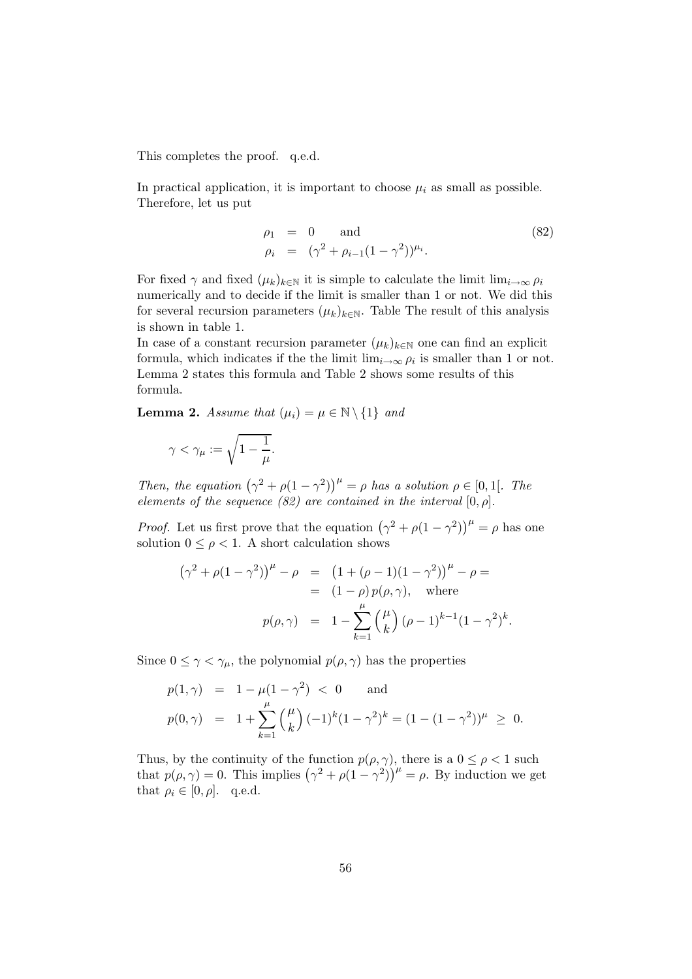This completes the proof. q.e.d.

In practical application, it is important to choose  $\mu_i$  as small as possible. Therefore, let us put

$$
\rho_1 = 0 \quad \text{and} \quad (82)
$$
\n
$$
\rho_i = (\gamma^2 + \rho_{i-1}(1 - \gamma^2))^{\mu_i}.
$$

For fixed  $\gamma$  and fixed  $(\mu_k)_{k\in\mathbb{N}}$  it is simple to calculate the limit  $\lim_{i\to\infty}\rho_i$ numerically and to decide if the limit is smaller than 1 or not. We did this for several recursion parameters  $(\mu_k)_{k\in\mathbb{N}}$ . Table The result of this analysis is shown in table 1.

In case of a constant recursion parameter  $(\mu_k)_{k \in \mathbb{N}}$  one can find an explicit formula, which indicates if the the limit  $\lim_{i\to\infty}\rho_i$  is smaller than 1 or not. Lemma 2 states this formula and Table 2 shows some results of this formula.

**Lemma 2.** Assume that  $(\mu_i) = \mu \in \mathbb{N} \setminus \{1\}$  and

$$
\gamma<\gamma_\mu:=\sqrt{1-\frac{1}{\mu}}.
$$

Then, the equation  $(\gamma^2 + \rho(1 - \gamma^2))^{\mu} = \rho$  has a solution  $\rho \in [0, 1]$ . The elements of the sequence (82) are contained in the interval  $[0, \rho]$ .

*Proof.* Let us first prove that the equation  $(\gamma^2 + \rho(1 - \gamma^2))^{\mu} = \rho$  has one solution  $0 \leq \rho < 1$ . A short calculation shows

$$
(\gamma^{2} + \rho(1 - \gamma^{2}))^{\mu} - \rho = (1 + (\rho - 1)(1 - \gamma^{2}))^{\mu} - \rho =
$$
  
= (1 - \rho) p(\rho, \gamma), where  

$$
p(\rho, \gamma) = 1 - \sum_{k=1}^{\mu} {(\mu) (\rho - 1)^{k-1} (1 - \gamma^{2})^{k}}.
$$

Since  $0 \leq \gamma < \gamma_{\mu}$ , the polynomial  $p(\rho, \gamma)$  has the properties

$$
p(1, \gamma) = 1 - \mu(1 - \gamma^2) < 0 \quad \text{and}
$$
  
\n
$$
p(0, \gamma) = 1 + \sum_{k=1}^{\mu} {\mu \choose k} (-1)^k (1 - \gamma^2)^k = (1 - (1 - \gamma^2))^{\mu} \ge 0.
$$

Thus, by the continuity of the function  $p(\rho, \gamma)$ , there is a  $0 \leq \rho < 1$  such that  $p(\rho, \gamma) = 0$ . This implies  $(\gamma^2 + \rho(1 - \gamma^2))^{\mu} = \rho$ . By induction we get that  $\rho_i \in [0, \rho]$ . q.e.d.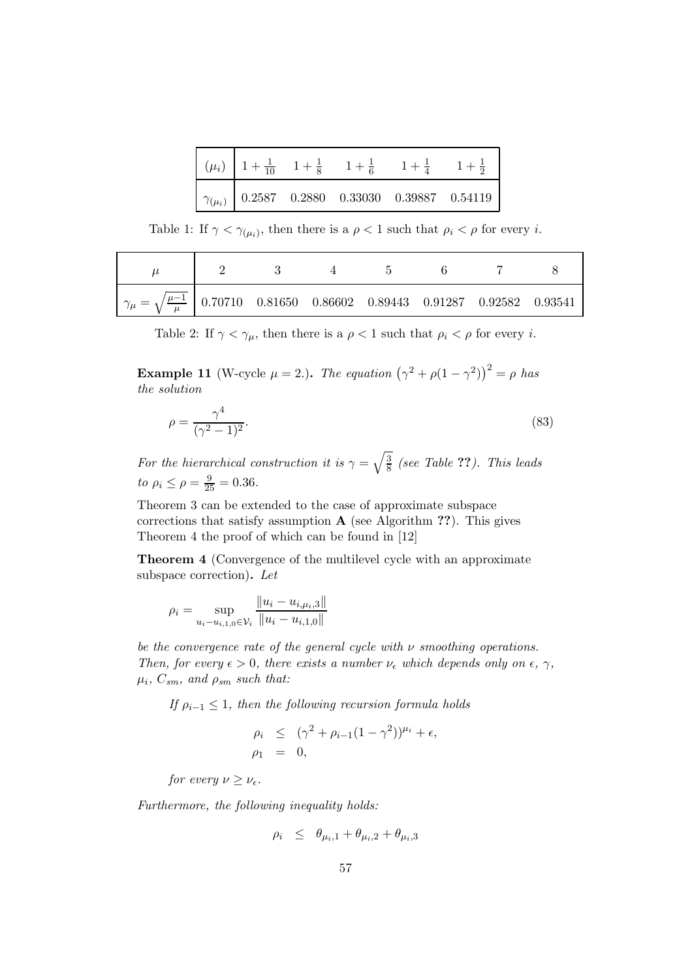|  | $\left( \mu_i \right)$ $\left  1 + \frac{1}{10} \right  1 + \frac{1}{8} \right  1 + \frac{1}{6} \right  1 + \frac{1}{4} \right  1 + \frac{1}{2}$ |  |
|--|--------------------------------------------------------------------------------------------------------------------------------------------------|--|
|  | $\boxed{\gamma_{(\mu_i)}$ 0.2587 0.2880 0.33030 0.39887 0.54119                                                                                  |  |

Table 1: If  $\gamma < \gamma_{(\mu_i)}$ , then there is a  $\rho < 1$  such that  $\rho_i < \rho$  for every *i*.

|                                                                                                   |  | $\mathbf{h}$ |  |  |
|---------------------------------------------------------------------------------------------------|--|--------------|--|--|
| $\eta_{\mu} = \sqrt{\frac{\mu - 1}{\mu}}$ 0.70710 0.81650 0.86602 0.89443 0.91287 0.92582 0.93541 |  |              |  |  |

Table 2: If  $\gamma < \gamma_{\mu}$ , then there is a  $\rho < 1$  such that  $\rho_i < \rho$  for every *i*.

**Example 11** (W-cycle  $\mu = 2$ .). The equation  $(\gamma^2 + \rho(1 - \gamma^2))^2 = \rho$  has the solution

$$
\rho = \frac{\gamma^4}{(\gamma^2 - 1)^2}.\tag{83}
$$

For the hierarchical construction it is  $\gamma = \sqrt{\frac{3}{8}}$  $\frac{3}{8}$  (see Table ??). This leads to  $\rho_i \le \rho = \frac{9}{25} = 0.36$ .

Theorem 3 can be extended to the case of approximate subspace corrections that satisfy assumption  $A$  (see Algorithm ??). This gives Theorem 4 the proof of which can be found in [12]

Theorem 4 (Convergence of the multilevel cycle with an approximate subspace correction). Let

$$
\rho_i = \sup_{u_i - u_{i,1,0} \in \mathcal{V}_i} \frac{\|u_i - u_{i,\mu_i,3}\|}{\|u_i - u_{i,1,0}\|}
$$

be the convergence rate of the general cycle with  $\nu$  smoothing operations. Then, for every  $\epsilon > 0$ , there exists a number  $\nu_{\epsilon}$  which depends only on  $\epsilon$ ,  $\gamma$ ,  $\mu_i, C_{sm}, \textit{ and } \rho_{sm} \textit{ such that:}$ 

If  $\rho_{i-1} \leq 1$ , then the following recursion formula holds

$$
\rho_i \leq (\gamma^2 + \rho_{i-1}(1-\gamma^2))^{\mu_i} + \epsilon,
$$
  
\n
$$
\rho_1 = 0,
$$

for every  $\nu \geq \nu_{\epsilon}$ .

Furthermore, the following inequality holds:

$$
\rho_i \leq \theta_{\mu_i,1} + \theta_{\mu_i,2} + \theta_{\mu_i,3}
$$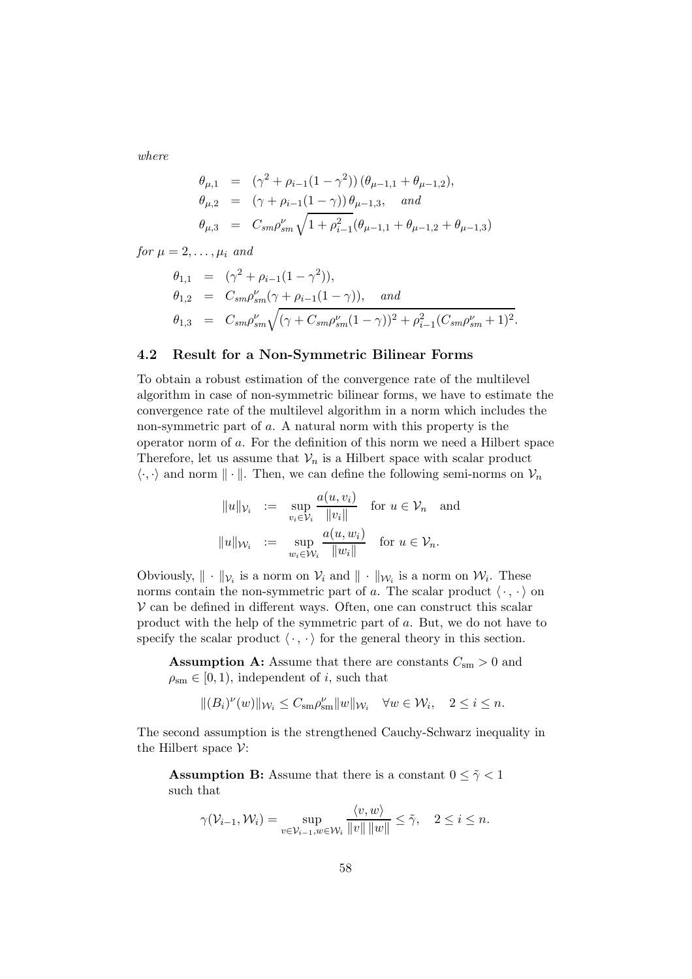where

$$
\begin{array}{rcl}\n\theta_{\mu,1} & = & \left(\gamma^2 + \rho_{i-1}(1-\gamma^2)\right)(\theta_{\mu-1,1} + \theta_{\mu-1,2}), \\
\theta_{\mu,2} & = & \left(\gamma + \rho_{i-1}(1-\gamma)\right)\theta_{\mu-1,3}, \quad \text{and} \\
\theta_{\mu,3} & = & C_{sm}\rho_{sm}^{\nu}\sqrt{1+\rho_{i-1}^2}(\theta_{\mu-1,1} + \theta_{\mu-1,2} + \theta_{\mu-1,3})\n\end{array}
$$

for  $\mu = 2, \ldots, \mu_i$  and

$$
\begin{array}{rcl}\n\theta_{1,1} & = & (\gamma^2 + \rho_{i-1}(1-\gamma^2)), \\
\theta_{1,2} & = & C_{sm}\rho_{sm}^{\nu}(\gamma + \rho_{i-1}(1-\gamma)), \quad \text{and} \\
\theta_{1,3} & = & C_{sm}\rho_{sm}^{\nu}\sqrt{(\gamma + C_{sm}\rho_{sm}^{\nu}(1-\gamma))^2 + \rho_{i-1}^2(C_{sm}\rho_{sm}^{\nu}+1)^2}.\n\end{array}
$$

### 4.2 Result for a Non-Symmetric Bilinear Forms

To obtain a robust estimation of the convergence rate of the multilevel algorithm in case of non-symmetric bilinear forms, we have to estimate the convergence rate of the multilevel algorithm in a norm which includes the non-symmetric part of a. A natural norm with this property is the operator norm of a. For the definition of this norm we need a Hilbert space Therefore, let us assume that  $\mathcal{V}_n$  is a Hilbert space with scalar product  $\langle \cdot, \cdot \rangle$  and norm  $\| \cdot \|$ . Then, we can define the following semi-norms on  $\mathcal{V}_n$ 

$$
||u||_{\mathcal{V}_i} := \sup_{v_i \in \mathcal{V}_i} \frac{a(u, v_i)}{||v_i||} \text{ for } u \in \mathcal{V}_n \text{ and}
$$

$$
||u||_{\mathcal{W}_i} := \sup_{w_i \in \mathcal{W}_i} \frac{a(u, w_i)}{||w_i||} \text{ for } u \in \mathcal{V}_n.
$$

Obviously,  $\|\cdot\|_{\mathcal{V}_i}$  is a norm on  $\mathcal{V}_i$  and  $\|\cdot\|_{\mathcal{W}_i}$  is a norm on  $\mathcal{W}_i$ . These norms contain the non-symmetric part of a. The scalar product  $\langle \cdot, \cdot \rangle$  on  $V$  can be defined in different ways. Often, one can construct this scalar product with the help of the symmetric part of a. But, we do not have to specify the scalar product  $\langle \cdot, \cdot \rangle$  for the general theory in this section.

**Assumption A:** Assume that there are constants  $C_{\rm sm} > 0$  and  $\rho_{\rm sm} \in [0, 1)$ , independent of *i*, such that

$$
||(B_i)^{\nu}(w)||_{\mathcal{W}_i}\leq C_{\mathrm{sm}}\rho_{\mathrm{sm}}^{\nu}||w||_{\mathcal{W}_i}\quad \forall w\in \mathcal{W}_i,\quad 2\leq i\leq n.
$$

The second assumption is the strengthened Cauchy-Schwarz inequality in the Hilbert space  $\mathcal{V}$ :

**Assumption B:** Assume that there is a constant  $0 \leq \tilde{\gamma} < 1$ such that

$$
\gamma(\mathcal{V}_{i-1}, \mathcal{W}_i) = \sup_{v \in \mathcal{V}_{i-1}, w \in \mathcal{W}_i} \frac{\langle v, w \rangle}{\|v\| \|w\|} \leq \tilde{\gamma}, \quad 2 \leq i \leq n.
$$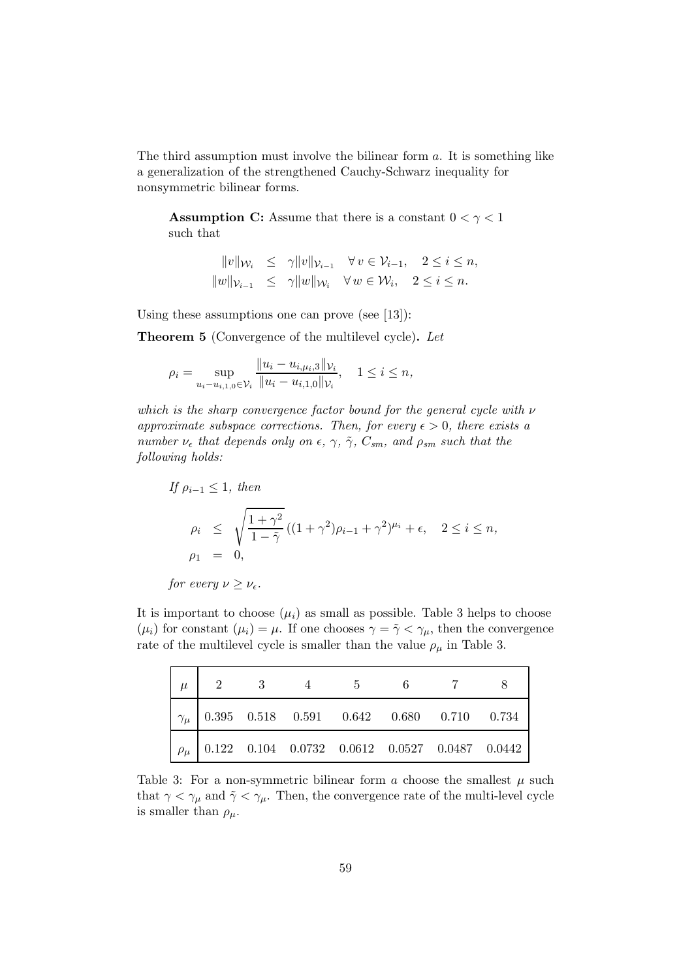The third assumption must involve the bilinear form a. It is something like a generalization of the strengthened Cauchy-Schwarz inequality for nonsymmetric bilinear forms.

**Assumption C:** Assume that there is a constant  $0 < \gamma < 1$ such that

> $||v||_{\mathcal{W}_i} \leq \gamma ||v||_{\mathcal{V}_{i-1}} \quad \forall v \in \mathcal{V}_{i-1}, \quad 2 \leq i \leq n,$  $||w||_{\mathcal{V}_{i-1}} \leq \gamma ||w||_{\mathcal{W}_i} \quad \forall w \in \mathcal{W}_i, \quad 2 \leq i \leq n.$

Using these assumptions one can prove (see [13]):

Theorem 5 (Convergence of the multilevel cycle). Let

$$
\rho_i = \sup_{u_i - u_{i,1,0} \in \mathcal{V}_i} \frac{\|u_i - u_{i,\mu_i,3}\|_{\mathcal{V}_i}}{\|u_i - u_{i,1,0}\|_{\mathcal{V}_i}}, \quad 1 \le i \le n,
$$

which is the sharp convergence factor bound for the general cycle with  $\nu$ approximate subspace corrections. Then, for every  $\epsilon > 0$ , there exists a number  $\nu_{\epsilon}$  that depends only on  $\epsilon$ ,  $\gamma$ ,  $\tilde{\gamma}$ ,  $C_{sm}$ , and  $\rho_{sm}$  such that the following holds:

If 
$$
\rho_{i-1} \le 1
$$
, then  
\n
$$
\rho_i \le \sqrt{\frac{1+\gamma^2}{1-\tilde{\gamma}}} ((1+\gamma^2)\rho_{i-1} + \gamma^2)^{\mu_i} + \epsilon, \quad 2 \le i \le n,
$$
\n
$$
\rho_1 = 0,
$$

for every 
$$
\nu \geq \nu_{\epsilon}
$$
.

It is important to choose  $(\mu_i)$  as small as possible. Table 3 helps to choose  $(\mu_i)$  for constant  $(\mu_i) = \mu$ . If one chooses  $\gamma = \tilde{\gamma} < \gamma_{\mu}$ , then the convergence rate of the multilevel cycle is smaller than the value  $\rho_{\mu}$  in Table 3.

| $2^{\circ}$ |  |  |                                                                                                                            |
|-------------|--|--|----------------------------------------------------------------------------------------------------------------------------|
|             |  |  | $\left[\gamma_{\mu}\right]$ 0.395 0.518 0.591 0.642 0.680 0.710 0.734                                                      |
|             |  |  | $\left[ \begin{array}{cccccc} \rho_{\mu} & 0.122 & 0.104 & 0.0732 & 0.0612 & 0.0527 & 0.0487 & 0.0442 \end{array} \right]$ |

Table 3: For a non-symmetric bilinear form  $\alpha$  choose the smallest  $\mu$  such that  $\gamma < \gamma_{\mu}$  and  $\tilde{\gamma} < \gamma_{\mu}$ . Then, the convergence rate of the multi-level cycle is smaller than  $\rho_{\mu}$ .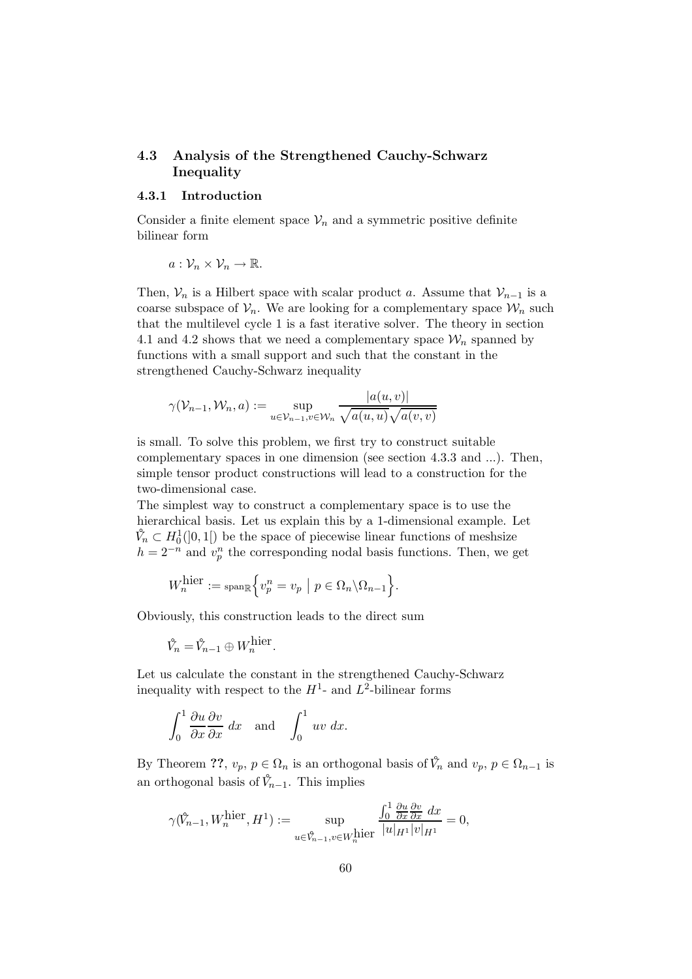## 4.3 Analysis of the Strengthened Cauchy-Schwarz Inequality

### 4.3.1 Introduction

Consider a finite element space  $\mathcal{V}_n$  and a symmetric positive definite bilinear form

$$
a:\mathcal{V}_n\times\mathcal{V}_n\to\mathbb{R}.
$$

Then,  $V_n$  is a Hilbert space with scalar product a. Assume that  $V_{n-1}$  is a coarse subspace of  $\mathcal{V}_n$ . We are looking for a complementary space  $\mathcal{W}_n$  such that the multilevel cycle 1 is a fast iterative solver. The theory in section 4.1 and 4.2 shows that we need a complementary space  $\mathcal{W}_n$  spanned by functions with a small support and such that the constant in the strengthened Cauchy-Schwarz inequality

$$
\gamma(\mathcal{V}_{n-1}, \mathcal{W}_n, a) := \sup_{u \in \mathcal{V}_{n-1}, v \in \mathcal{W}_n} \frac{|a(u, v)|}{\sqrt{a(u, u)} \sqrt{a(v, v)}}
$$

is small. To solve this problem, we first try to construct suitable complementary spaces in one dimension (see section 4.3.3 and ...). Then, simple tensor product constructions will lead to a construction for the two-dimensional case.

The simplest way to construct a complementary space is to use the hierarchical basis. Let us explain this by a 1-dimensional example. Let  $\hat{V}_n \subset H_0^1(]0,1[)$  be the space of piecewise linear functions of meshsize  $h = 2^{-n}$  and  $v_p^n$  the corresponding nodal basis functions. Then, we get

$$
W_n^{\text{hier}} := \operatorname{span}_{\mathbb{R}} \left\{ v_p^n = v_p \mid p \in \Omega_n \backslash \Omega_{n-1} \right\}.
$$

Obviously, this construction leads to the direct sum

 $\hat{V}_n = \hat{V}_{n-1} \oplus W_n^{\text{hier}}.$ 

Let us calculate the constant in the strengthened Cauchy-Schwarz inequality with respect to the  $H^1$ - and  $L^2$ -bilinear forms

$$
\int_0^1 \frac{\partial u}{\partial x} \frac{\partial v}{\partial x} dx \quad \text{and} \quad \int_0^1 uv \ dx.
$$

By Theorem ??,  $v_p, p \in \Omega_n$  is an orthogonal basis of  $\hat{V}_n$  and  $v_p, p \in \Omega_{n-1}$  is an orthogonal basis of  $\hat{V}_{n-1}$ . This implies

$$
\gamma(\mathring{V}_{n-1}, W_n^{\text{hier}}, H^1) := \sup_{u \in \mathring{V}_{n-1}, v \in W_n^{\text{hier}}} \frac{\int_0^1 \frac{\partial u}{\partial x} \frac{\partial v}{\partial x} dx}{|u|_{H^1} |v|_{H^1}} = 0,
$$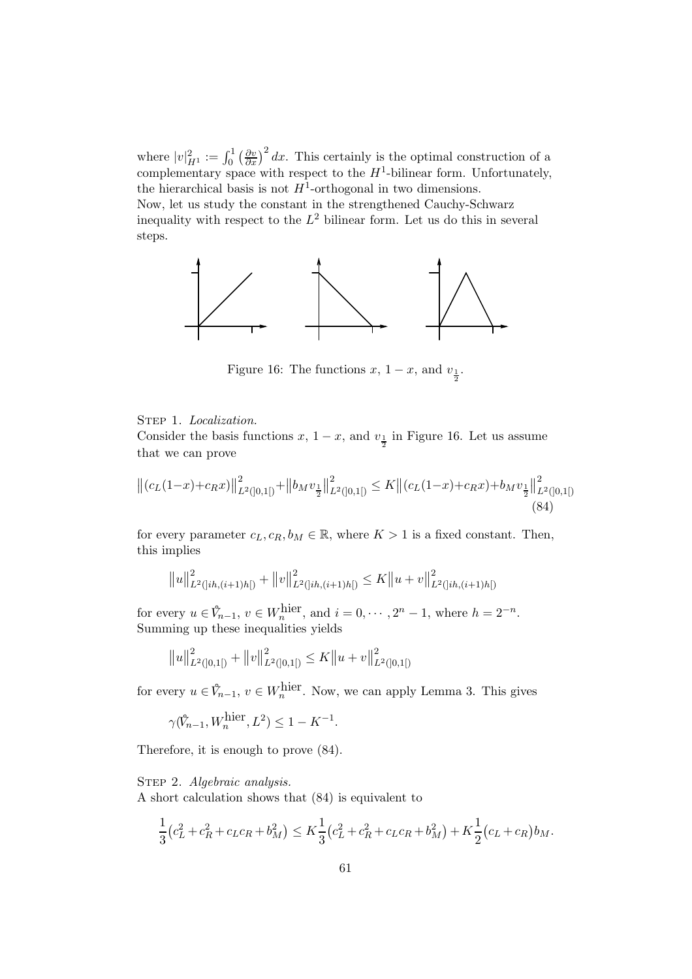where  $|v|_{H^1}^2 := \int_0^1 \left(\frac{\partial v}{\partial x}\right)^2 dx$ . This certainly is the optimal construction of a complementary space with respect to the  $H^1$ -bilinear form. Unfortunately, the hierarchical basis is not  $H^1$ -orthogonal in two dimensions.

Now, let us study the constant in the strengthened Cauchy-Schwarz inequality with respect to the  $L^2$  bilinear form. Let us do this in several steps.



Figure 16: The functions  $x$ ,  $1-x$ , and  $v_{\frac{1}{2}}$ .

### STEP 1. Localization.

Consider the basis functions  $x$ ,  $1-x$ , and  $v_{\frac{1}{2}}$  in Figure 16. Let us assume that we can prove

$$
\left\| (c_L(1-x)+c_Rx) \right\|_{L^2([0,1])}^2 + \left\| b_M v_{\frac{1}{2}} \right\|_{L^2([0,1])}^2 \le K \left\| (c_L(1-x)+c_Rx)+b_M v_{\frac{1}{2}} \right\|_{L^2([0,1])}^2
$$
\n(84)

for every parameter  $c_L, c_R, b_M \in \mathbb{R}$ , where  $K > 1$  is a fixed constant. Then, this implies

$$
||u||_{L^{2}(]ih,(i+1)h[)}^{2} + ||v||_{L^{2}(]ih,(i+1)h[)}^{2} \leq K||u+v||_{L^{2}(]ih,(i+1)h[)}^{2}
$$

for every  $u \in \mathring{V}_{n-1}$ ,  $v \in W_n^{\text{hier}}$ , and  $i = 0, \dots, 2^n - 1$ , where  $h = 2^{-n}$ . Summing up these inequalities yields

$$
||u||_{L^{2}([0,1])}^{2} + ||v||_{L^{2}([0,1])}^{2} \leq K||u+v||_{L^{2}([0,1])}^{2}
$$

for every  $u \in \mathring{V}_{n-1}$ ,  $v \in W_n^{\text{hier}}$ . Now, we can apply Lemma 3. This gives

.

$$
\gamma(\hat{V}_{n-1}, W_n^{\text{hier}}, L^2) \le 1 - K^{-1}
$$

Therefore, it is enough to prove (84).

### STEP 2. Algebraic analysis.

A short calculation shows that (84) is equivalent to

$$
\frac{1}{3}(c_L^2 + c_R^2 + c_L c_R + b_M^2) \le K \frac{1}{3}(c_L^2 + c_R^2 + c_L c_R + b_M^2) + K \frac{1}{2}(c_L + c_R)b_M.
$$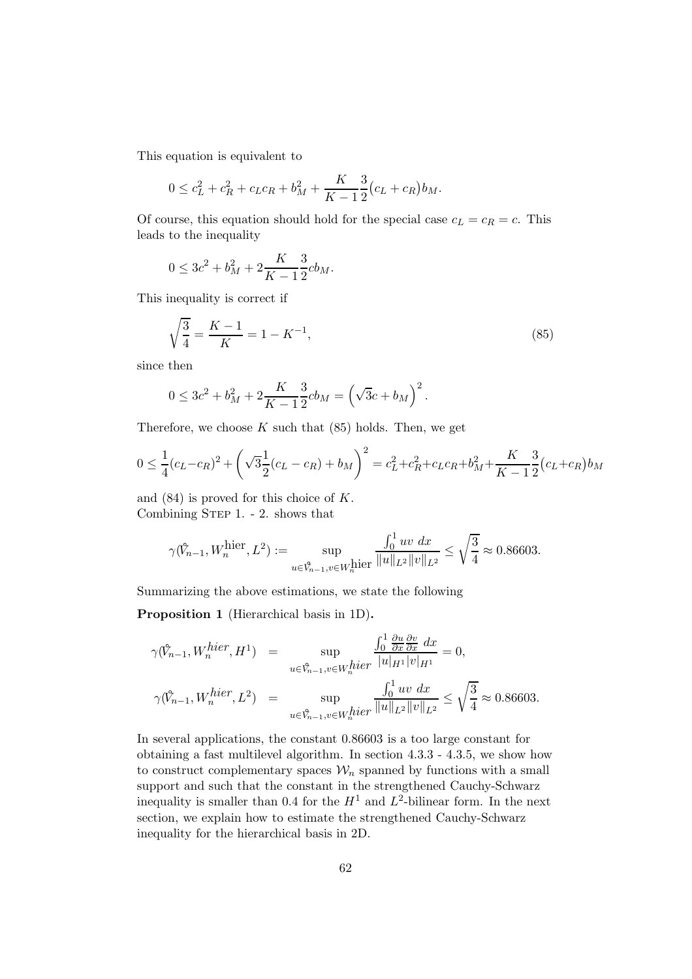This equation is equivalent to

$$
0 \le c_L^2 + c_R^2 + c_L c_R + b_M^2 + \frac{K}{K-1} \frac{3}{2} (c_L + c_R) b_M.
$$

Of course, this equation should hold for the special case  $c_L = c_R = c$ . This leads to the inequality

$$
0 \le 3c^2 + b_M^2 + 2\frac{K}{K-1} \frac{3}{2}cb_M.
$$

This inequality is correct if

$$
\sqrt{\frac{3}{4}} = \frac{K - 1}{K} = 1 - K^{-1},\tag{85}
$$

since then

$$
0 \le 3c^2 + b_M^2 + 2\frac{K}{K-1} \frac{3}{2}cb_M = \left(\sqrt{3}c + b_M\right)^2.
$$

Therefore, we choose  $K$  such that  $(85)$  holds. Then, we get

$$
0 \le \frac{1}{4}(c_L - c_R)^2 + \left(\sqrt{3}\frac{1}{2}(c_L - c_R) + b_M\right)^2 = c_L^2 + c_R^2 + c_L c_R + b_M^2 + \frac{K}{K-1}\frac{3}{2}(c_L + c_R)b_M
$$

and (84) is proved for this choice of K. Combining STEP 1. - 2. shows that

$$
\gamma(\hat{V}_{n-1}, W_n^{\text{hier}}, L^2) := \sup_{u \in \hat{V}_{n-1}, v \in W_n^{\text{hier}} } \frac{\int_0^1 u v \, dx}{\|u\|_{L^2} \|v\|_{L^2}} \le \sqrt{\frac{3}{4}} \approx 0.86603.
$$

Summarizing the above estimations, we state the following

Proposition 1 (Hierarchical basis in 1D).

$$
\gamma(\hat{V}_{n-1}, W_n^{hier}, H^1) = \sup_{u \in \hat{V}_{n-1}, v \in W_n^{hier}} \frac{\int_0^1 \frac{\partial u}{\partial x} \frac{\partial v}{\partial x} dx}{|u|_{H^1} |v|_{H^1}} = 0,
$$
  

$$
\gamma(\hat{V}_{n-1}, W_n^{hier}, L^2) = \sup_{u \in \hat{V}_{n-1}, v \in W_n^{hier}} \frac{\int_0^1 uv dx}{\|u\|_{L^2} \|v\|_{L^2}} \le \sqrt{\frac{3}{4}} \approx 0.86603.
$$

In several applications, the constant 0.86603 is a too large constant for obtaining a fast multilevel algorithm. In section 4.3.3 - 4.3.5, we show how to construct complementary spaces  $\mathcal{W}_n$  spanned by functions with a small support and such that the constant in the strengthened Cauchy-Schwarz inequality is smaller than 0.4 for the  $H^1$  and  $L^2$ -bilinear form. In the next section, we explain how to estimate the strengthened Cauchy-Schwarz inequality for the hierarchical basis in 2D.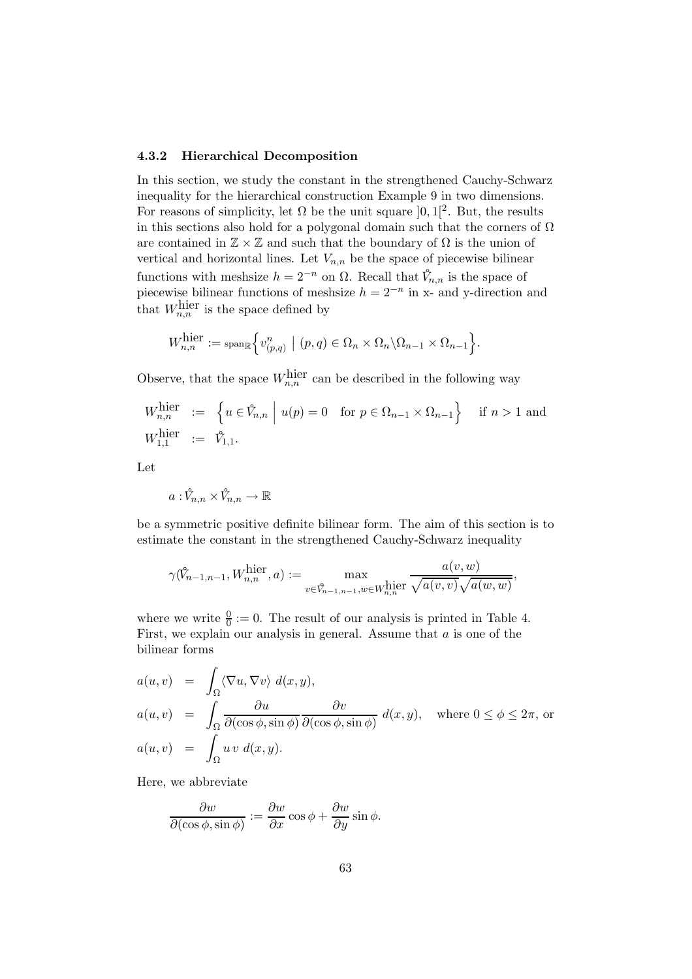### 4.3.2 Hierarchical Decomposition

In this section, we study the constant in the strengthened Cauchy-Schwarz inequality for the hierarchical construction Example 9 in two dimensions. For reasons of simplicity, let  $\Omega$  be the unit square  $]0,1[^2$ . But, the results in this sections also hold for a polygonal domain such that the corners of  $\Omega$ are contained in  $\mathbb{Z} \times \mathbb{Z}$  and such that the boundary of  $\Omega$  is the union of vertical and horizontal lines. Let  $V_{n,n}$  be the space of piecewise bilinear functions with meshsize  $h = 2^{-n}$  on  $\Omega$ . Recall that  $\hat{V}_{n,n}$  is the space of piecewise bilinear functions of meshsize  $h = 2^{-n}$  in x- and y-direction and that  $W_{n,n}^{\text{hier}}$  is the space defined by

$$
W_{n,n}^{\text{hier}} := \text{span}_{\mathbb{R}} \Big\{ v_{(p,q)}^n \ \big| \ (p,q) \in \Omega_n \times \Omega_n \backslash \Omega_{n-1} \times \Omega_{n-1} \Big\}.
$$

Observe, that the space  $W_{n,n}^{\text{hier}}$  can be described in the following way

$$
W_{n,n}^{\text{hier}} := \left\{ u \in \mathring{V}_{n,n} \mid u(p) = 0 \quad \text{for } p \in \Omega_{n-1} \times \Omega_{n-1} \right\} \quad \text{if } n > 1 \text{ and}
$$
  

$$
W_{1,1}^{\text{hier}} := \mathring{V}_{1,1}.
$$

Let

 $a: \hat{V}_{n,n} \times \hat{V}_{n,n} \to \mathbb{R}$ 

be a symmetric positive definite bilinear form. The aim of this section is to estimate the constant in the strengthened Cauchy-Schwarz inequality

$$
\gamma(\mathring{V}_{n-1,n-1}, W_{n,n}^{\text{hier}}, a) := \max_{v \in \mathring{V}_{n-1,n-1}, w \in W_{n,n}^{\text{hier}}}\frac{a(v,w)}{\sqrt{a(v,v)}\sqrt{a(w,w)}},
$$

where we write  $\frac{0}{0} := 0$ . The result of our analysis is printed in Table 4. First, we explain our analysis in general. Assume that  $a$  is one of the bilinear forms

$$
a(u, v) = \int_{\Omega} \langle \nabla u, \nabla v \rangle d(x, y),
$$
  
\n
$$
a(u, v) = \int_{\Omega} \frac{\partial u}{\partial(\cos \phi, \sin \phi)} \frac{\partial v}{\partial(\cos \phi, \sin \phi)} d(x, y), \text{ where } 0 \le \phi \le 2\pi, \text{ or}
$$
  
\n
$$
a(u, v) = \int_{\Omega} u v d(x, y).
$$

Here, we abbreviate

$$
\frac{\partial w}{\partial(\cos\phi, \sin\phi)} := \frac{\partial w}{\partial x}\cos\phi + \frac{\partial w}{\partial y}\sin\phi.
$$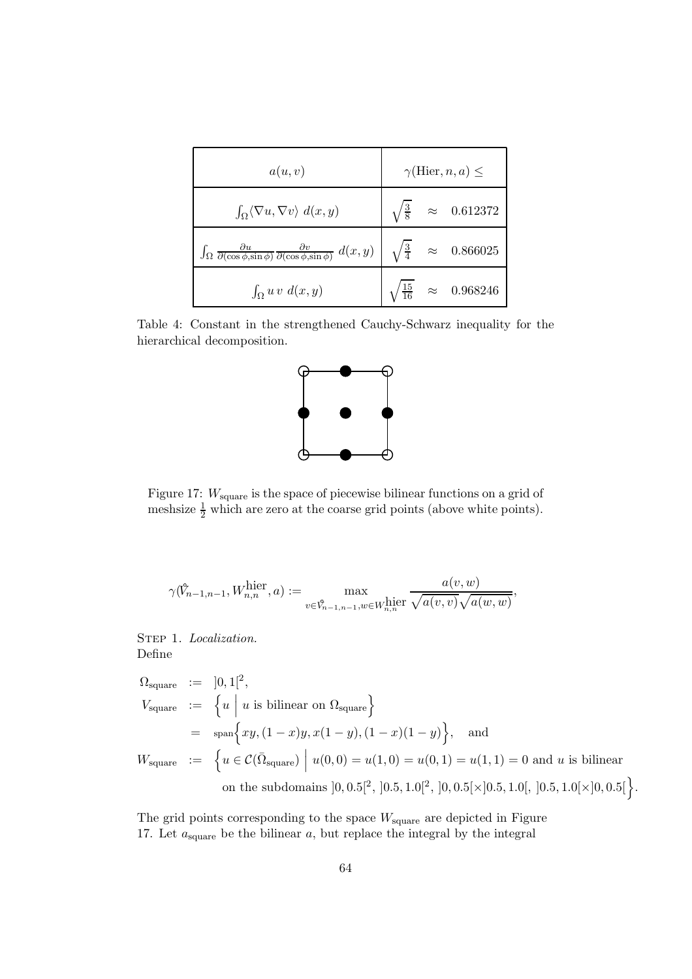| a(u, v)                                                                                                                                                               | $\gamma$ (Hier, n, a) $\leq$ |  |                                           |
|-----------------------------------------------------------------------------------------------------------------------------------------------------------------------|------------------------------|--|-------------------------------------------|
| $\int_{\Omega} \langle \nabla u, \nabla v \rangle d(x, y)$                                                                                                            |                              |  | $\sqrt{\frac{3}{8}}$ $\approx$ 0.612372   |
| $\int_{\Omega} \frac{\partial u}{\partial(\cos \phi, \sin \phi)} \frac{\partial v}{\partial(\cos \phi, \sin \phi)} d(x, y) \Big  \sqrt{\frac{3}{4}} \approx 0.866025$ |                              |  |                                           |
| $\int_{\Omega} u v d(x,y)$                                                                                                                                            |                              |  | $\sqrt{\frac{15}{16}}$ $\approx$ 0.968246 |

Table 4: Constant in the strengthened Cauchy-Schwarz inequality for the hierarchical decomposition.



Figure 17:  $W_{square}$  is the space of piecewise bilinear functions on a grid of meshsize  $\frac{1}{2}$  which are zero at the coarse grid points (above white points).

$$
\gamma(\hat{V}_{n-1,n-1}, W_{n,n}^{\text{hier}}, a) := \max_{v \in \hat{V}_{n-1,n-1}, w \in W_{n,n}^{\text{hier}}}\frac{a(v,w)}{\sqrt{a(v,v)}\sqrt{a(w,w)}},
$$

STEP 1. Localization. Define

$$
\Omega_{\text{square}} := ]0,1[^2,
$$
\n
$$
V_{\text{square}} := \left\{ u \mid u \text{ is bilinear on } \Omega_{\text{square}} \right\}
$$
\n
$$
= \text{span}\left\{ xy, (1-x)y, x(1-y), (1-x)(1-y) \right\}, \text{ and}
$$
\n
$$
W_{\text{square}} := \left\{ u \in \mathcal{C}(\overline{\Omega}_{\text{square}}) \mid u(0,0) = u(1,0) = u(0,1) = u(1,1) = 0 \text{ and } u \text{ is bilinear}
$$
\n
$$
\text{on the subdomains } ]0, 0.5[^2, ]0.5, 1.0[^2, ]0, 0.5[\times]0.5, 1.0[, ]0.5, 1.0[\times]0, 0.5[\}.
$$

The grid points corresponding to the space  $W_{square}$  are depicted in Figure 17. Let  $a_{square}$  be the bilinear  $a$ , but replace the integral by the integral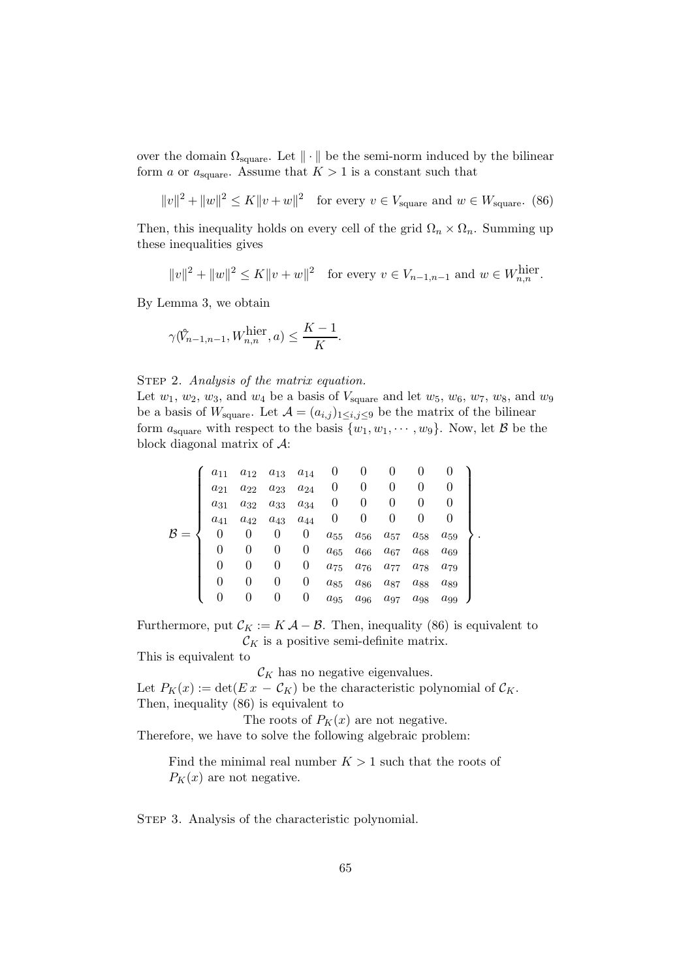over the domain  $\Omega_{\text{square}}$ . Let  $\|\cdot\|$  be the semi-norm induced by the bilinear form a or  $a_{square}$ . Assume that  $K > 1$  is a constant such that

$$
||v||^2 + ||w||^2 \le K||v+w||^2 \quad \text{for every } v \in V_{\text{square}} \text{ and } w \in W_{\text{square}}. \tag{86}
$$

Then, this inequality holds on every cell of the grid  $\Omega_n \times \Omega_n$ . Summing up these inequalities gives

$$
||v||^2 + ||w||^2 \le K||v+w||^2
$$
 for every  $v \in V_{n-1,n-1}$  and  $w \in W_{n,n}^{\text{hier}}$ .

By Lemma 3, we obtain

$$
\gamma(\hat{V}_{n-1,n-1}, W_{n,n}^{\text{hier}}, a) \le \frac{K-1}{K}.
$$

STEP 2. Analysis of the matrix equation.

Let  $w_1, w_2, w_3$ , and  $w_4$  be a basis of  $V_{square}$  and let  $w_5, w_6, w_7, w_8$ , and  $w_9$ be a basis of  $W_{square}$ . Let  $\mathcal{A} = (a_{i,j})_{1 \leq i,j \leq 9}$  be the matrix of the bilinear form  $a_{square}$  with respect to the basis  $\{w_1, w_1, \dots, w_9\}$ . Now, let B be the block diagonal matrix of A:

$$
\mathcal{B} = \left\{\n\begin{array}{ccccccc}\na_{11} & a_{12} & a_{13} & a_{14} & 0 & 0 & 0 & 0 & 0 \\
a_{21} & a_{22} & a_{23} & a_{24} & 0 & 0 & 0 & 0 & 0 \\
a_{31} & a_{32} & a_{33} & a_{34} & 0 & 0 & 0 & 0 & 0 \\
a_{41} & a_{42} & a_{43} & a_{44} & 0 & 0 & 0 & 0 & 0 \\
0 & 0 & 0 & 0 & a_{55} & a_{56} & a_{57} & a_{58} & a_{59} \\
0 & 0 & 0 & 0 & a_{65} & a_{66} & a_{67} & a_{68} & a_{69} \\
0 & 0 & 0 & 0 & a_{75} & a_{76} & a_{77} & a_{78} & a_{79} \\
0 & 0 & 0 & 0 & a_{85} & a_{86} & a_{87} & a_{88} & a_{89} \\
0 & 0 & 0 & 0 & a_{95} & a_{96} & a_{97} & a_{98} & a_{99}\n\end{array}\n\right\}.
$$

Furthermore, put  $\mathcal{C}_K := K \mathcal{A} - \mathcal{B}$ . Then, inequality (86) is equivalent to  $\mathcal{C}_K$  is a positive semi-definite matrix.

This is equivalent to

 $\mathcal{C}_K$  has no negative eigenvalues.

Let  $P_K(x) := \det(E x - C_K)$  be the characteristic polynomial of  $C_K$ . Then, inequality (86) is equivalent to

The roots of  $P_K(x)$  are not negative.

Therefore, we have to solve the following algebraic problem:

Find the minimal real number  $K > 1$  such that the roots of  $P_K(x)$  are not negative.

STEP 3. Analysis of the characteristic polynomial.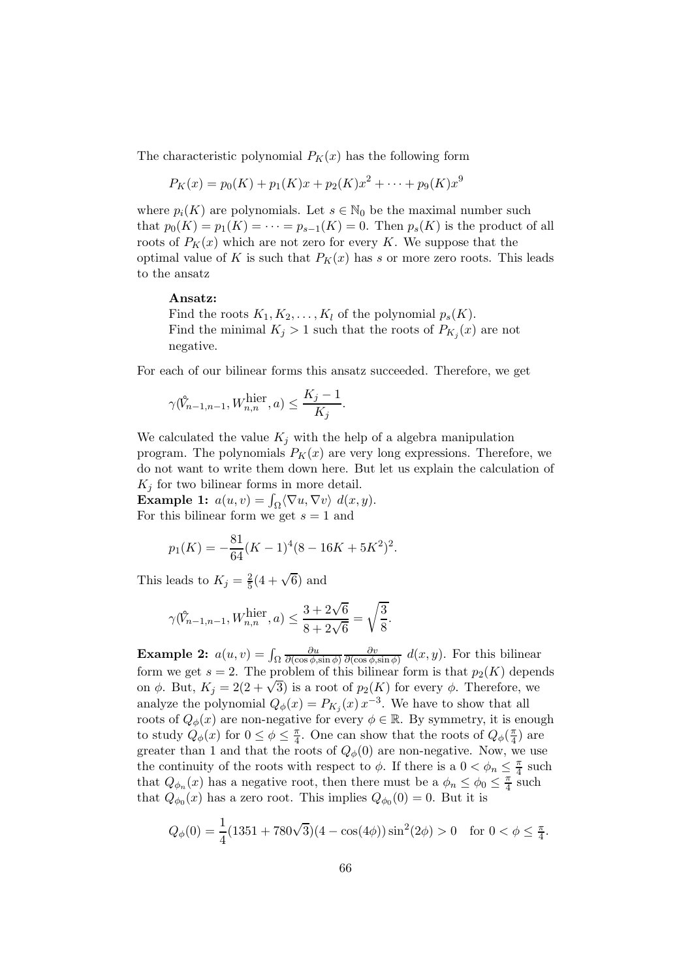The characteristic polynomial  $P_K(x)$  has the following form

$$
P_K(x) = p_0(K) + p_1(K)x + p_2(K)x^2 + \dots + p_9(K)x^9
$$

where  $p_i(K)$  are polynomials. Let  $s \in \mathbb{N}_0$  be the maximal number such that  $p_0(K) = p_1(K) = \cdots = p_{s-1}(K) = 0$ . Then  $p_s(K)$  is the product of all roots of  $P_K(x)$  which are not zero for every K. We suppose that the optimal value of K is such that  $P_K(x)$  has s or more zero roots. This leads to the ansatz

### Ansatz:

Find the roots  $K_1, K_2, \ldots, K_l$  of the polynomial  $p_s(K)$ . Find the minimal  $K_j > 1$  such that the roots of  $P_{K_j}(x)$  are not negative.

For each of our bilinear forms this ansatz succeeded. Therefore, we get

$$
\gamma(\mathring{V}_{n-1,n-1}, W_{n,n}^{\text{hier}}, a) \le \frac{K_j - 1}{K_j}.
$$

We calculated the value  $K_j$  with the help of a algebra manipulation program. The polynomials  $P_K(x)$  are very long expressions. Therefore, we do not want to write them down here. But let us explain the calculation of  $K_i$  for two bilinear forms in more detail.

**Example 1:**  $a(u, v) = \int_{\Omega} \langle \nabla u, \nabla v \rangle d(x, y)$ . For this bilinear form we get  $s = 1$  and

$$
p_1(K) = -\frac{81}{64}(K-1)^4(8-16K+5K^2)^2.
$$

This leads to  $K_j = \frac{2}{5}$  $\frac{2}{5}(4+\sqrt{6})$  and

$$
\gamma(\hat{V}_{n-1,n-1}, W_{n,n}^{\text{hier}}, a) \le \frac{3 + 2\sqrt{6}}{8 + 2\sqrt{6}} = \sqrt{\frac{3}{8}}.
$$

Example 2:  $a(u, v) = \int_{\Omega}$ ∂u  $\partial(\cos\phi,\sin\phi)$ ∂v  $\frac{\partial v}{\partial(\cos\phi,\sin\phi)}$  d(x, y). For this bilinear form we get  $s = 2$ . The problem of this bilinear form is that  $p_2(K)$  depends on  $\phi$ . But,  $K_j = 2(2 + \sqrt{3})$  is a root of  $p_2(K)$  for every  $\phi$ . Therefore, we analyze the polynomial  $Q_{\phi}(x) = P_{K_j}(x) x^{-3}$ . We have to show that all roots of  $Q_{\phi}(x)$  are non-negative for every  $\phi \in \mathbb{R}$ . By symmetry, it is enough to study  $Q_{\phi}(x)$  for  $0 \leq \phi \leq \frac{\pi}{4}$  $\frac{\pi}{4}$ . One can show that the roots of  $Q_{\phi}(\frac{\pi}{4})$  $\frac{\pi}{4}$ ) are greater than 1 and that the roots of  $Q_{\phi}(0)$  are non-negative. Now, we use the continuity of the roots with respect to  $\phi$ . If there is a  $0 < \phi_n \leq \frac{\pi}{4}$  such that  $Q_{\phi_n}(x)$  has a negative root, then there must be a  $\phi_n \leq \phi_0 \leq \frac{\pi}{4}$  $\frac{\pi}{4}$  such that  $Q_{\phi_0}(x)$  has a zero root. This implies  $Q_{\phi_0}(0) = 0$ . But it is

$$
Q_{\phi}(0) = \frac{1}{4}(1351 + 780\sqrt{3})(4 - \cos(4\phi))\sin^{2}(2\phi) > 0 \quad \text{for } 0 < \phi \le \frac{\pi}{4}.
$$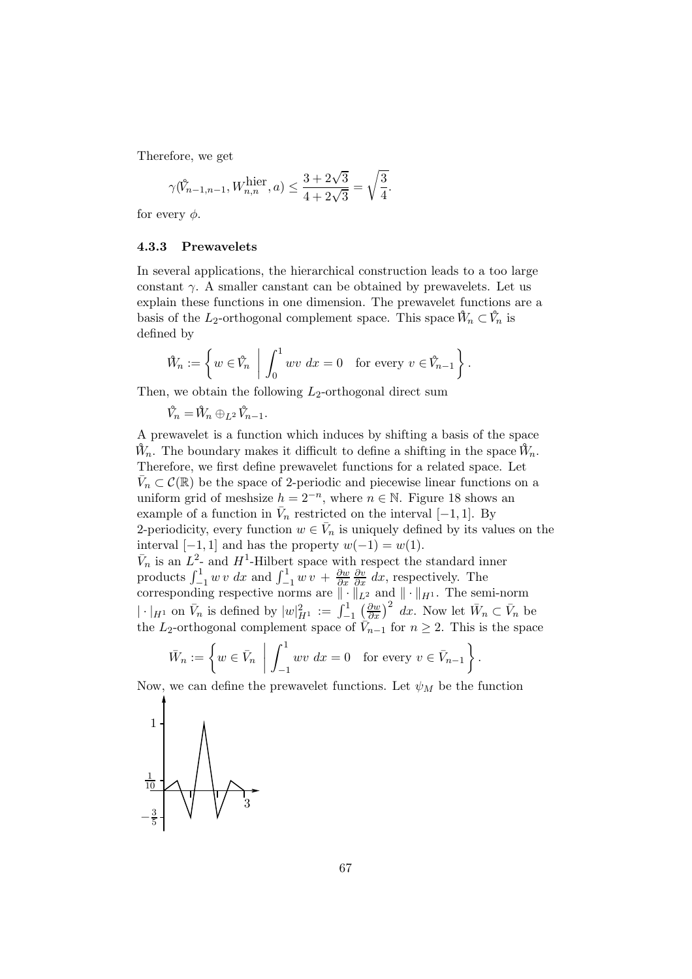Therefore, we get

$$
\gamma(\hat{V}_{n-1,n-1}, W_{n,n}^{\text{hier}}, a) \le \frac{3 + 2\sqrt{3}}{4 + 2\sqrt{3}} = \sqrt{\frac{3}{4}}.
$$

for every  $\phi$ .

### 4.3.3 Prewavelets

In several applications, the hierarchical construction leads to a too large constant  $\gamma$ . A smaller canstant can be obtained by prewavelets. Let us explain these functions in one dimension. The prewavelet functions are a basis of the L<sub>2</sub>-orthogonal complement space. This space  $\mathcal{W}_n \subset \mathcal{V}_n$  is defined by

$$
\mathring{W}_n := \left\{ w \in \mathring{V}_n \: \left| \: \int_0^1 wv \; dx = 0 \quad \text{for every } v \in \mathring{V}_{n-1} \right. \right\}.
$$

Then, we obtain the following  $L_2$ -orthogonal direct sum

 $\hat{V}_n = \hat{W}_n \oplus_{L^2} \hat{V}_{n-1}.$ 

A prewavelet is a function which induces by shifting a basis of the space  $\mathring{W}_n$ . The boundary makes it difficult to define a shifting in the space  $\mathring{W}_n$ . Therefore, we first define prewavelet functions for a related space. Let  $\bar{V}_n \subset \mathcal{C}(\mathbb{R})$  be the space of 2-periodic and piecewise linear functions on a uniform grid of meshsize  $h = 2^{-n}$ , where  $n \in \mathbb{N}$ . Figure 18 shows an example of a function in  $\bar{V}_n$  restricted on the interval [-1, 1]. By 2-periodicity, every function  $w \in \overline{V}_n$  is uniquely defined by its values on the interval  $[-1, 1]$  and has the property  $w(-1) = w(1)$ .  $\bar{V}_n$  is an  $L^2$ - and  $H^1$ -Hilbert space with respect the standard inner products  $\int_{-1}^{1} w v \, dx$  and  $\int_{-1}^{1} w v + \frac{\partial w}{\partial x}$ ∂x  $\frac{\partial v}{\partial x}$  dx, respectively. The corresponding respective norms are  $\|\cdot\|_{L^2}$  and  $\|\cdot\|_{H^1}$ . The semi-norm  $|\cdot|_{H^1}$  on  $\bar{V}_n$  is defined by  $|w|_{H^1}^2 := \int_{-1}^1$  $\left(\frac{\partial w}{\partial x}\right)^2 dx$ . Now let  $\bar{W}_n \subset \bar{V}_n$  be the L<sub>2</sub>-orthogonal complement space of  $\tilde{V}_{n-1}$  for  $n \geq 2$ . This is the space

$$
\bar{W}_n := \left\{ w \in \bar{V}_n \: \left| \: \int_{-1}^1 wv \, dx = 0 \quad \text{for every } v \in \bar{V}_{n-1} \right. \right\}.
$$

Now, we can define the prewavelet functions. Let  $\psi_M$  be the function

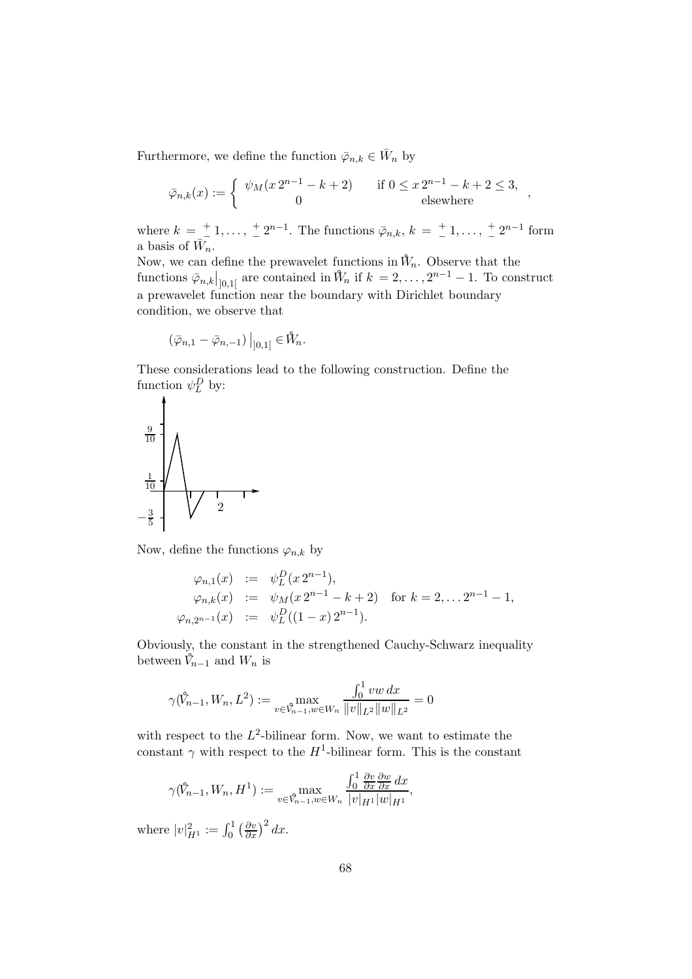Furthermore, we define the function  $\bar{\varphi}_{n,k} \in \bar{W}_n$  by

$$
\bar{\varphi}_{n,k}(x) := \begin{cases} \psi_M(x2^{n-1} - k + 2) & \text{if } 0 \le x2^{n-1} - k + 2 \le 3, \\ 0 & \text{elsewhere} \end{cases}
$$

where  $k = \frac{+}{-}$  $\frac{+}{\tau}$  1, ...,  $\frac{+}{\tau}$  $\frac{1}{2}$  =  $2^{n-1}$ . The functions  $\bar{\varphi}_{n,k}, k = \frac{1}{2}$  $\frac{+}{-}1, \ldots, \frac{+}{-}$  $\frac{+}{-}2^{n-1}$  form a basis of  $\bar{W}_n$ .

Now, we can define the prewavelet functions in  $\hat{W}_n$ . Observe that the functions  $\bar{\varphi}_{n,k}|_{]0,1[}$  are contained in  $\hat{W}_n$  if  $k=2,\ldots,2^{n-1}-1$ . To construct a prewavelet function near the boundary with Dirichlet boundary condition, we observe that

$$
\left(\bar{\varphi}_{n,1}-\bar{\varphi}_{n,-1}\right)\big|_{]0,1[}\in \mathring{W}_n.
$$

These considerations lead to the following construction. Define the function  $\psi_L^D$  by:

$$
\begin{array}{c|c}\n\frac{9}{10} \\
\frac{1}{10} \\
-\frac{3}{5}\n\end{array}
$$

Now, define the functions  $\varphi_{n,k}$  by

$$
\varphi_{n,1}(x) := \psi_L^D(x 2^{n-1}),
$$
  
\n
$$
\varphi_{n,k}(x) := \psi_M(x 2^{n-1} - k + 2) \text{ for } k = 2, \dots 2^{n-1} - 1,
$$
  
\n
$$
\varphi_{n,2^{n-1}}(x) := \psi_L^D((1-x) 2^{n-1}).
$$

Obviously, the constant in the strengthened Cauchy-Schwarz inequality between  $\tilde{V}_{n-1}$  and  $W_n$  is

$$
\gamma(\mathring{V}_{n-1}, W_n, L^2) := \max_{v \in \mathring{V}_{n-1}, w \in W_n} \frac{\int_0^1 vw \, dx}{\|v\|_{L^2} \|w\|_{L^2}} = 0
$$

with respect to the  $L^2$ -bilinear form. Now, we want to estimate the constant  $\gamma$  with respect to the  $H^1$ -bilinear form. This is the constant

$$
\gamma(\mathring{V}_{n-1}, W_n, H^1) := \max_{v \in \mathring{V}_{n-1}, w \in W_n} \frac{\int_0^1 \frac{\partial v}{\partial x} \frac{\partial w}{\partial x} dx}{|v|_{H^1} |w|_{H^1}},
$$

where  $|v|_{H^1}^2 := \int_0^1 \left(\frac{\partial v}{\partial x}\right)^2 dx$ .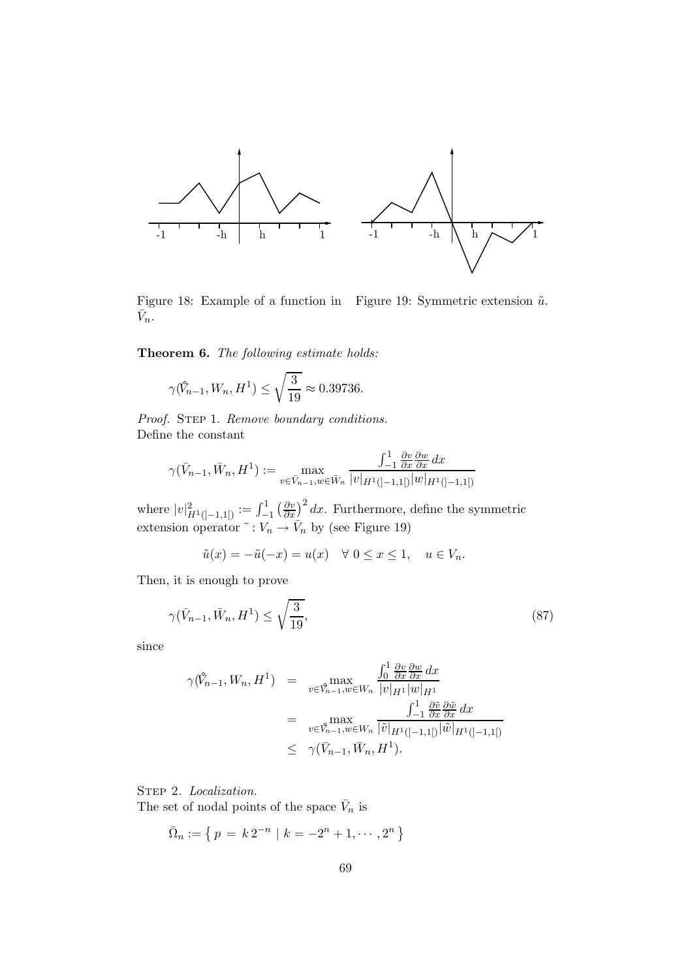

Figure 18: Example of a function in Figure 19: Symmetric extension  $\tilde{u}$ .  $\bar{V}_n$ .

Theorem 6. The following estimate holds:

$$
\gamma(\hat{V}_{n-1}, W_n, H^1) \le \sqrt{\frac{3}{19}} \approx 0.39736.
$$

Proof. STEP 1. Remove boundary conditions. Define the constant

$$
\gamma(\bar{V}_{n-1}, \bar{W}_n, H^1) := \max_{v \in \bar{V}_{n-1}, w \in \bar{W}_n} \frac{\int_{-1}^1 \frac{\partial v}{\partial x} \frac{\partial w}{\partial x} dx}{|v|_{H^1([-1,1])}|w|_{H^1([-1,1])}}
$$

where  $|v|_{H^1([-1,1[)}^2 := \int_{-1}^1$  $\left(\frac{\partial v}{\partial x}\right)^2 dx$ . Furthermore, define the symmetric extension operator  $\tilde{v}: V_n \to \bar{V}_n$  by (see Figure 19)

$$
\tilde{u}(x) = -\tilde{u}(-x) = u(x) \quad \forall \ 0 \le x \le 1, \quad u \in V_n.
$$

Then, it is enough to prove

$$
\gamma(\bar{V}_{n-1}, \bar{W}_n, H^1) \le \sqrt{\frac{3}{19}},\tag{87}
$$

since

$$
\gamma(\hat{V}_{n-1}, W_n, H^1) = \max_{v \in \hat{V}_{n-1}, w \in W_n} \frac{\int_0^1 \frac{\partial v}{\partial x} \frac{\partial w}{\partial x} dx}{|v|_{H^1} |w|_{H^1}}
$$
  
\n
$$
= \max_{v \in \hat{V}_{n-1}, w \in W_n} \frac{\int_{-1}^1 \frac{\partial \tilde{v}}{\partial x} \frac{\partial \tilde{w}}{\partial x} dx}{|\tilde{v}|_{H^1([-1,1[)}|w|_{H^1([-1,1[)}]}
$$
  
\n
$$
\leq \gamma(\bar{V}_{n-1}, \bar{W}_n, H^1).
$$

STEP 2. Localization.

The set of nodal points of the space  $\bar{V}_n$  is

$$
\bar{\Omega}_n := \left\{ \, p \, = \, k \, 2^{-n} \, \mid \, k = -2^n + 1, \cdots, 2^n \, \right\}
$$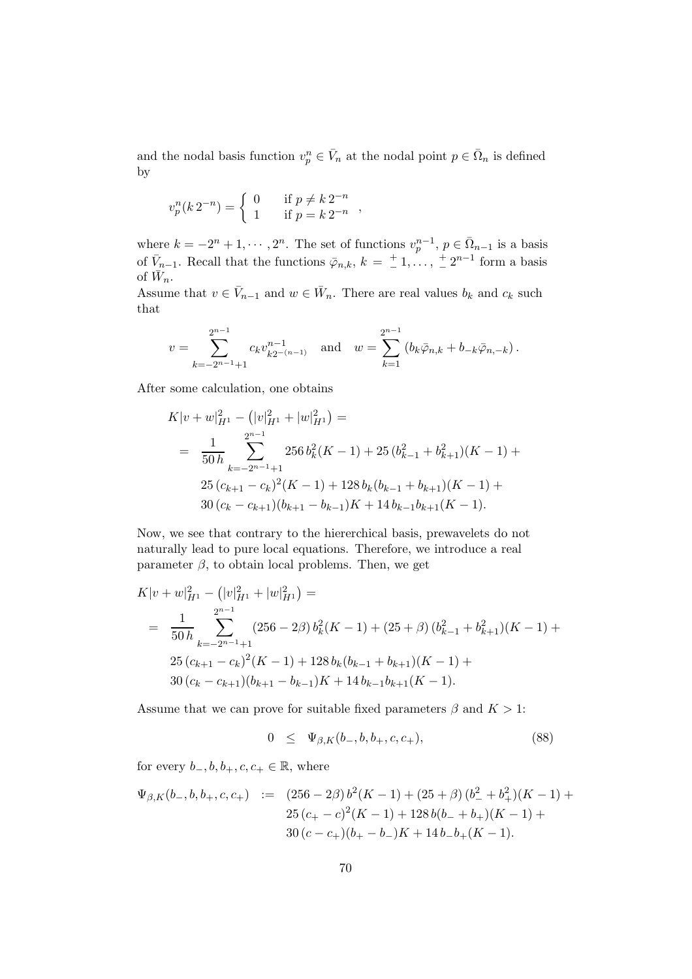and the nodal basis function  $v_p^n \in \overline{V}_n$  at the nodal point  $p \in \overline{\Omega}_n$  is defined by

$$
v_p^n(k \, 2^{-n}) = \begin{cases} \ 0 & \text{if } p \neq k \, 2^{-n} \\ \ 1 & \text{if } p = k \, 2^{-n} \end{cases}
$$

where  $k = -2^n + 1, \dots, 2^n$ . The set of functions  $v_p^{n-1}$ ,  $p \in \overline{\Omega}_{n-1}$  is a basis of  $\bar{V}_{n-1}$ . Recall that the functions  $\bar{\varphi}_{n,k}, k = \frac{+}{-}$  $\frac{+}{-}1, \ldots, \frac{+}{-}$  $\frac{1}{n} 2^{n-1}$  form a basis of  $\bar{W}_n$ .

Assume that  $v \in \overline{V}_{n-1}$  and  $w \in \overline{W}_n$ . There are real values  $b_k$  and  $c_k$  such that

$$
v = \sum_{k=-2^{n-1}+1}^{2^{n-1}} c_k v_{k2^{-(n-1)}}^{n-1} \text{ and } w = \sum_{k=1}^{2^{n-1}} (b_k \bar{\varphi}_{n,k} + b_{-k} \bar{\varphi}_{n,-k}).
$$

After some calculation, one obtains

$$
K|v+w|_{H^1}^2 - (|v|_{H^1}^2 + |w|_{H^1}^2) =
$$
  
= 
$$
\frac{1}{50h} \sum_{k=-2^{n-1}+1}^{2^{n-1}} 256 b_k^2 (K-1) + 25 (b_{k-1}^2 + b_{k+1}^2)(K-1) +
$$
  

$$
25 (c_{k+1} - c_k)^2 (K-1) + 128 b_k (b_{k-1} + b_{k+1})(K-1) +
$$
  

$$
30 (c_k - c_{k+1})(b_{k+1} - b_{k-1}) K + 14 b_{k-1} b_{k+1} (K-1).
$$

Now, we see that contrary to the hiererchical basis, prewavelets do not naturally lead to pure local equations. Therefore, we introduce a real parameter  $\beta$ , to obtain local problems. Then, we get

$$
K|v+w|_{H^1}^2 - (|v|_{H^1}^2 + |w|_{H^1}^2) =
$$
  
= 
$$
\frac{1}{50h} \sum_{k=-2^{n-1}+1}^{2^{n-1}} (256 - 2\beta) b_k^2(K-1) + (25 + \beta) (b_{k-1}^2 + b_{k+1}^2)(K-1) +
$$
  

$$
25 (c_{k+1} - c_k)^2(K-1) + 128 b_k(b_{k-1} + b_{k+1})(K-1) +
$$
  

$$
30 (c_k - c_{k+1})(b_{k+1} - b_{k-1})K + 14 b_{k-1}b_{k+1}(K-1).
$$

Assume that we can prove for suitable fixed parameters  $\beta$  and  $K > 1$ :

$$
0 \leq \Psi_{\beta,K}(b_-,b,b_+,c,c_+), \tag{88}
$$

for every  $b_-,b,b_+,c,c_+ \in \mathbb{R}$ , where

$$
\Psi_{\beta,K}(b_-,b,b_+,c,c_+) := (256 - 2\beta) b^2(K-1) + (25 + \beta) (b_-^2 + b_+^2)(K-1) + 25 (c_+ - c)^2(K-1) + 128 b(b_- + b_+)(K-1) + 30 (c - c_+)(b_+ - b_-)K + 14 b_- b_+(K-1).
$$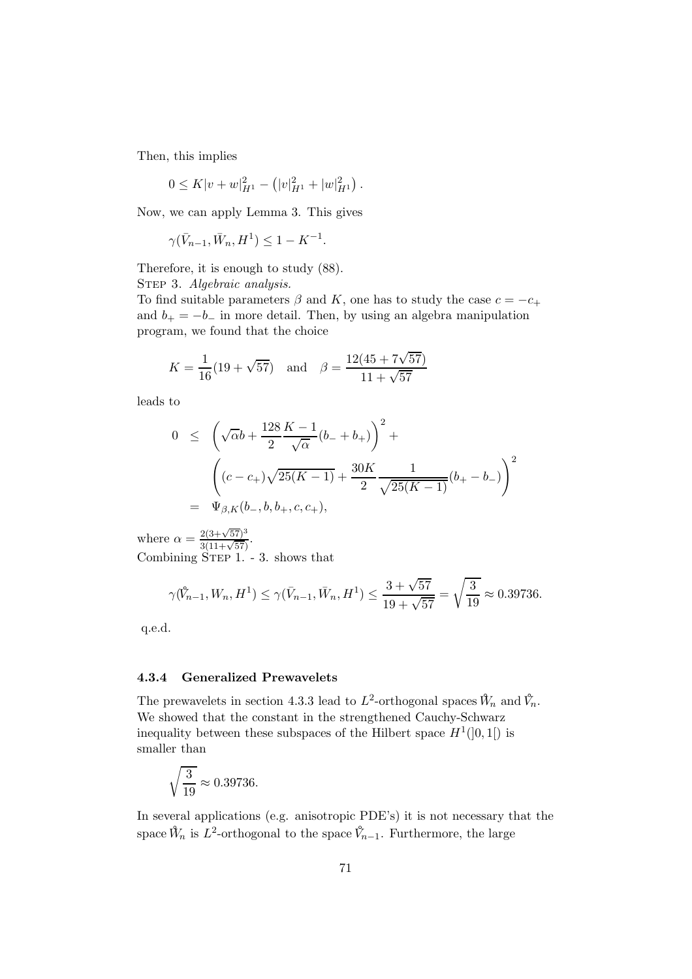Then, this implies

$$
0 \leq K|v+w|_{H^1}^2 - (|v|_{H^1}^2 + |w|_{H^1}^2).
$$

Now, we can apply Lemma 3. This gives

 $\gamma(\bar{V}_{n-1}, \bar{W}_n, H^1) \leq 1 - K^{-1}.$ 

Therefore, it is enough to study (88).

STEP 3. Algebraic analysis.

To find suitable parameters  $\beta$  and K, one has to study the case  $c = -c_+$ and  $b_{+} = -b_{-}$  in more detail. Then, by using an algebra manipulation program, we found that the choice

$$
K = \frac{1}{16}(19 + \sqrt{57}) \quad \text{and} \quad \beta = \frac{12(45 + 7\sqrt{57})}{11 + \sqrt{57}}
$$

leads to

$$
0 \leq \left(\sqrt{\alpha}b + \frac{128}{2}\frac{K-1}{\sqrt{\alpha}}(b_- + b_+)\right)^2 +
$$
  

$$
\left((c - c_+)\sqrt{25(K - 1)} + \frac{30K}{2}\frac{1}{\sqrt{25(K - 1)}}(b_+ - b_-)\right)^2
$$
  

$$
= \Psi_{\beta,K}(b_-, b, b_+, c, c_+),
$$

where  $\alpha = \frac{2(3+\sqrt{57})^3}{3(11+\sqrt{57})}$ . Combining  $\text{STEP}$  1. - 3. shows that

$$
\gamma(\mathring{V}_{n-1}, W_n, H^1) \le \gamma(\bar{V}_{n-1}, \bar{W}_n, H^1) \le \frac{3 + \sqrt{57}}{19 + \sqrt{57}} = \sqrt{\frac{3}{19}} \approx 0.39736.
$$

q.e.d.

### 4.3.4 Generalized Prewavelets

The prewavelets in section 4.3.3 lead to  $L^2$ -orthogonal spaces  $\hat{W}_n$  and  $\hat{V}_n$ . We showed that the constant in the strengthened Cauchy-Schwarz inequality between these subspaces of the Hilbert space  $H^1(]0,1[)$  is smaller than

$$
\sqrt{\frac{3}{19}} \approx 0.39736.
$$

In several applications (e.g. anisotropic PDE's) it is not necessary that the space  $\hat{W}_n$  is  $L^2$ -orthogonal to the space  $\hat{V}_{n-1}$ . Furthermore, the large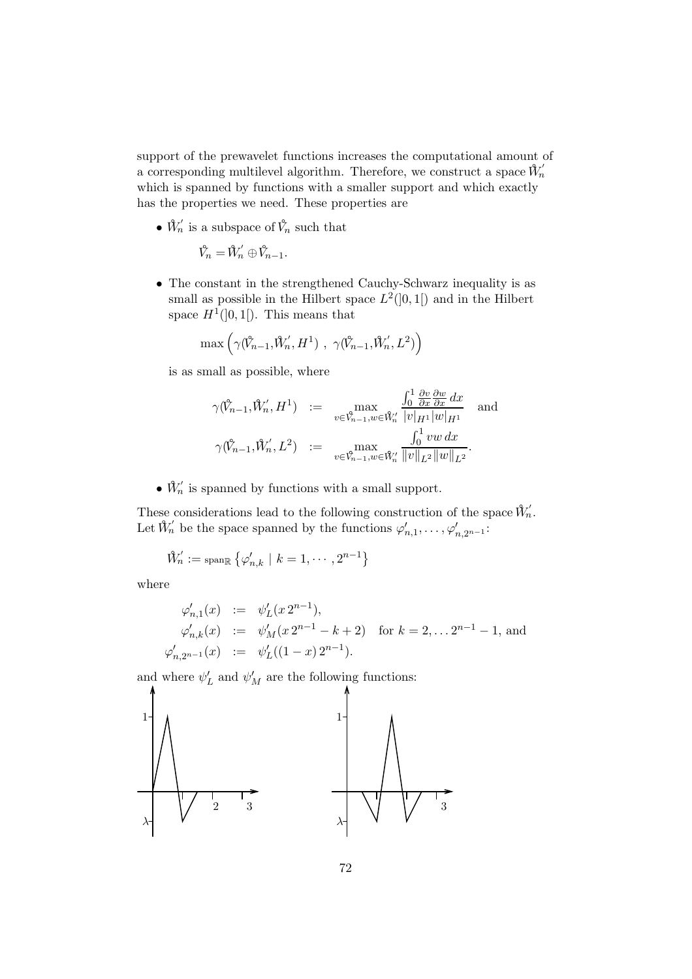support of the prewavelet functions increases the computational amount of a corresponding multilevel algorithm. Therefore, we construct a space  $\mathring{W}'_n$ which is spanned by functions with a smaller support and which exactly has the properties we need. These properties are

 $\bullet$   $\hat{W}'_n$  is a subspace of  $\hat{V}_n$  such that

$$
\hat{V}_n = \hat{W}'_n \oplus \hat{V}_{n-1}.
$$

• The constant in the strengthened Cauchy-Schwarz inequality is as small as possible in the Hilbert space  $L^2(]0,1[)$  and in the Hilbert space  $H^1(]0,1[)$ . This means that

$$
\max\left(\gamma(\hat{V}_{n-1},\hat{W}'_n,H^1),\ \gamma(\hat{V}_{n-1},\hat{W}'_n,L^2)\right)
$$

is as small as possible, where

$$
\begin{array}{rcl}\n\gamma(\hat{V}_{n-1},\hat{W}'_n,H^1) & := & \max\limits_{v\in\hat{V}_{n-1},w\in\hat{W}'_n} \frac{\int_0^1 \frac{\partial v}{\partial x} \frac{\partial w}{\partial x} dx}{|v|_{H^1}|w|_{H^1}} \text{ and } \\
\gamma(\hat{V}_{n-1},\hat{W}'_n,L^2) & := & \max\limits_{v\in\hat{V}_{n-1},w\in\hat{W}'_n} \frac{\int_0^1 v w dx}{\|v\|_{L^2}\|w\|_{L^2}}.\n\end{array}
$$

 $\bullet$   $\hat{W}'_n$  is spanned by functions with a small support.

These considerations lead to the following construction of the space  $\hat{W}'_n$ . Let  $\mathcal{W}'_n$  be the space spanned by the functions  $\varphi'_{n,1}, \ldots, \varphi'_{n,2^{n-1}}$ :

$$
\mathring{W}^\prime_n := \operatorname{span}_{\mathbb{R}} \left\{ \varphi^\prime_{n,k} \ | \ k = 1, \cdots, 2^{n-1} \right\}
$$

where

$$
\varphi'_{n,1}(x) := \psi'_L(x 2^{n-1}),
$$
  
\n
$$
\varphi'_{n,k}(x) := \psi'_M(x 2^{n-1} - k + 2) \text{ for } k = 2, ... 2^{n-1} - 1, \text{ and}
$$
  
\n
$$
\varphi'_{n,2^{n-1}}(x) := \psi'_L((1-x) 2^{n-1}).
$$

and where  $\psi'_{L}$  and  $\psi'_{M}$  are the following functions:

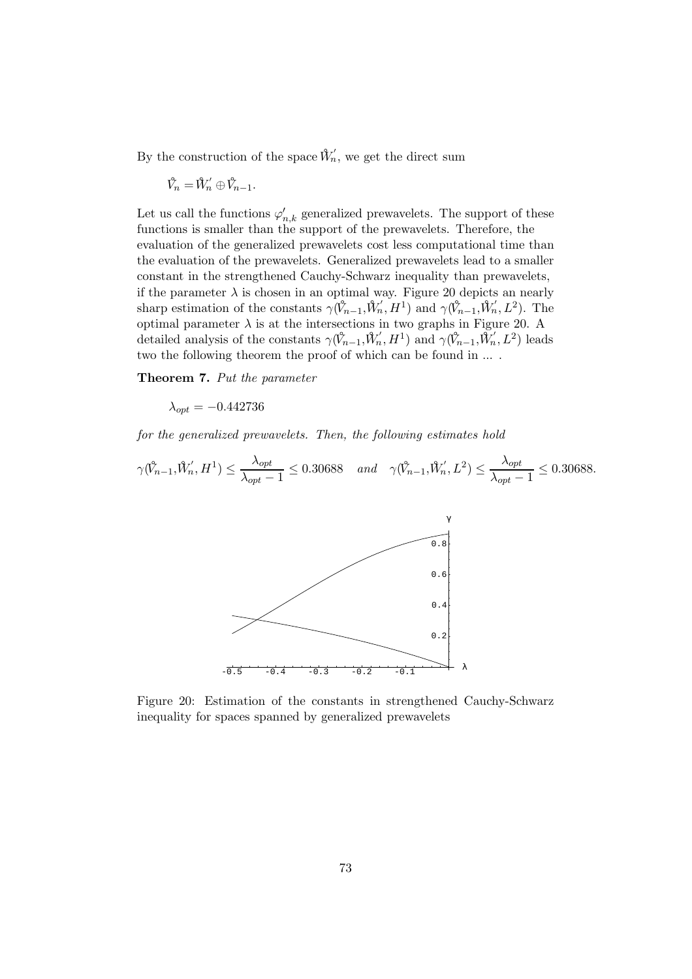By the construction of the space  $\hat{W}'_n$ , we get the direct sum

$$
\mathring{V}_n=\mathring{W}'_n\oplus \mathring{V}_{n-1}.
$$

Let us call the functions  $\varphi_{n,k}'$  generalized prewavelets. The support of these functions is smaller than the support of the prewavelets. Therefore, the evaluation of the generalized prewavelets cost less computational time than the evaluation of the prewavelets. Generalized prewavelets lead to a smaller constant in the strengthened Cauchy-Schwarz inequality than prewavelets, if the parameter  $\lambda$  is chosen in an optimal way. Figure 20 depicts an nearly sharp estimation of the constants  $\gamma(\hat{V}_{n-1}, \hat{W}'_n, H^1)$  and  $\gamma(\hat{V}_{n-1}, \hat{W}'_n, L^2)$ . The optimal parameter  $\lambda$  is at the intersections in two graphs in Figure 20. A detailed analysis of the constants  $\gamma(\hat{V}_{n-1}, \hat{W}'_n, H^1)$  and  $\gamma(\hat{V}_{n-1}, \tilde{W}'_n, L^2)$  leads two the following theorem the proof of which can be found in ... .

Theorem 7. Put the parameter

 $\lambda_{opt} = -0.442736$ 

for the generalized prewavelets. Then, the following estimates hold

$$
\gamma(\mathring{V}_{n-1}, \mathring{W}'_n, H^1) \le \frac{\lambda_{opt}}{\lambda_{opt} - 1} \le 0.30688 \quad and \quad \gamma(\mathring{V}_{n-1}, \mathring{W}'_n, L^2) \le \frac{\lambda_{opt}}{\lambda_{opt} - 1} \le 0.30688.
$$



Figure 20: Estimation of the constants in strengthened Cauchy-Schwarz inequality for spaces spanned by generalized prewavelets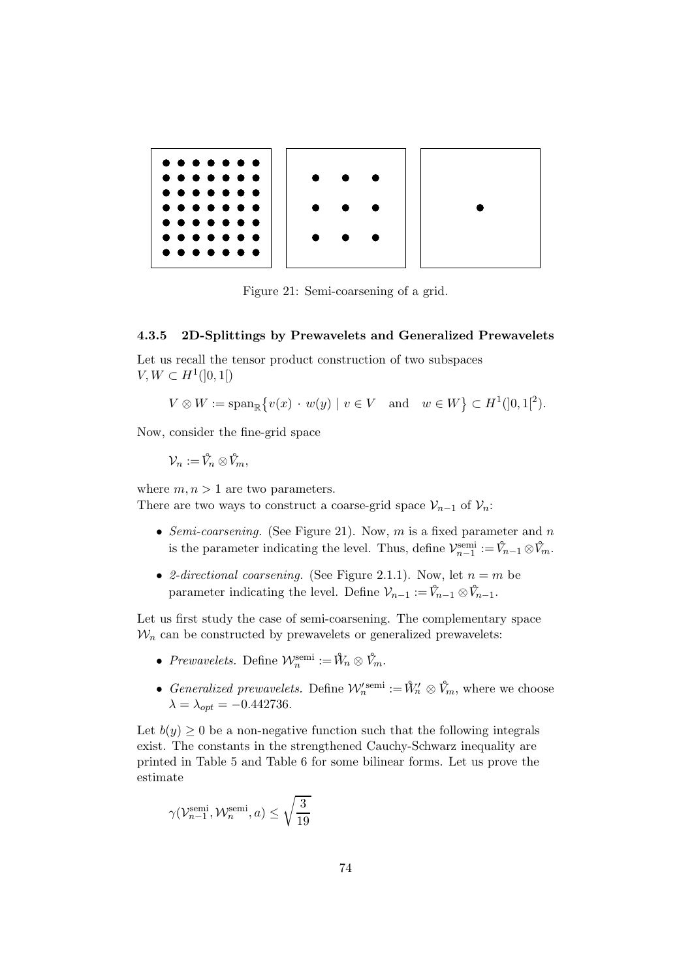

Figure 21: Semi-coarsening of a grid.

#### 4.3.5 2D-Splittings by Prewavelets and Generalized Prewavelets

Let us recall the tensor product construction of two subspaces  $V, W \subset H^1(]0,1[)$ 

$$
V \otimes W := \operatorname{span}_{\mathbb{R}} \{ v(x) \cdot w(y) \mid v \in V \quad \text{and} \quad w \in W \} \subset H^1(]0,1[^2).
$$

Now, consider the fine-grid space

 $\mathcal{V}_n := \mathring{V}_n \otimes \mathring{V}_m,$ 

where  $m, n > 1$  are two parameters.

There are two ways to construct a coarse-grid space  $\mathcal{V}_{n-1}$  of  $\mathcal{V}_n$ :

- Semi-coarsening. (See Figure 21). Now, m is a fixed parameter and n is the parameter indicating the level. Thus, define  $\mathcal{V}_{n-1}^{\text{semi}} := \mathcal{V}_{n-1} \otimes \mathcal{V}_{m}$ .
- 2-directional coarsening. (See Figure 2.1.1). Now, let  $n = m$  be parameter indicating the level. Define  $\mathcal{V}_{n-1} := \hat{V}_{n-1} \otimes \hat{V}_{n-1}$ .

Let us first study the case of semi-coarsening. The complementary space  $\mathcal{W}_n$  can be constructed by prewavelets or generalized prewavelets:

- Prewavelets. Define  $\mathcal{W}_n^{\text{semi}} := \mathcal{W}_n \otimes \mathcal{V}_m$ .
- Generalized prewavelets. Define  $\mathcal{W}'_n^{\text{semi}} := \mathcal{W}'_n \otimes \mathcal{V}_m$ , where we choose  $\lambda = \lambda_{opt} = -0.442736.$

Let  $b(y) \geq 0$  be a non-negative function such that the following integrals exist. The constants in the strengthened Cauchy-Schwarz inequality are printed in Table 5 and Table 6 for some bilinear forms. Let us prove the estimate

$$
\gamma(\mathcal V_{n-1}^{\text{semi}},\mathcal W_n^{\text{semi}},a) \leq \sqrt{\frac{3}{19}}
$$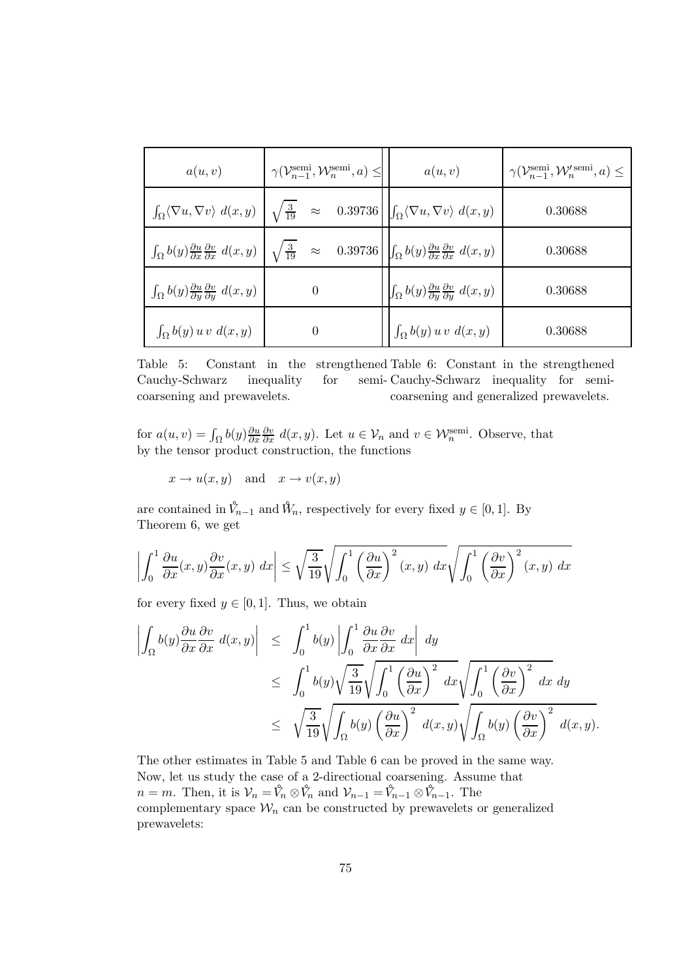| a(u,v)                                                                                   | $\gamma(\mathcal{V}_{n-1}^{\text{semi}}, \mathcal{W}_n^{\text{semi}}, a) \leq \vert$                                                                                                                                                              | a(u, v)                                                                                  | $\gamma(\mathcal{V}_{n-1}^{\text{semi}}, \mathcal{W}_{n}^{\prime \text{ semi}}, a) \leq$ |
|------------------------------------------------------------------------------------------|---------------------------------------------------------------------------------------------------------------------------------------------------------------------------------------------------------------------------------------------------|------------------------------------------------------------------------------------------|------------------------------------------------------------------------------------------|
|                                                                                          | $\int_{\Omega} \langle \nabla u, \nabla v \rangle d(x, y) \left  \sqrt{\frac{3}{19}} \right  \approx 0.39736 \left  \int_{\Omega} \langle \nabla u, \nabla v \rangle d(x, y) \right $                                                             |                                                                                          | 0.30688                                                                                  |
|                                                                                          | $\int_{\Omega} b(y) \frac{\partial u}{\partial x} \frac{\partial v}{\partial x} d(x, y) \left  \sqrt{\frac{3}{19}} \right  \approx 0.39736 \left  \int_{\Omega} b(y) \frac{\partial u}{\partial x} \frac{\partial v}{\partial x} d(x, y) \right $ |                                                                                          | 0.30688                                                                                  |
| $\int_{\Omega} b(y) \frac{\partial u}{\partial y} \frac{\partial v}{\partial y} d(x, y)$ | $\overline{0}$                                                                                                                                                                                                                                    | $\int_{\Omega} b(y) \frac{\partial u}{\partial y} \frac{\partial v}{\partial y} d(x, y)$ | 0.30688                                                                                  |
| $\int_{\Omega} b(y) u v d(x, y)$                                                         | $\theta$                                                                                                                                                                                                                                          | $\int_{\Omega} b(y) u v d(x, y)$                                                         | 0.30688                                                                                  |

Table 5: Constant in the strengthened Table 6: Constant in the strengthened Cauchy-Schwarz inequality for coarsening and prewavelets. semi-Cauchy-Schwarz inequality for semicoarsening and generalized prewavelets.

for  $a(u, v) = \int_{\Omega} b(y) \frac{\partial u}{\partial x}$ ∂x  $\frac{\partial v}{\partial x} d(x, y)$ . Let  $u \in V_n$  and  $v \in \mathcal{W}_n^{\text{semi}}$ . Observe, that by the tensor product construction, the functions

 $x \to u(x, y)$  and  $x \to v(x, y)$ 

are contained in  $\hat{V}_{n-1}$  and  $\hat{W}_n$ , respectively for every fixed  $y \in [0, 1]$ . By Theorem 6, we get

$$
\left| \int_0^1 \frac{\partial u}{\partial x}(x, y) \frac{\partial v}{\partial x}(x, y) dx \right| \leq \sqrt{\frac{3}{19}} \sqrt{\int_0^1 \left( \frac{\partial u}{\partial x} \right)^2 (x, y) dx} \sqrt{\int_0^1 \left( \frac{\partial v}{\partial x} \right)^2 (x, y) dx}
$$

for every fixed  $y \in [0, 1]$ . Thus, we obtain

$$
\begin{aligned}\n\left| \int_{\Omega} b(y) \frac{\partial u}{\partial x} \frac{\partial v}{\partial x} d(x, y) \right| &\leq \int_{0}^{1} b(y) \left| \int_{0}^{1} \frac{\partial u}{\partial x} \frac{\partial v}{\partial x} dx \right| dy \\
&\leq \int_{0}^{1} b(y) \sqrt{\frac{3}{19}} \sqrt{\int_{0}^{1} \left(\frac{\partial u}{\partial x}\right)^{2} dx} \sqrt{\int_{0}^{1} \left(\frac{\partial v}{\partial x}\right)^{2} dx} dy \\
&\leq \sqrt{\frac{3}{19}} \sqrt{\int_{\Omega} b(y) \left(\frac{\partial u}{\partial x}\right)^{2} d(x, y)} \sqrt{\int_{\Omega} b(y) \left(\frac{\partial v}{\partial x}\right)^{2} d(x, y)}.\n\end{aligned}
$$

The other estimates in Table 5 and Table 6 can be proved in the same way. Now, let us study the case of a 2-directional coarsening. Assume that  $n = m$ . Then, it is  $\mathcal{V}_n = \hat{V}_n \otimes \hat{V}_n$  and  $\mathcal{V}_{n-1} = \hat{V}_{n-1} \otimes \hat{V}_{n-1}$ . The complementary space  $\mathcal{W}_n$  can be constructed by prewavelets or generalized prewavelets: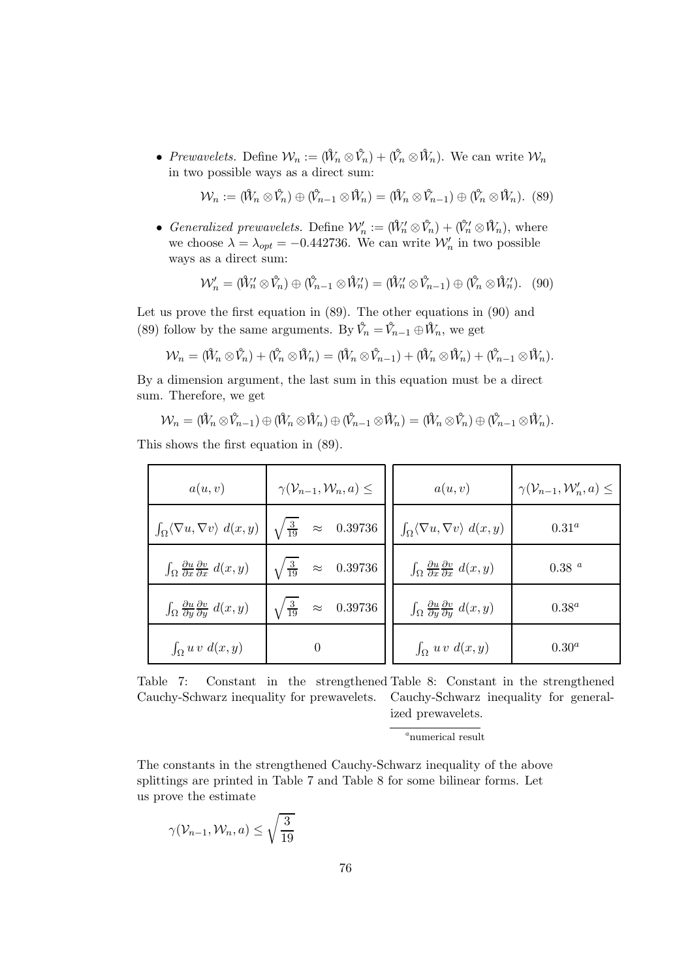• Prewavelets. Define  $\mathcal{W}_n := (\hat{W}_n \otimes \hat{V}_n) + (\hat{V}_n \otimes \hat{W}_n)$ . We can write  $\mathcal{W}_n$ in two possible ways as a direct sum:

$$
\mathcal{W}_n := (\mathring{W}_n \otimes \mathring{V}_n) \oplus (\mathring{V}_{n-1} \otimes \mathring{W}_n) = (\mathring{W}_n \otimes \mathring{V}_{n-1}) \oplus (\mathring{V}_n \otimes \mathring{W}_n).
$$
 (89)

• Generalized prewavelets. Define  $\mathcal{W}'_n := (W'_n \otimes V_n) + (V'_n \otimes W_n)$ , where we choose  $\lambda = \lambda_{opt} = -0.442736$ . We can write  $\mathcal{W}'_n$  in two possible ways as a direct sum:

$$
\mathcal{W}'_n = (\mathring{W}'_n \otimes \mathring{V}_n) \oplus (\mathring{V}_{n-1} \otimes \mathring{W}'_n) = (\mathring{W}'_n \otimes \mathring{V}_{n-1}) \oplus (\mathring{V}_n \otimes \mathring{W}'_n).
$$
 (90)

Let us prove the first equation in (89). The other equations in (90) and (89) follow by the same arguments. By  $\hat{V}_n = \hat{V}_{n-1} \oplus \hat{W}_n$ , we get

$$
\mathcal{W}_n = (\mathring{W}_n \otimes \mathring{V}_n) + (\mathring{V}_n \otimes \mathring{W}_n) = (\mathring{W}_n \otimes \mathring{V}_{n-1}) + (\mathring{W}_n \otimes \mathring{W}_n) + (\mathring{V}_{n-1} \otimes \mathring{W}_n).
$$

By a dimension argument, the last sum in this equation must be a direct sum. Therefore, we get

$$
\mathcal{W}_n=(\mathring{W}_n\otimes\mathring{V}_{n-1})\oplus(\mathring{W}_n\otimes\mathring{W}_n)\oplus(\mathring{V}_{n-1}\otimes\mathring{W}_n)=(\mathring{W}_n\otimes\mathring{V}_n)\oplus(\mathring{V}_{n-1}\otimes\mathring{W}_n).
$$

This shows the first equation in (89).

| a(u, v)                                                                             | $\gamma(\mathcal{V}_{n-1}, \mathcal{W}_n, a) \leq$ | a(u, v)                                                                             | $\gamma(\mathcal{V}_{n-1}, \mathcal{W}'_n, a) \leq$ |
|-------------------------------------------------------------------------------------|----------------------------------------------------|-------------------------------------------------------------------------------------|-----------------------------------------------------|
| $\int_{\Omega} \langle \nabla u, \nabla v \rangle d(x, y)$                          | $\sqrt{\frac{3}{19}}$ $\approx$ 0.39736            | $\int_{\Omega} \langle \nabla u, \nabla v \rangle d(x, y)$                          | $0.31^a$                                            |
| $\int_{\Omega} \frac{\partial u}{\partial x} \frac{\partial v}{\partial x} d(x, y)$ | $\sqrt{\frac{3}{19}}$ $\approx$ 0.39736            | $\int_{\Omega} \frac{\partial u}{\partial x} \frac{\partial v}{\partial x} d(x, y)$ | $0.38\ ^a$                                          |
| $\int_{\Omega} \frac{\partial u}{\partial y} \frac{\partial v}{\partial y} d(x, y)$ | $\sqrt{\frac{3}{19}}$ $\approx$ 0.39736            | $\int_{\Omega} \frac{\partial u}{\partial y} \frac{\partial v}{\partial y} d(x, y)$ | $0.38^a$                                            |
| $\int_{\Omega} u v d(x,y)$                                                          | $\overline{0}$                                     | $\int_{\Omega} u v d(x,y)$                                                          | $0.30^a$                                            |

Table 7: Constant in the strengthened Table 8: Constant in the strengthened Cauchy-Schwarz inequality for prewavelets. Cauchy-Schwarz inequality for generalized prewavelets.

<sup>a</sup>numerical result

The constants in the strengthened Cauchy-Schwarz inequality of the above splittings are printed in Table 7 and Table 8 for some bilinear forms. Let us prove the estimate

$$
\gamma(\mathcal{V}_{n-1},\mathcal{W}_n,a) \leq \sqrt{\frac{3}{19}}
$$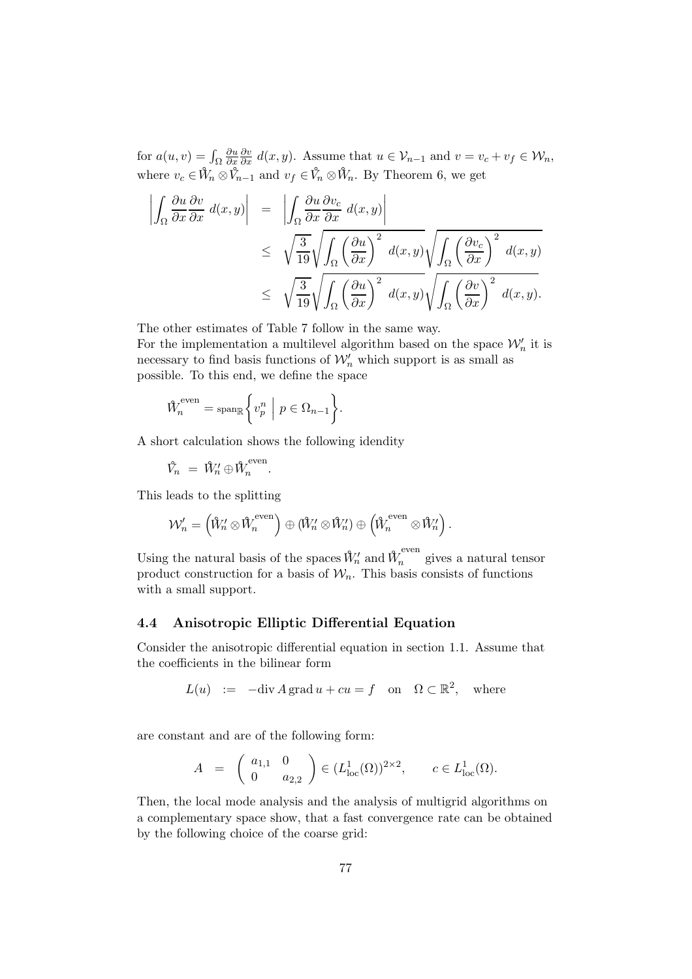for  $a(u, v) = \int_{\Omega}$ ∂u ∂x  $\frac{\partial v}{\partial x} d(x, y)$ . Assume that  $u \in \mathcal{V}_{n-1}$  and  $v = v_c + v_f \in \mathcal{W}_n$ , where  $v_c \in W_n \otimes V_{n-1}$  and  $v_f \in V_n \otimes W_n$ . By Theorem 6, we get

$$
\begin{array}{rcl}\n\left| \int_{\Omega} \frac{\partial u}{\partial x} \frac{\partial v}{\partial x} d(x, y) \right| & = & \left| \int_{\Omega} \frac{\partial u}{\partial x} \frac{\partial v_c}{\partial x} d(x, y) \right| \\
& \leq & \sqrt{\frac{3}{19}} \sqrt{\int_{\Omega} \left( \frac{\partial u}{\partial x} \right)^2 d(x, y)} \sqrt{\int_{\Omega} \left( \frac{\partial v_c}{\partial x} \right)^2 d(x, y)} \\
& \leq & \sqrt{\frac{3}{19}} \sqrt{\int_{\Omega} \left( \frac{\partial u}{\partial x} \right)^2 d(x, y)} \sqrt{\int_{\Omega} \left( \frac{\partial v}{\partial x} \right)^2 d(x, y)}.\n\end{array}
$$

The other estimates of Table 7 follow in the same way.

For the implementation a multilevel algorithm based on the space  $\mathcal{W}'_n$  it is necessary to find basis functions of  $\mathcal{W}'_n$  which support is as small as possible. To this end, we define the space

$$
\mathcal{W}_n^{\text{even}} = \text{span}_{\mathbb{R}} \left\{ v_p^n \middle| p \in \Omega_{n-1} \right\}.
$$

A short calculation shows the following idendity

$$
\hat{V}_n = \hat{W}'_n \oplus \hat{W}_n^{\text{even}}.
$$

This leads to the splitting

$$
\mathcal{W}'_n = \left(\mathring{\mathbb{W}}_n' \otimes \mathring{\mathbb{W}}_n^{\text{even}}\right) \oplus \left(\mathring{\mathbb{W}}_n' \otimes \mathring{\mathbb{W}}_n'\right) \oplus \left(\mathring{\mathbb{W}}_n^{\text{even}} \otimes \mathring{\mathbb{W}}_n'\right).
$$

Using the natural basis of the spaces  $\hat{W}'_n$  and  $\hat{W}^{even}_n$  gives a natural tensor product construction for a basis of  $\mathcal{W}_n$ . This basis consists of functions with a small support.

#### 4.4 Anisotropic Elliptic Differential Equation

Consider the anisotropic differential equation in section 1.1. Assume that the coefficients in the bilinear form

$$
L(u) := -\text{div}\,A\,\text{grad}\,u + cu = f \quad \text{on} \quad \Omega \subset \mathbb{R}^2, \quad \text{where}
$$

are constant and are of the following form:

$$
A = \begin{pmatrix} a_{1,1} & 0 \\ 0 & a_{2,2} \end{pmatrix} \in (L^1_{loc}(\Omega))^{2 \times 2}, \qquad c \in L^1_{loc}(\Omega).
$$

Then, the local mode analysis and the analysis of multigrid algorithms on a complementary space show, that a fast convergence rate can be obtained by the following choice of the coarse grid: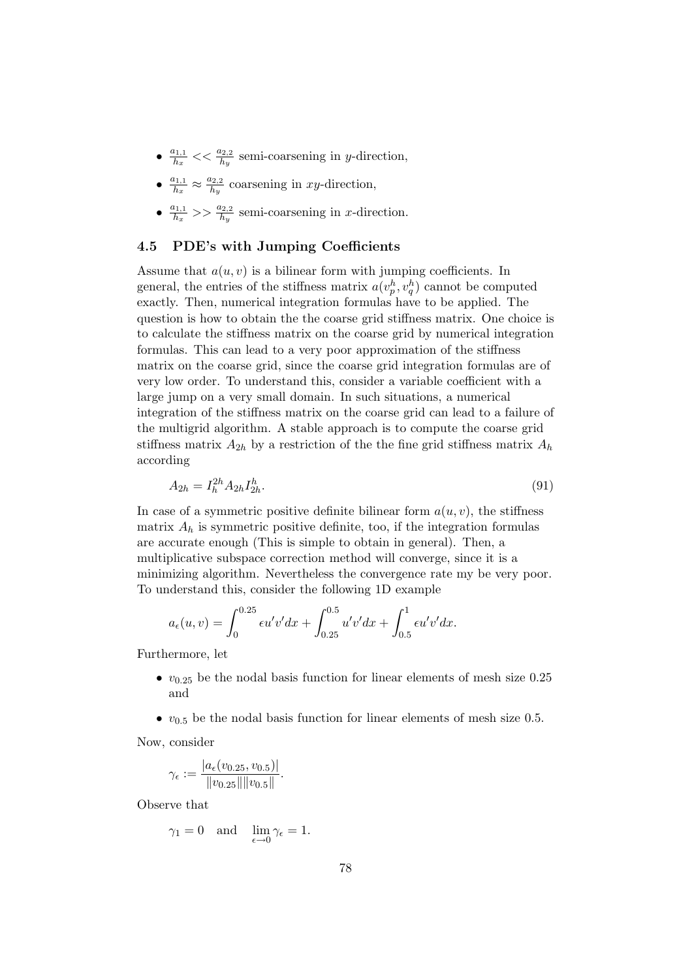- $\bullet$   $\frac{a_{1,1}}{h_x}$  $\frac{h_{1,1}}{h_x}$  <  $\frac{a_{2,2}}{h_y}$  semi-coarsening in y-direction,
- $\bullet$   $\frac{a_{1,1}}{h_x}$  $\frac{a_{1,1}}{h_x} \approx \frac{a_{2,2}}{h_y}$  $\frac{\mu_{2,2}}{h_y}$  coarsening in xy-direction,
- $\bullet$   $\frac{a_{1,1}}{h_x}$  $\frac{h_{1,1}}{h_x}$  >>  $\frac{a_{2,2}}{h_y}$  semi-coarsening in *x*-direction.

### 4.5 PDE's with Jumping Coefficients

Assume that  $a(u, v)$  is a bilinear form with jumping coefficients. In general, the entries of the stiffness matrix  $a(v_p^h, v_q^h)$  cannot be computed exactly. Then, numerical integration formulas have to be applied. The question is how to obtain the the coarse grid stiffness matrix. One choice is to calculate the stiffness matrix on the coarse grid by numerical integration formulas. This can lead to a very poor approximation of the stiffness matrix on the coarse grid, since the coarse grid integration formulas are of very low order. To understand this, consider a variable coefficient with a large jump on a very small domain. In such situations, a numerical integration of the stiffness matrix on the coarse grid can lead to a failure of the multigrid algorithm. A stable approach is to compute the coarse grid stiffness matrix  $A_{2h}$  by a restriction of the the fine grid stiffness matrix  $A_h$ according

$$
A_{2h} = I_h^{2h} A_{2h} I_{2h}^h. \tag{91}
$$

In case of a symmetric positive definite bilinear form  $a(u, v)$ , the stiffness matrix  $A_h$  is symmetric positive definite, too, if the integration formulas are accurate enough (This is simple to obtain in general). Then, a multiplicative subspace correction method will converge, since it is a minimizing algorithm. Nevertheless the convergence rate my be very poor. To understand this, consider the following 1D example

$$
a_{\epsilon}(u,v) = \int_0^{0.25} \epsilon u'v'dx + \int_{0.25}^{0.5} u'v'dx + \int_{0.5}^1 \epsilon u'v'dx.
$$

Furthermore, let

- $v_{0.25}$  be the nodal basis function for linear elements of mesh size 0.25 and
- $v_{0.5}$  be the nodal basis function for linear elements of mesh size 0.5.

Now, consider

$$
\gamma_{\epsilon} := \frac{|a_{\epsilon}(v_{0.25}, v_{0.5})|}{\|v_{0.25}\| \|v_{0.5}\|}.
$$

Observe that

$$
\gamma_1 = 0
$$
 and  $\lim_{\epsilon \to 0} \gamma_{\epsilon} = 1$ .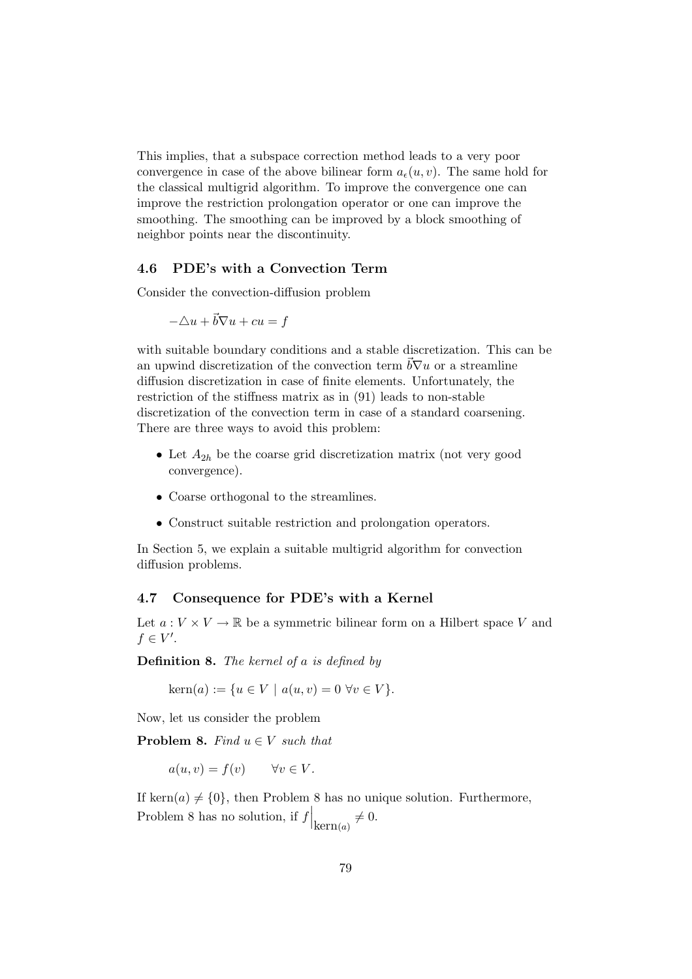This implies, that a subspace correction method leads to a very poor convergence in case of the above bilinear form  $a_{\epsilon}(u,v)$ . The same hold for the classical multigrid algorithm. To improve the convergence one can improve the restriction prolongation operator or one can improve the smoothing. The smoothing can be improved by a block smoothing of neighbor points near the discontinuity.

### 4.6 PDE's with a Convection Term

Consider the convection-diffusion problem

$$
-\triangle u + \vec{b} \nabla u + cu = f
$$

with suitable boundary conditions and a stable discretization. This can be an upwind discretization of the convection term  $b\nabla u$  or a streamline diffusion discretization in case of finite elements. Unfortunately, the restriction of the stiffness matrix as in (91) leads to non-stable discretization of the convection term in case of a standard coarsening. There are three ways to avoid this problem:

- Let  $A_{2h}$  be the coarse grid discretization matrix (not very good convergence).
- Coarse orthogonal to the streamlines.
- Construct suitable restriction and prolongation operators.

In Section 5, we explain a suitable multigrid algorithm for convection diffusion problems.

### 4.7 Consequence for PDE's with a Kernel

Let  $a: V \times V \to \mathbb{R}$  be a symmetric bilinear form on a Hilbert space V and  $f \in V'.$ 

Definition 8. The kernel of a is defined by

 $\text{kern}(a) := \{u \in V \mid a(u, v) = 0 \,\,\forall v \in V\}.$ 

Now, let us consider the problem

**Problem 8.** Find  $u \in V$  such that

$$
a(u, v) = f(v) \qquad \forall v \in V.
$$

If kern(a)  $\neq$  {0}, then Problem 8 has no unique solution. Furthermore, Problem 8 has no solution, if  $f|_{\text{kern}(a)} \neq 0$ .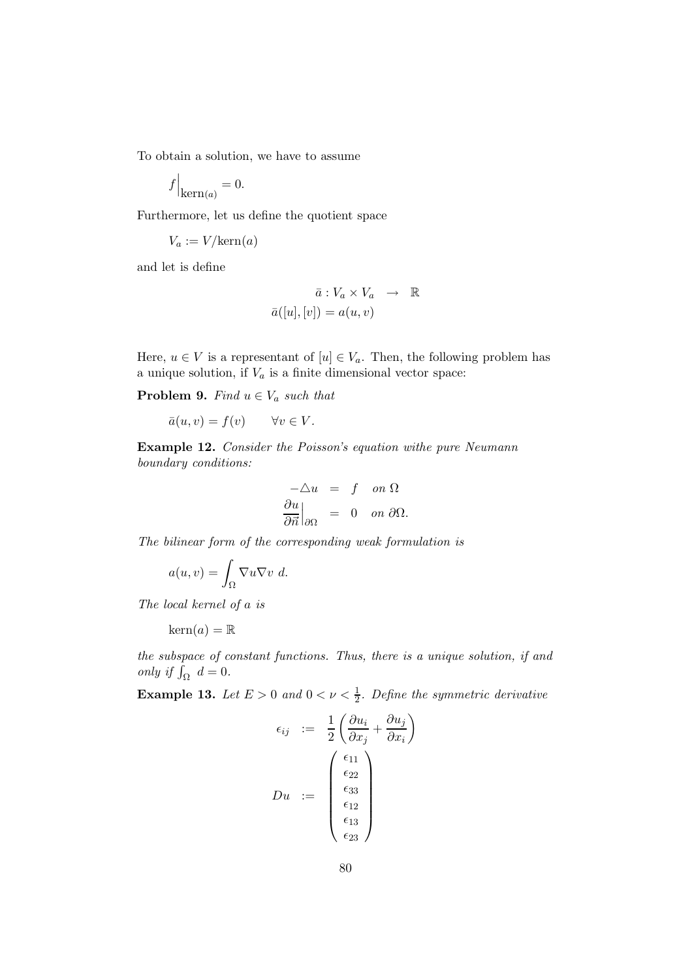To obtain a solution, we have to assume

$$
f\Big|_{\mathrm{kern}(a)} = 0.
$$

Furthermore, let us define the quotient space

$$
V_a := V/\text{kern}(a)
$$

and let is define

$$
\bar{a}: V_a \times V_a \longrightarrow \mathbb{R}
$$

$$
\bar{a}([u],[v]) = a(u,v)
$$

Here,  $u \in V$  is a representant of  $[u] \in V_a$ . Then, the following problem has a unique solution, if  $V_a$  is a finite dimensional vector space:

**Problem 9.** Find  $u \in V_a$  such that

$$
\bar{a}(u,v) = f(v) \qquad \forall v \in V.
$$

Example 12. Consider the Poisson's equation withe pure Neumann boundary conditions:

$$
\begin{aligned}\n-\triangle u &= f \quad on \ \Omega \\
\frac{\partial u}{\partial \vec{n}}\Big|_{\partial\Omega} &= 0 \quad on \ \partial\Omega.\n\end{aligned}
$$

The bilinear form of the corresponding weak formulation is

$$
a(u,v) = \int_{\Omega} \nabla u \nabla v \ d.
$$

The local kernel of a is

$$
\operatorname{kern}(a) = \mathbb{R}
$$

the subspace of constant functions. Thus, there is a unique solution, if and only if  $\int_{\Omega} d = 0$ .

**Example 13.** Let  $E > 0$  and  $0 < \nu < \frac{1}{2}$ . Define the symmetric derivative

$$
\epsilon_{ij} := \frac{1}{2} \left( \frac{\partial u_i}{\partial x_j} + \frac{\partial u_j}{\partial x_i} \right)
$$

$$
Du := \begin{pmatrix} \epsilon_{11} \\ \epsilon_{22} \\ \epsilon_{33} \\ \epsilon_{12} \\ \epsilon_{13} \\ \epsilon_{23} \end{pmatrix}
$$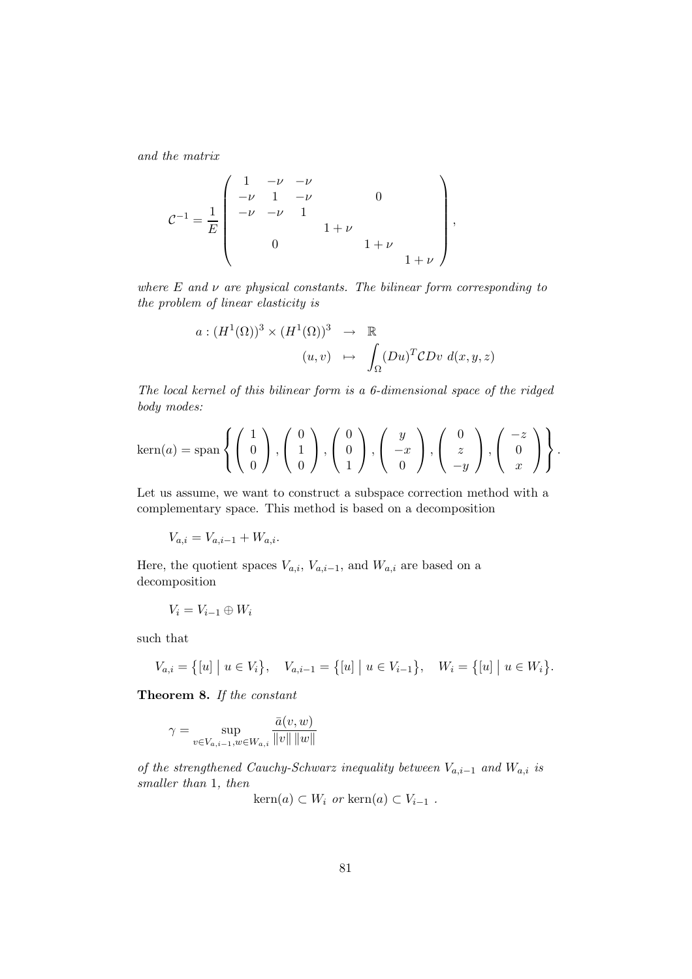and the matrix

$$
\mathcal{C}^{-1} = \frac{1}{E} \begin{pmatrix} 1 & -\nu & -\nu & & & & \\ -\nu & 1 & -\nu & 0 & & \\ -\nu & -\nu & 1 & & & \\ & 0 & & 1+\nu & & \\ & & 0 & & 1+\nu & \\ & & & & 1+\nu \end{pmatrix},
$$

where  $E$  and  $\nu$  are physical constants. The bilinear form corresponding to the problem of linear elasticity is

$$
a: (H^1(\Omega))^3 \times (H^1(\Omega))^3 \rightarrow \mathbb{R}
$$
  

$$
(u,v) \mapsto \int_{\Omega} (Du)^T CDv \, d(x,y,z)
$$

The local kernel of this bilinear form is a 6-dimensional space of the ridged body modes:

$$
\text{kern}(a) = \text{span}\left\{ \begin{pmatrix} 1 \\ 0 \\ 0 \end{pmatrix}, \begin{pmatrix} 0 \\ 1 \\ 0 \end{pmatrix}, \begin{pmatrix} 0 \\ 0 \\ 1 \end{pmatrix}, \begin{pmatrix} y \\ -x \\ 0 \end{pmatrix}, \begin{pmatrix} 0 \\ z \\ -y \end{pmatrix}, \begin{pmatrix} -z \\ 0 \\ x \end{pmatrix} \right\}.
$$

Let us assume, we want to construct a subspace correction method with a complementary space. This method is based on a decomposition

 $V_{a,i} = V_{a,i-1} + W_{a,i}.$ 

Here, the quotient spaces  $V_{a,i}$ ,  $V_{a,i-1}$ , and  $W_{a,i}$  are based on a decomposition

$$
V_i=V_{i-1}\oplus W_i
$$

such that

$$
V_{a,i} = \{ [u] \mid u \in V_i \}, \quad V_{a,i-1} = \{ [u] \mid u \in V_{i-1} \}, \quad W_i = \{ [u] \mid u \in W_i \}.
$$

Theorem 8. If the constant

$$
\gamma = \sup_{v \in V_{a,i-1}, w \in W_{a,i}} \frac{\bar{a}(v, w)}{\|v\| \|w\|}
$$

of the strengthened Cauchy-Schwarz inequality between  $V_{a,i-1}$  and  $W_{a,i}$  is smaller than 1, then

 $\text{kern}(a) \subset W_i$  or  $\text{kern}(a) \subset V_{i-1}$ .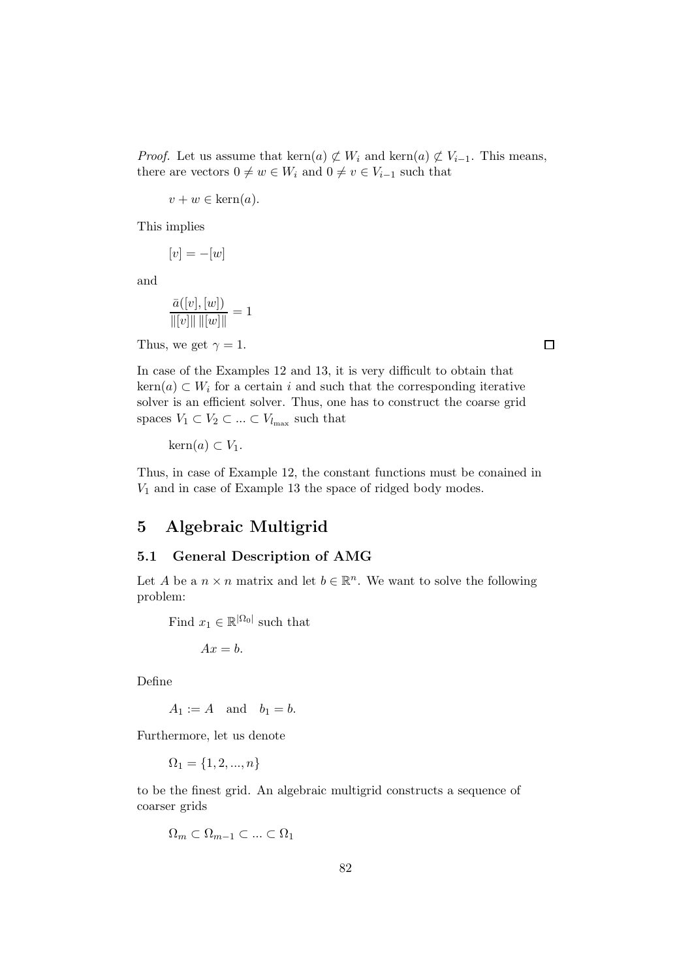*Proof.* Let us assume that kern $(a) \not\subset W_i$  and kern $(a) \not\subset V_{i-1}$ . This means, there are vectors  $0 \neq w \in W_i$  and  $0 \neq v \in V_{i-1}$  such that

 $v + w \in \text{kern}(a)$ .

This implies

$$
[v] = -[w]
$$

and

$$
\frac{\bar{a}([v],[w])}{\|[v]\|\, \|[w]\|} = 1
$$

Thus, we get  $\gamma = 1$ .

In case of the Examples 12 and 13, it is very difficult to obtain that  $\text{kern}(a) \subset W_i$  for a certain i and such that the corresponding iterative solver is an efficient solver. Thus, one has to construct the coarse grid spaces  $V_1 \subset V_2 \subset \ldots \subset V_{l_{\text{max}}}$  such that

 $\text{kern}(a) \subset V_1$ .

Thus, in case of Example 12, the constant functions must be conained in  $V_1$  and in case of Example 13 the space of ridged body modes.

# 5 Algebraic Multigrid

## 5.1 General Description of AMG

Let A be a  $n \times n$  matrix and let  $b \in \mathbb{R}^n$ . We want to solve the following problem:

Find  $x_1 \in \mathbb{R}^{\vert \Omega_0 \vert}$  such that

$$
Ax = b.
$$

Define

 $A_1 := A$  and  $b_1 = b$ .

Furthermore, let us denote

 $\Omega_1 = \{1, 2, ..., n\}$ 

to be the finest grid. An algebraic multigrid constructs a sequence of coarser grids

$$
\Omega_m \subset \Omega_{m-1} \subset \ldots \subset \Omega_1
$$

 $\Box$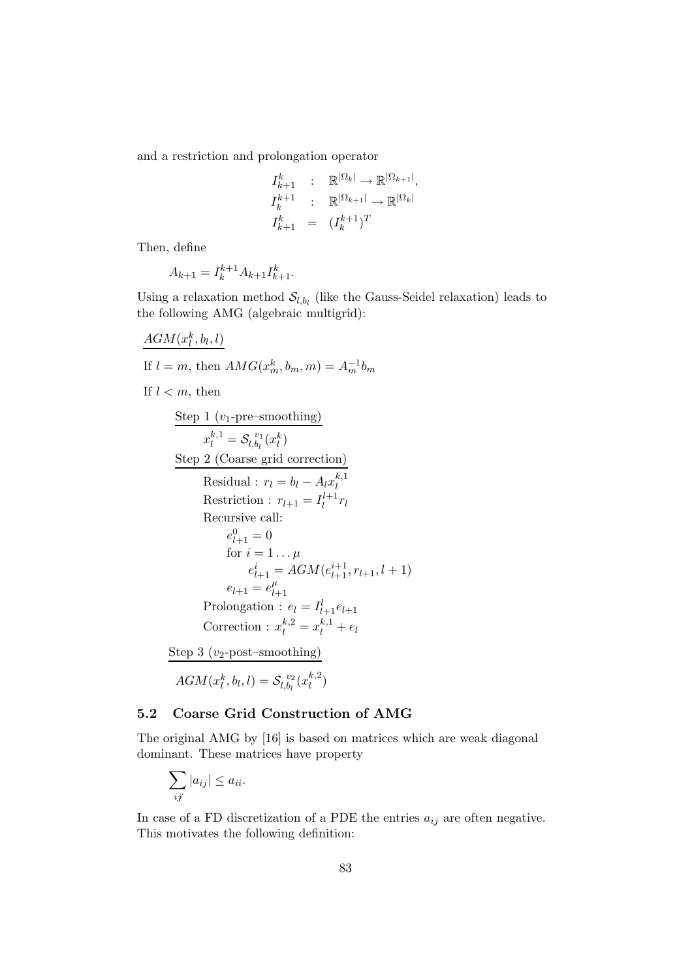and a restriction and prolongation operator

$$
I_{k+1}^k : \mathbb{R}^{|\Omega_k|} \to \mathbb{R}^{|\Omega_{k+1}|},
$$
  

$$
I_k^{k+1} : \mathbb{R}^{|\Omega_{k+1}|} \to \mathbb{R}^{|\Omega_k|}
$$
  

$$
I_{k+1}^k = (I_k^{k+1})^T
$$

Then, define

$$
A_{k+1} = I_k^{k+1} A_{k+1} I_{k+1}^k.
$$

Using a relaxation method  $S_{l,b_l}$  (like the Gauss-Seidel relaxation) leads to the following AMG (algebraic multigrid):

$$
\frac{AGM(x_l^k, b_l, l)}{\text{If } l = m, \text{ then } AMG(x_m^k, b_m, m) = A_m^{-1}b_m}
$$
\nIf  $l < m$ , then\n
$$
\frac{\text{Step 1 (v_1-pre-smoothing)}}{x_l^{k,1} = S_{l,b_l}^{v_1}(x_l^k)}
$$
\n
$$
\frac{\text{Step 2 (Coarse grid correction)}}{\text{Residual : } r_l = b_l - A_l x_l^{k,1}}
$$
\nRestriction :  $r_{l+1} = I_l^{l+1}r_l$ \nRecursively call:\n
$$
e_{l+1}^0 = 0
$$
\nfor  $i = 1... \mu$ \n
$$
e_{l+1}^i = AGM(e_{l+1}^{i+1}, r_{l+1}, l+1)
$$
\n
$$
e_{l+1} = e_{l+1}^{\mu}
$$
\nProlongation :  $e_l = I_{l+1}^l e_{l+1}$ \nCorrection :  $x_l^{k,2} = x_l^{k,1} + e_l$ \n
$$
\frac{\text{Step 3 (v_2-post-smoothing)}}{\text{AGM}(x_l^k, b_l, l) = S_{l,b_l}^{v_2}(x_l^{k,2})}
$$

# 5.2 Coarse Grid Construction of AMG

The original AMG by [16] is based on matrices which are weak diagonal dominant. These matrices have property

 $\binom{k,2}{l}$ 

$$
\sum_{ij} |a_{ij}| \le a_{ii}.
$$

In case of a FD discretization of a PDE the entries  $a_{ij}$  are often negative. This motivates the following definition: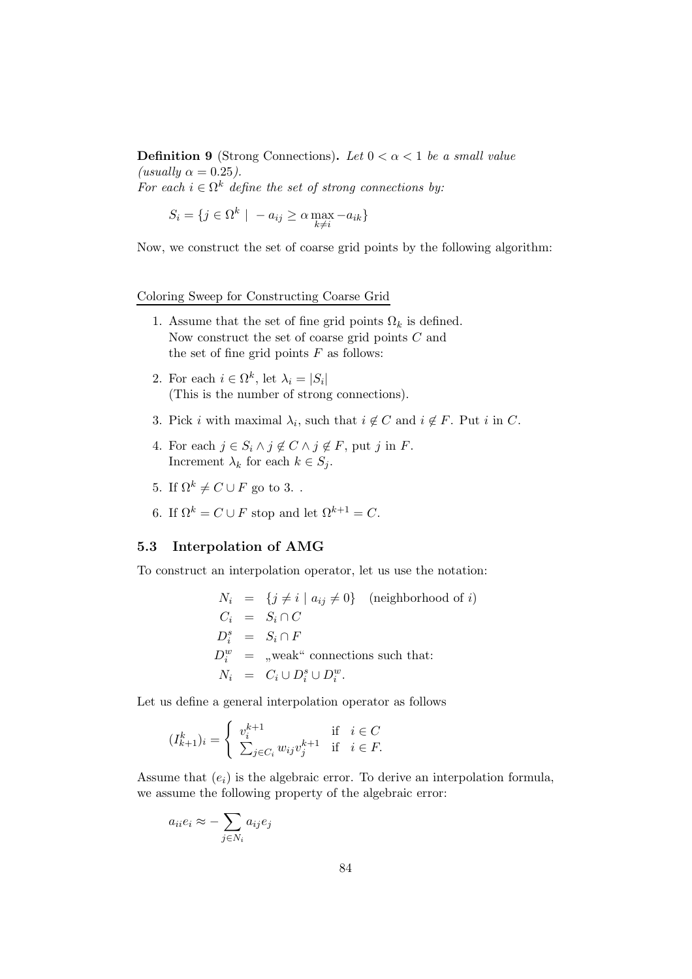**Definition 9** (Strong Connections). Let  $0 < \alpha < 1$  be a small value (usually  $\alpha = 0.25$ ). For each  $i \in \Omega^k$  define the set of strong connections by:

$$
S_i = \{ j \in \Omega^k \mid -a_{ij} \ge \alpha \max_{k \ne i} -a_{ik} \}
$$

Now, we construct the set of coarse grid points by the following algorithm:

#### Coloring Sweep for Constructing Coarse Grid

- 1. Assume that the set of fine grid points  $\Omega_k$  is defined. Now construct the set of coarse grid points C and the set of fine grid points  $F$  as follows:
- 2. For each  $i \in \Omega^k$ , let  $\lambda_i = |S_i|$ (This is the number of strong connections).
- 3. Pick *i* with maximal  $\lambda_i$ , such that  $i \notin C$  and  $i \notin F$ . Put *i* in *C*.
- 4. For each  $j \in S_i \land j \notin C \land j \notin F$ , put j in F. Increment  $\lambda_k$  for each  $k \in S_j$ .
- 5. If  $\Omega^k \neq C \cup F$  go to 3..
- 6. If  $\Omega^k = C \cup F$  stop and let  $\Omega^{k+1} = C$ .

### 5.3 Interpolation of AMG

To construct an interpolation operator, let us use the notation:

$$
N_i = \{j \neq i \mid a_{ij} \neq 0\} \quad \text{(neighborhood of } i)
$$
  
\n
$$
C_i = S_i \cap C
$$
  
\n
$$
D_i^s = S_i \cap F
$$
  
\n
$$
D_i^w = \text{, weak}^u \text{ connections such that:}
$$
  
\n
$$
N_i = C_i \cup D_i^s \cup D_i^w.
$$

Let us define a general interpolation operator as follows

$$
(I_{k+1}^k)_i = \begin{cases} v_i^{k+1} & \text{if } i \in C \\ \sum_{j \in C_i} w_{ij} v_j^{k+1} & \text{if } i \in F. \end{cases}
$$

Assume that  $(e_i)$  is the algebraic error. To derive an interpolation formula, we assume the following property of the algebraic error:

$$
a_{ii}e_i \approx -\sum_{j \in N_i} a_{ij}e_j
$$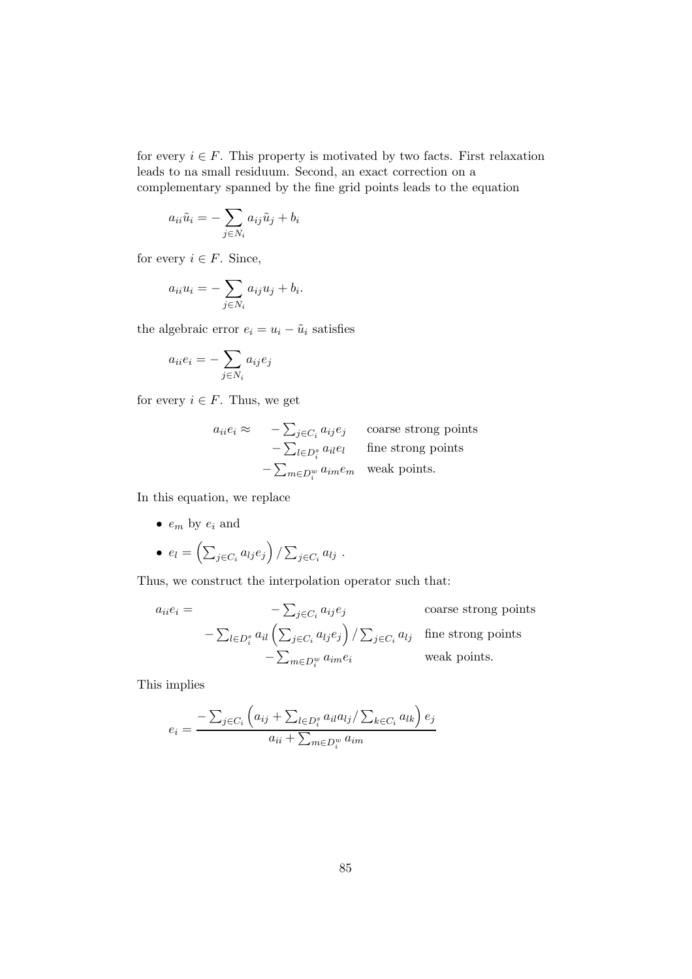for every  $i \in F$ . This property is motivated by two facts. First relaxation leads to na small residuum. Second, an exact correction on a complementary spanned by the fine grid points leads to the equation

$$
a_{ii}\tilde{u}_i = -\sum_{j \in N_i} a_{ij}\tilde{u}_j + b_i
$$

for every  $i \in F$ . Since,

$$
a_{ii}u_i = -\sum_{j \in N_i} a_{ij}u_j + b_i.
$$

the algebraic error  $e_i = u_i - \tilde{u}_i$  satisfies

$$
a_{ii}e_i = -\sum_{j \in N_i} a_{ij}e_j
$$

for every  $i \in F$ . Thus, we get

$$
a_{ii}e_i \approx -\sum_{j \in C_i} a_{ij}e_j
$$
 coarse strong points  
-
$$
-\sum_{l \in D_i^s} a_{il}e_l
$$
 fine strong points  
-
$$
\sum_{m \in D_i^w} a_{im}e_m
$$
weak points.

In this equation, we replace

•  $e_m$  by  $e_i$  and

• 
$$
e_l = \left(\sum_{j \in C_i} a_{lj} e_j\right) / \sum_{j \in C_i} a_{lj}
$$
.

Thus, we construct the interpolation operator such that:

$$
a_{ii}e_i = -\sum_{j \in C_i} a_{ij}e_j
$$
 coarse strong points  
-
$$
\sum_{l \in D_i^s} a_{il} \left( \sum_{j \in C_i} a_{lj}e_j \right) / \sum_{j \in C_i} a_{lj}
$$
 fine strong points  
-
$$
\sum_{m \in D_i^w} a_{im}e_i
$$
 weak points.

This implies

$$
e_i = \frac{-\sum_{j \in C_i} \left( a_{ij} + \sum_{l \in D_i^s} a_{il} a_{lj} / \sum_{k \in C_i} a_{lk} \right) e_j}{a_{ii} + \sum_{m \in D_i^w} a_{im}}
$$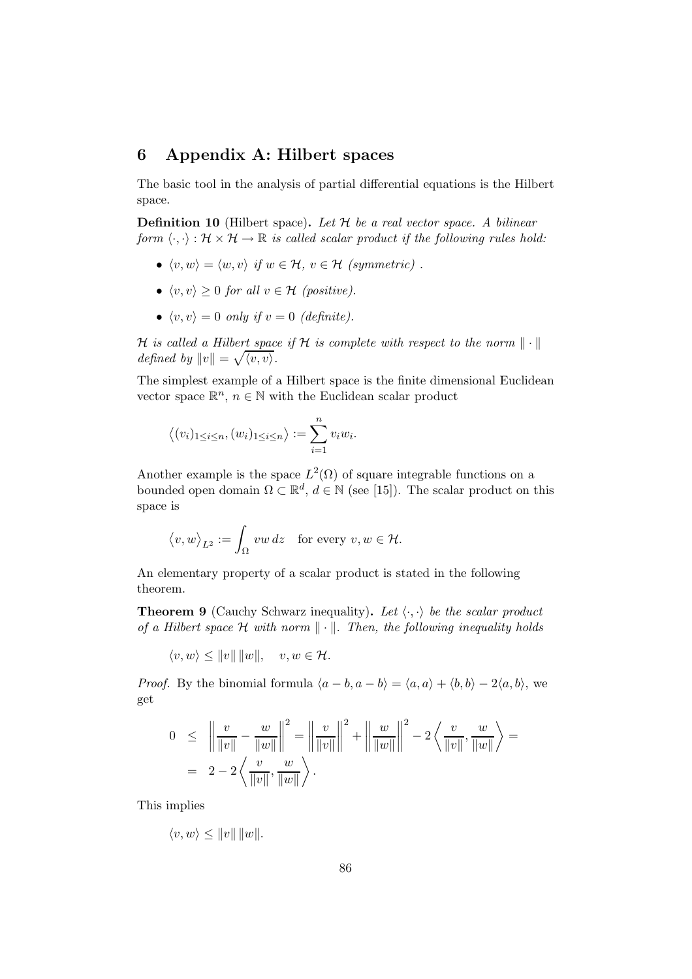# 6 Appendix A: Hilbert spaces

The basic tool in the analysis of partial differential equations is the Hilbert space.

**Definition 10** (Hilbert space). Let  $H$  be a real vector space. A bilinear form  $\langle \cdot, \cdot \rangle : \mathcal{H} \times \mathcal{H} \to \mathbb{R}$  is called scalar product if the following rules hold:

- $\langle v, w \rangle = \langle w, v \rangle$  if  $w \in \mathcal{H}$ ,  $v \in \mathcal{H}$  (symmetric).
- $\langle v,v \rangle \geq 0$  for all  $v \in \mathcal{H}$  (positive).
- $\langle v,v \rangle = 0$  only if  $v = 0$  (definite).

H is called a Hilbert space if H is complete with respect to the norm  $\|\cdot\|$ defined by  $||v|| = \sqrt{\langle v, v \rangle}$ .

The simplest example of a Hilbert space is the finite dimensional Euclidean vector space  $\mathbb{R}^n$ ,  $n \in \mathbb{N}$  with the Euclidean scalar product

$$
\langle (v_i)_{1 \leq i \leq n}, (w_i)_{1 \leq i \leq n} \rangle := \sum_{i=1}^n v_i w_i.
$$

Another example is the space  $L^2(\Omega)$  of square integrable functions on a bounded open domain  $\Omega \subset \mathbb{R}^d$ ,  $d \in \mathbb{N}$  (see [15]). The scalar product on this space is

$$
\big_{L^2}:=\int_\Omega\,vw\,dz\quad\text{for every }v,w\in\mathcal H.
$$

An elementary property of a scalar product is stated in the following theorem.

**Theorem 9** (Cauchy Schwarz inequality). Let  $\langle \cdot, \cdot \rangle$  be the scalar product of a Hilbert space  $\mathcal H$  with norm  $\|\cdot\|$ . Then, the following inequality holds

 $\langle v, w \rangle \le ||v|| \, ||w||, \quad v, w \in \mathcal{H}.$ 

*Proof.* By the binomial formula  $\langle a - b, a - b \rangle = \langle a, a \rangle + \langle b, b \rangle - 2\langle a, b \rangle$ , we get

$$
0 \leq \left\| \frac{v}{\|v\|} - \frac{w}{\|w\|} \right\|^2 = \left\| \frac{v}{\|v\|} \right\|^2 + \left\| \frac{w}{\|w\|} \right\|^2 - 2 \left\langle \frac{v}{\|v\|}, \frac{w}{\|w\|} \right\rangle =
$$
  
=  $2 - 2 \left\langle \frac{v}{\|v\|}, \frac{w}{\|w\|} \right\rangle$ .

This implies

$$
\langle v, w \rangle \le ||v|| \, ||w||.
$$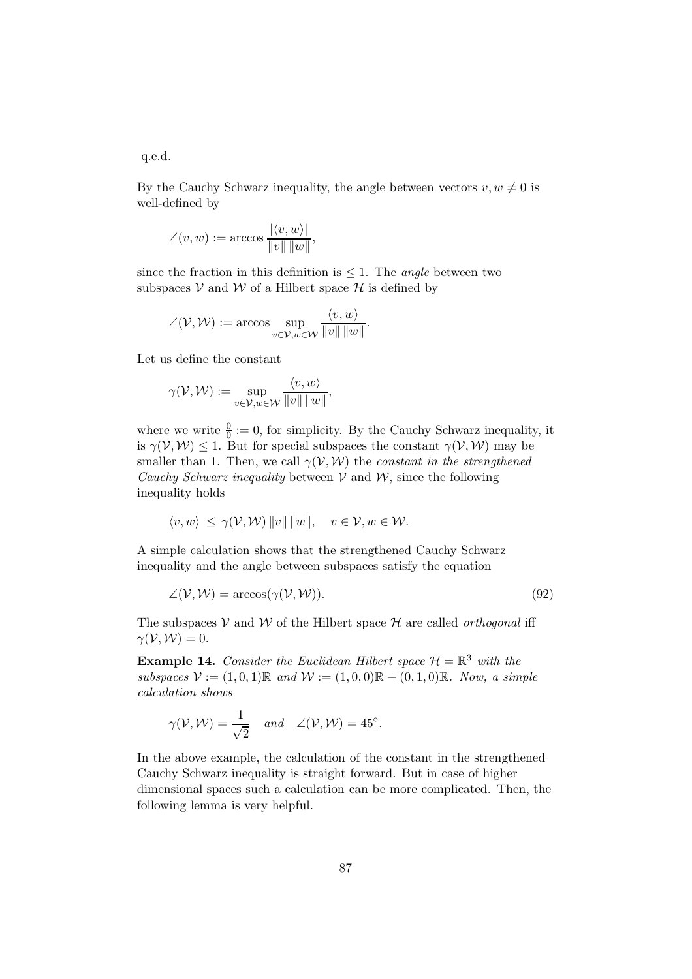q.e.d.

By the Cauchy Schwarz inequality, the angle between vectors  $v, w \neq 0$  is well-defined by

$$
\angle(v, w) := \arccos \frac{|\langle v, w \rangle|}{\|v\| \|w\|},
$$

since the fraction in this definition is  $\leq 1$ . The *angle* between two subspaces  $V$  and  $W$  of a Hilbert space  $H$  is defined by

$$
\angle(\mathcal{V}, \mathcal{W}) := \arccos \sup_{v \in \mathcal{V}, w \in \mathcal{W}} \frac{\langle v, w \rangle}{\|v\| \|w\|}.
$$

Let us define the constant

$$
\gamma(\mathcal{V}, \mathcal{W}) := \sup_{v \in \mathcal{V}, w \in \mathcal{W}} \frac{\langle v, w \rangle}{\|v\| \|w\|},
$$

where we write  $\frac{0}{0} := 0$ , for simplicity. By the Cauchy Schwarz inequality, it is  $\gamma(\mathcal{V}, \mathcal{W}) \leq 1$ . But for special subspaces the constant  $\gamma(\mathcal{V}, \mathcal{W})$  may be smaller than 1. Then, we call  $\gamma(\mathcal{V}, \mathcal{W})$  the *constant in the strengthened* Cauchy Schwarz inequality between  $V$  and  $W$ , since the following inequality holds

$$
\langle v, w \rangle \leq \gamma(\mathcal{V}, \mathcal{W}) ||v|| ||w||, \quad v \in \mathcal{V}, w \in \mathcal{W}.
$$

A simple calculation shows that the strengthened Cauchy Schwarz inequality and the angle between subspaces satisfy the equation

$$
\angle(\mathcal{V}, \mathcal{W}) = \arccos(\gamma(\mathcal{V}, \mathcal{W})).\tag{92}
$$

The subspaces V and W of the Hilbert space  $H$  are called *orthogonal* iff  $\gamma(\mathcal{V},\mathcal{W})=0.$ 

**Example 14.** Consider the Euclidean Hilbert space  $\mathcal{H} = \mathbb{R}^3$  with the subspaces  $V := (1, 0, 1) \mathbb{R}$  and  $W := (1, 0, 0) \mathbb{R} + (0, 1, 0) \mathbb{R}$ . Now, a simple calculation shows

$$
\gamma(\mathcal{V}, \mathcal{W}) = \frac{1}{\sqrt{2}} \quad \text{and} \quad \angle(\mathcal{V}, \mathcal{W}) = 45^{\circ}.
$$

In the above example, the calculation of the constant in the strengthened Cauchy Schwarz inequality is straight forward. But in case of higher dimensional spaces such a calculation can be more complicated. Then, the following lemma is very helpful.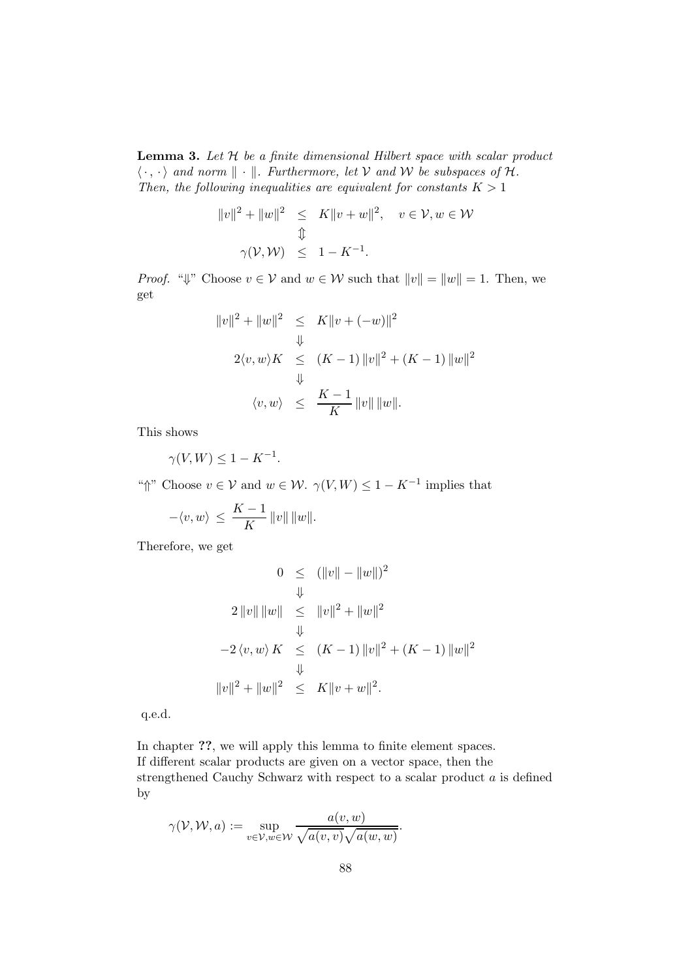**Lemma 3.** Let  $H$  be a finite dimensional Hilbert space with scalar product  $\langle \cdot, \cdot \rangle$  and norm  $\| \cdot \|$ . Furthermore, let V and W be subspaces of H. Then, the following inequalities are equivalent for constants  $K > 1$ 

$$
||v||2 + ||w||2 \le K||v + w||2, v \in V, w \in W
$$
  

$$
\updownarrow
$$
  

$$
\gamma(V, W) \le 1 - K^{-1}.
$$

*Proof.* " $\Downarrow$ " Choose  $v \in V$  and  $w \in W$  such that  $||v|| = ||w|| = 1$ . Then, we get

$$
||v||^{2} + ||w||^{2} \leq K||v + (-w)||^{2}
$$
  

$$
\downarrow
$$
  

$$
2\langle v, w \rangle K \leq (K - 1) ||v||^{2} + (K - 1) ||w||^{2}
$$
  

$$
\downarrow
$$
  

$$
\langle v, w \rangle \leq \frac{K - 1}{K} ||v|| ||w||.
$$

This shows

$$
\gamma(V,W) \le 1 - K^{-1}.
$$

" $\uparrow$ " Choose  $v \in V$  and  $w \in W$ .  $\gamma(V, W) \leq 1 - K^{-1}$  implies that

$$
-\langle v,w\rangle\,\leq\,\frac{K-1}{K}\,\|v\|\,\|w\|.
$$

Therefore, we get

$$
0 \leq (||v|| - ||w||)^2
$$
  
\n
$$
\downarrow
$$
  
\n
$$
2 ||v|| ||w|| \leq ||v||^2 + ||w||^2
$$
  
\n
$$
-2 \langle v, w \rangle K \leq (K - 1) ||v||^2 + (K - 1) ||w||^2
$$
  
\n
$$
||v||^2 + ||w||^2 \leq K ||v + w||^2.
$$

q.e.d.

In chapter ??, we will apply this lemma to finite element spaces. If different scalar products are given on a vector space, then the strengthened Cauchy Schwarz with respect to a scalar product  $a$  is defined by

$$
\gamma(\mathcal{V},\mathcal{W},a):=\sup_{v\in\mathcal{V},w\in\mathcal{W}}\frac{a(v,w)}{\sqrt{a(v,v)}\sqrt{a(w,w)}}.
$$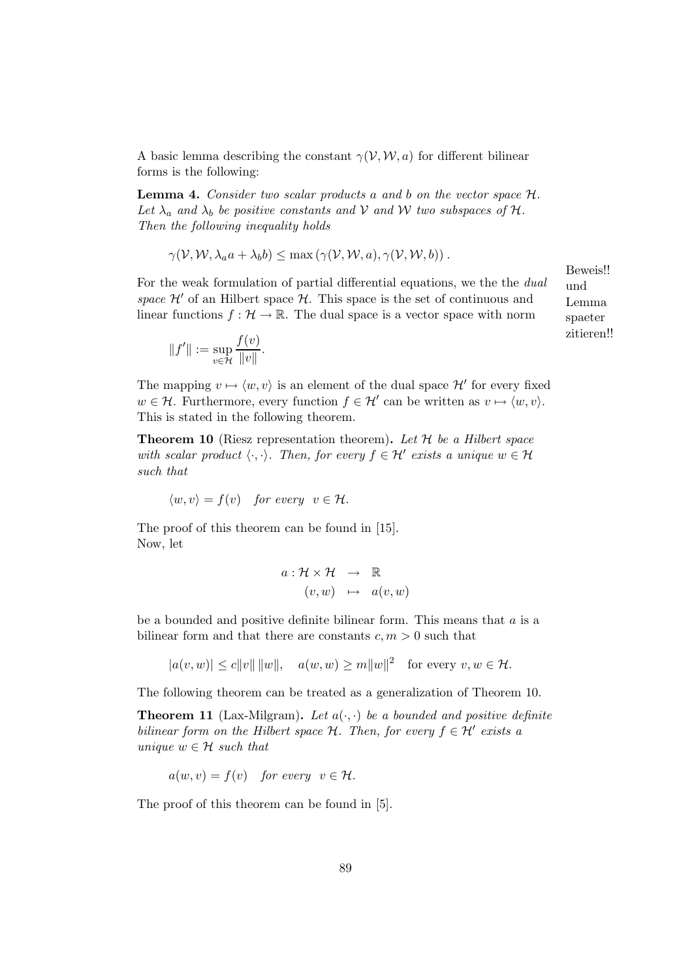A basic lemma describing the constant  $\gamma(\mathcal{V}, \mathcal{W}, a)$  for different bilinear forms is the following:

**Lemma 4.** Consider two scalar products a and b on the vector space  $H$ . Let  $\lambda_a$  and  $\lambda_b$  be positive constants and V and W two subspaces of H. Then the following inequality holds

$$
\gamma(\mathcal{V}, \mathcal{W}, \lambda_a a + \lambda_b b) \leq \max (\gamma(\mathcal{V}, \mathcal{W}, a), \gamma(\mathcal{V}, \mathcal{W}, b)).
$$

For the weak formulation of partial differential equations, we the the dual space  $\mathcal{H}'$  of an Hilbert space  $\mathcal{H}$ . This space is the set of continuous and linear functions  $f : \mathcal{H} \to \mathbb{R}$ . The dual space is a vector space with norm

Beweis!! und Lemma spaeter zitieren!!

$$
||f'|| := \sup_{v \in \mathcal{H}} \frac{f(v)}{||v||}.
$$

The mapping  $v \mapsto \langle w, v \rangle$  is an element of the dual space  $\mathcal{H}'$  for every fixed  $w \in \mathcal{H}$ . Furthermore, every function  $f \in \mathcal{H}'$  can be written as  $v \mapsto \langle w, v \rangle$ . This is stated in the following theorem.

**Theorem 10** (Riesz representation theorem). Let  $H$  be a Hilbert space with scalar product  $\langle \cdot, \cdot \rangle$ . Then, for every  $f \in \mathcal{H}'$  exists a unique  $w \in \mathcal{H}$ such that

 $\langle w,v \rangle = f(v)$  for every  $v \in \mathcal{H}$ .

The proof of this theorem can be found in [15]. Now, let

$$
a: \mathcal{H} \times \mathcal{H} \rightarrow \mathbb{R}
$$
  

$$
(v, w) \mapsto a(v, w)
$$

be a bounded and positive definite bilinear form. This means that  $a$  is a bilinear form and that there are constants  $c, m > 0$  such that

 $|a(v, w)| \le c ||v|| ||w||, \quad a(w, w) \ge m||w||^2 \quad \text{for every } v, w \in \mathcal{H}.$ 

The following theorem can be treated as a generalization of Theorem 10.

**Theorem 11** (Lax-Milgram). Let  $a(\cdot, \cdot)$  be a bounded and positive definite bilinear form on the Hilbert space  $\mathcal{H}$ . Then, for every  $f \in \mathcal{H}'$  exists a unique  $w \in \mathcal{H}$  such that

$$
a(w, v) = f(v) \quad \text{for every} \ \ v \in \mathcal{H}.
$$

The proof of this theorem can be found in [5].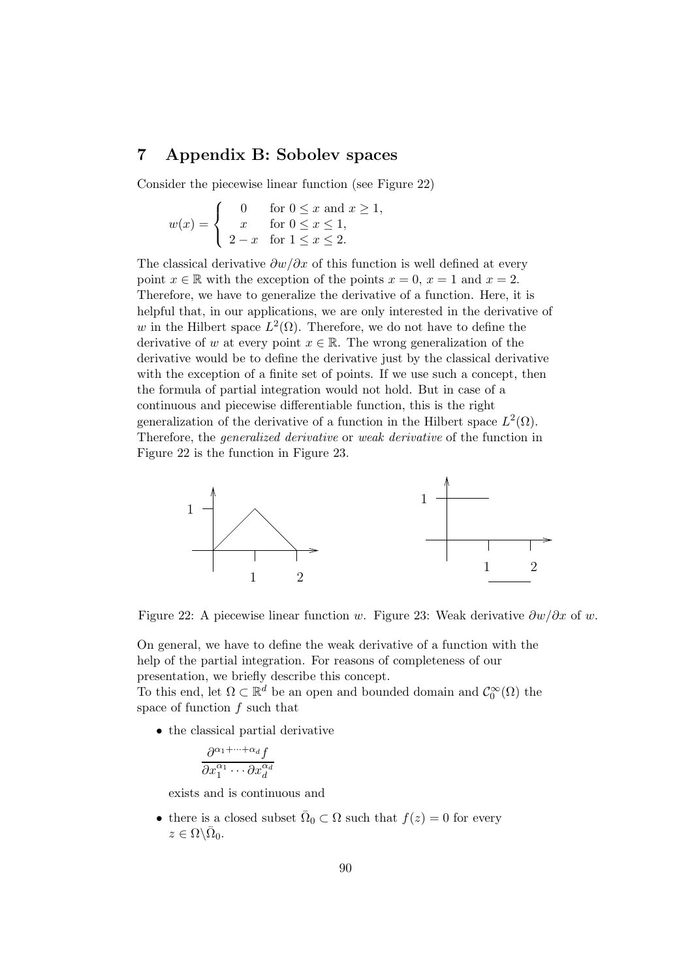# 7 Appendix B: Sobolev spaces

Consider the piecewise linear function (see Figure 22)

$$
w(x) = \begin{cases} 0 & \text{for } 0 \le x \text{ and } x \ge 1, \\ x & \text{for } 0 \le x \le 1, \\ 2 - x & \text{for } 1 \le x \le 2. \end{cases}
$$

The classical derivative  $\partial w/\partial x$  of this function is well defined at every point  $x \in \mathbb{R}$  with the exception of the points  $x = 0$ ,  $x = 1$  and  $x = 2$ . Therefore, we have to generalize the derivative of a function. Here, it is helpful that, in our applications, we are only interested in the derivative of w in the Hilbert space  $L^2(\Omega)$ . Therefore, we do not have to define the derivative of w at every point  $x \in \mathbb{R}$ . The wrong generalization of the derivative would be to define the derivative just by the classical derivative with the exception of a finite set of points. If we use such a concept, then the formula of partial integration would not hold. But in case of a continuous and piecewise differentiable function, this is the right generalization of the derivative of a function in the Hilbert space  $L^2(\Omega)$ . Therefore, the generalized derivative or weak derivative of the function in Figure 22 is the function in Figure 23.



Figure 22: A piecewise linear function w. Figure 23: Weak derivative  $\partial w/\partial x$  of w.

On general, we have to define the weak derivative of a function with the help of the partial integration. For reasons of completeness of our presentation, we briefly describe this concept.

To this end, let  $\Omega \subset \mathbb{R}^d$  be an open and bounded domain and  $\mathcal{C}_0^{\infty}(\Omega)$  the space of function f such that

• the classical partial derivative

$$
\frac{\partial^{\alpha_1 + \dots + \alpha_d} f}{\partial x_1^{\alpha_1} \cdots \partial x_d^{\alpha_d}}
$$

exists and is continuous and

• there is a closed subset  $\overline{\Omega}_0 \subset \Omega$  such that  $f(z) = 0$  for every  $z \in \Omega \backslash \bar{\Omega}_0.$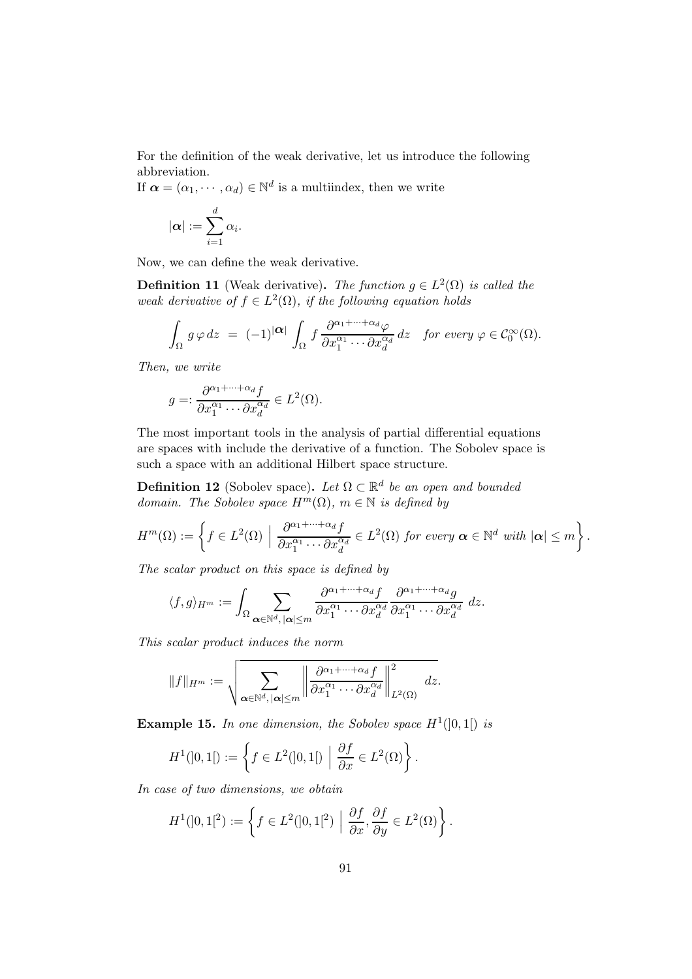For the definition of the weak derivative, let us introduce the following abbreviation.

If  $\boldsymbol{\alpha} = (\alpha_1, \dots, \alpha_d) \in \mathbb{N}^d$  is a multiindex, then we write

$$
|\boldsymbol{\alpha}| := \sum_{i=1}^d \alpha_i.
$$

Now, we can define the weak derivative.

**Definition 11** (Weak derivative). The function  $g \in L^2(\Omega)$  is called the weak derivative of  $f \in L^2(\Omega)$ , if the following equation holds

$$
\int_{\Omega} g \, \varphi \, dz = (-1)^{|\alpha|} \int_{\Omega} f \, \frac{\partial^{\alpha_1 + \dots + \alpha_d} \varphi}{\partial x_1^{\alpha_1} \cdots \partial x_d^{\alpha_d}} \, dz \quad \text{for every } \varphi \in C_0^{\infty}(\Omega).
$$

Then, we write

$$
g =: \frac{\partial^{\alpha_1 + \dots + \alpha_d} f}{\partial x_1^{\alpha_1} \cdots \partial x_d^{\alpha_d}} \in L^2(\Omega).
$$

The most important tools in the analysis of partial differential equations are spaces with include the derivative of a function. The Sobolev space is such a space with an additional Hilbert space structure.

**Definition 12** (Sobolev space). Let  $\Omega \subset \mathbb{R}^d$  be an open and bounded domain. The Sobolev space  $H^m(\Omega)$ ,  $m \in \mathbb{N}$  is defined by

$$
H^m(\Omega) := \left\{ f \in L^2(\Omega) \mid \frac{\partial^{\alpha_1 + \dots + \alpha_d} f}{\partial x_1^{\alpha_1} \cdots \partial x_d^{\alpha_d}} \in L^2(\Omega) \text{ for every } \alpha \in \mathbb{N}^d \text{ with } |\alpha| \leq m \right\}.
$$

The scalar product on this space is defined by

$$
\langle f, g \rangle_{H^m} := \int_{\Omega} \sum_{\alpha \in \mathbb{N}^d, |\alpha| \leq m} \frac{\partial^{\alpha_1 + \dots + \alpha_d} f}{\partial x_1^{\alpha_1} \cdots \partial x_d^{\alpha_d}} \frac{\partial^{\alpha_1 + \dots + \alpha_d} g}{\partial x_1^{\alpha_1} \cdots \partial x_d^{\alpha_d}} dz.
$$

This scalar product induces the norm

$$
||f||_{H^m} := \sqrt{\sum_{\boldsymbol{\alpha} \in \mathbb{N}^d, |\boldsymbol{\alpha}| \leq m} \left\| \frac{\partial^{\alpha_1 + \dots + \alpha_d} f}{\partial x_1^{\alpha_1} \cdots \partial x_d^{\alpha_d}} \right\|_{L^2(\Omega)}^2 dx}.
$$

**Example 15.** In one dimension, the Sobolev space  $H^1(]0,1[)$  is

$$
H^{1}(]0,1[):=\left\{f\in L^{2}(]0,1[)\ \Big|\ \frac{\partial f}{\partial x}\in L^{2}(\Omega)\right\}.
$$

In case of two dimensions, we obtain

$$
H^{1}(]0,1[^{2}):=\left\{f\in L^{2}(]0,1[^{2})\,\,\Big|\,\,\frac{\partial f}{\partial x},\frac{\partial f}{\partial y}\in L^{2}(\Omega)\right\}.
$$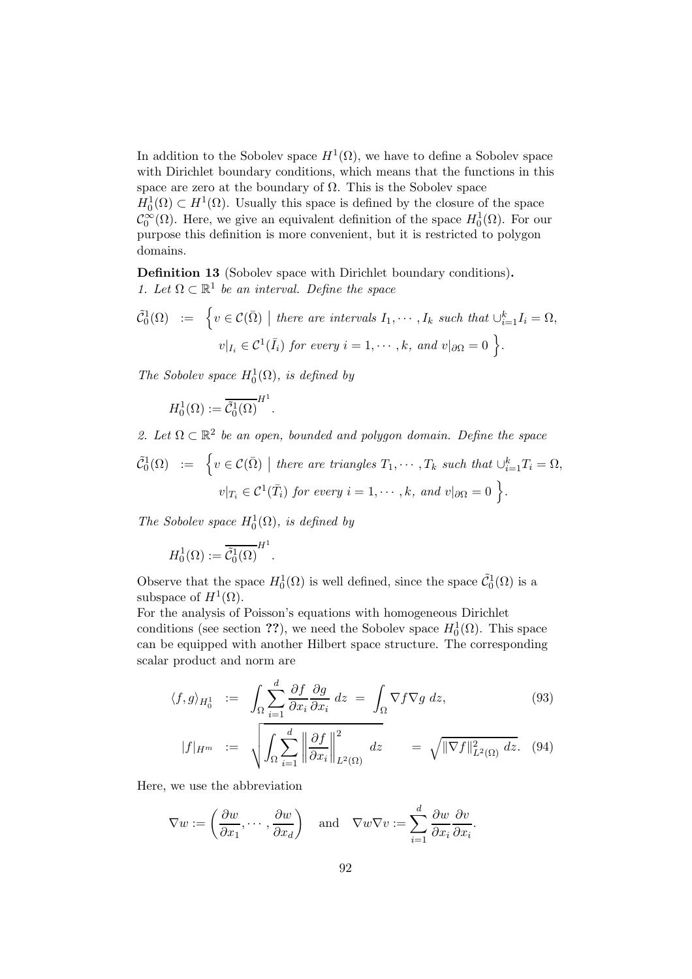In addition to the Sobolev space  $H^1(\Omega)$ , we have to define a Sobolev space with Dirichlet boundary conditions, which means that the functions in this space are zero at the boundary of  $\Omega$ . This is the Sobolev space

 $H_0^1(\Omega) \subset H^1(\Omega)$ . Usually this space is defined by the closure of the space  $\mathcal{C}_0^{\infty}(\Omega)$ . Here, we give an equivalent definition of the space  $H_0^1(\Omega)$ . For our purpose this definition is more convenient, but it is restricted to polygon domains.

Definition 13 (Sobolev space with Dirichlet boundary conditions). 1. Let  $\Omega \subset \mathbb{R}^1$  be an interval. Define the space

$$
\tilde{C}_0^1(\Omega) := \left\{ v \in \mathcal{C}(\bar{\Omega}) \mid \text{there are intervals } I_1, \cdots, I_k \text{ such that } \cup_{i=1}^k I_i = \Omega,
$$
  

$$
v|_{I_i} \in \mathcal{C}^1(\bar{I}_i) \text{ for every } i = 1, \cdots, k, \text{ and } v|_{\partial\Omega} = 0 \right\}.
$$

The Sobolev space  $H_0^1(\Omega)$ , is defined by

$$
H_0^1(\Omega) := \overline{\tilde{\mathcal{C}}_0^1(\Omega)}^{H^1}.
$$

2. Let  $\Omega \subset \mathbb{R}^2$  be an open, bounded and polygon domain. Define the space

$$
\tilde{C}_0^1(\Omega) := \left\{ v \in \mathcal{C}(\bar{\Omega}) \mid \text{there are triangles } T_1, \cdots, T_k \text{ such that } \cup_{i=1}^k T_i = \Omega,
$$
  

$$
v|_{T_i} \in \mathcal{C}^1(\bar{T}_i) \text{ for every } i = 1, \cdots, k, \text{ and } v|_{\partial\Omega} = 0 \right\}.
$$

The Sobolev space  $H_0^1(\Omega)$ , is defined by

$$
H_0^1(\Omega) := \overline{\tilde{\mathcal{C}}_0^1(\Omega)}^{H^1}.
$$

Observe that the space  $H_0^1(\Omega)$  is well defined, since the space  $\tilde{C}_0^1(\Omega)$  is a subspace of  $H^1(\Omega)$ .

For the analysis of Poisson's equations with homogeneous Dirichlet conditions (see section ??), we need the Sobolev space  $H_0^1(\Omega)$ . This space can be equipped with another Hilbert space structure. The corresponding scalar product and norm are

$$
\langle f, g \rangle_{H_0^1} := \int_{\Omega} \sum_{i=1}^d \frac{\partial f}{\partial x_i} \frac{\partial g}{\partial x_i} dz = \int_{\Omega} \nabla f \nabla g dz, \tag{93}
$$

$$
|f|_{H^m} := \sqrt{\int_{\Omega} \sum_{i=1}^d \left\| \frac{\partial f}{\partial x_i} \right\|_{L^2(\Omega)}^2} \, dz = \sqrt{\|\nabla f\|_{L^2(\Omega)}^2} \, dz. \tag{94}
$$

.

Here, we use the abbreviation

$$
\nabla w := \left(\frac{\partial w}{\partial x_1}, \dots, \frac{\partial w}{\partial x_d}\right) \quad \text{and} \quad \nabla w \nabla v := \sum_{i=1}^d \frac{\partial w}{\partial x_i} \frac{\partial v}{\partial x_i}
$$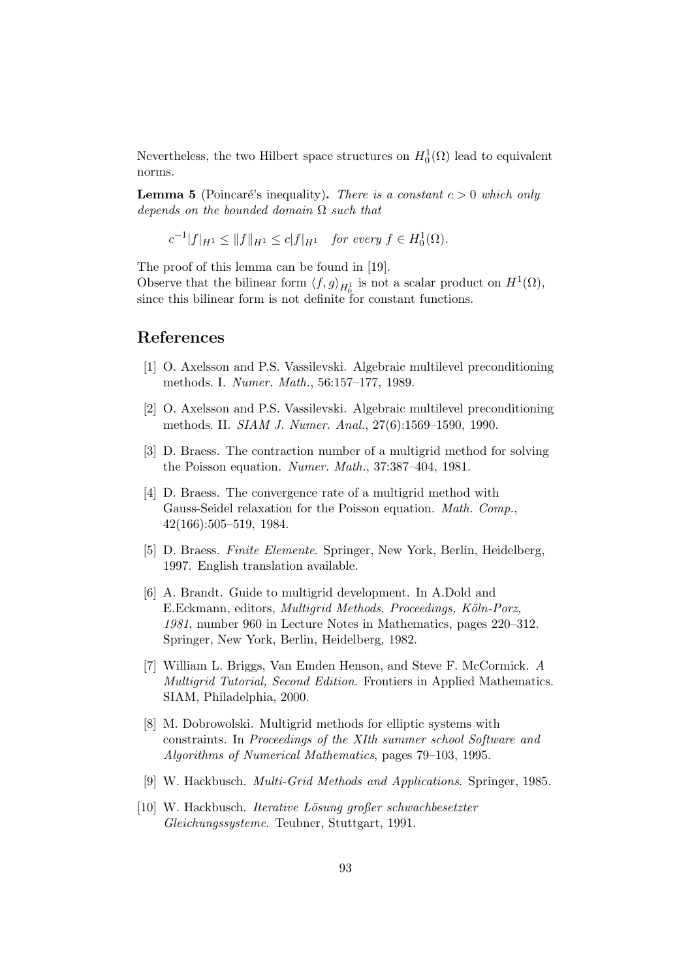Nevertheless, the two Hilbert space structures on  $H_0^1(\Omega)$  lead to equivalent norms.

**Lemma 5** (Poincaré's inequality). There is a constant  $c > 0$  which only depends on the bounded domain  $\Omega$  such that

$$
c^{-1}|f|_{H^1} \leq ||f||_{H^1} \leq c|f|_{H^1}
$$
 for every  $f \in H_0^1(\Omega)$ .

The proof of this lemma can be found in [19].

Observe that the bilinear form  $\langle f, g \rangle_{H_0^1}$  is not a scalar product on  $H^1(\Omega)$ , since this bilinear form is not definite for constant functions.

# References

- [1] O. Axelsson and P.S. Vassilevski. Algebraic multilevel preconditioning methods. I. Numer. Math., 56:157–177, 1989.
- [2] O. Axelsson and P.S. Vassilevski. Algebraic multilevel preconditioning methods. II. SIAM J. Numer. Anal., 27(6):1569–1590, 1990.
- [3] D. Braess. The contraction number of a multigrid method for solving the Poisson equation. Numer. Math., 37:387–404, 1981.
- [4] D. Braess. The convergence rate of a multigrid method with Gauss-Seidel relaxation for the Poisson equation. *Math. Comp.*, 42(166):505–519, 1984.
- [5] D. Braess. Finite Elemente. Springer, New York, Berlin, Heidelberg, 1997. English translation available.
- [6] A. Brandt. Guide to multigrid development. In A.Dold and E.Eckmann, editors, *Multigrid Methods, Proceedings, Köln-Porz,* 1981, number 960 in Lecture Notes in Mathematics, pages 220–312. Springer, New York, Berlin, Heidelberg, 1982.
- [7] William L. Briggs, Van Emden Henson, and Steve F. McCormick. A Multigrid Tutorial, Second Edition. Frontiers in Applied Mathematics. SIAM, Philadelphia, 2000.
- [8] M. Dobrowolski. Multigrid methods for elliptic systems with constraints. In Proceedings of the XIth summer school Software and Algorithms of Numerical Mathematics, pages 79–103, 1995.
- [9] W. Hackbusch. Multi-Grid Methods and Applications. Springer, 1985.
- [10] W. Hackbusch. Iterative Lösung großer schwachbesetzter Gleichungssysteme. Teubner, Stuttgart, 1991.